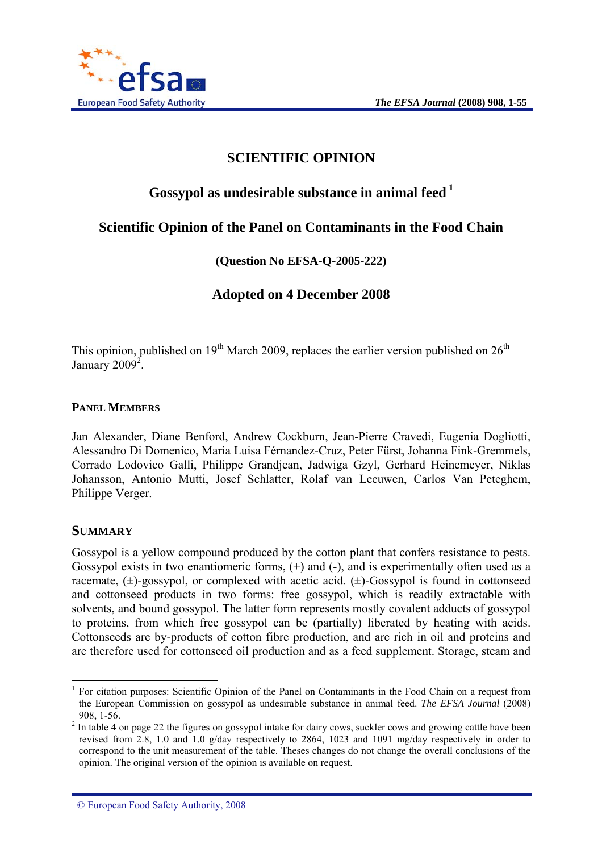

# **SCIENTIFIC OPINION**

# **Gossypol as undesirable substance in animal feed<sup>1</sup>**

# **Scientific Opinion of the Panel on Contaminants in the Food Chain**

# **(Question No EFSA-Q-2005-222)**

# **Adopted on 4 December 2008**

This opinion, published on 19<sup>th</sup> March 2009, replaces the earlier version published on  $26<sup>th</sup>$ January  $2009^2$ .

## **PANEL MEMBERS**

Jan Alexander, Diane Benford, Andrew Cockburn, Jean-Pierre Cravedi, Eugenia Dogliotti, Alessandro Di Domenico, Maria Luisa Férnandez-Cruz, Peter Fürst, Johanna Fink-Gremmels, Corrado Lodovico Galli, Philippe Grandjean, Jadwiga Gzyl, Gerhard Heinemeyer, Niklas Johansson, Antonio Mutti, Josef Schlatter, Rolaf van Leeuwen, Carlos Van Peteghem, Philippe Verger.

# **SUMMARY**

Gossypol is a yellow compound produced by the cotton plant that confers resistance to pests. Gossypol exists in two enantiomeric forms,  $(+)$  and  $(-)$ , and is experimentally often used as a racemate,  $(\pm)$ -gossypol, or complexed with acetic acid.  $(\pm)$ -Gossypol is found in cottonseed and cottonseed products in two forms: free gossypol, which is readily extractable with solvents, and bound gossypol. The latter form represents mostly covalent adducts of gossypol to proteins, from which free gossypol can be (partially) liberated by heating with acids. Cottonseeds are by-products of cotton fibre production, and are rich in oil and proteins and are therefore used for cottonseed oil production and as a feed supplement. Storage, steam and

 $\overline{a}$ 1 For citation purposes: Scientific Opinion of the Panel on Contaminants in the Food Chain on a request from the European Commission on gossypol as undesirable substance in animal feed. *The EFSA Journal* (2008) 908, 1-56.

 $2^{2}$  In table 4 on page 22 the figures on gossypol intake for dairy cows, suckler cows and growing cattle have been revised from 2.8, 1.0 and 1.0 g/day respectively to 2864, 1023 and 1091 mg/day respectively in order to correspond to the unit measurement of the table. Theses changes do not change the overall conclusions of the opinion. The original version of the opinion is available on request.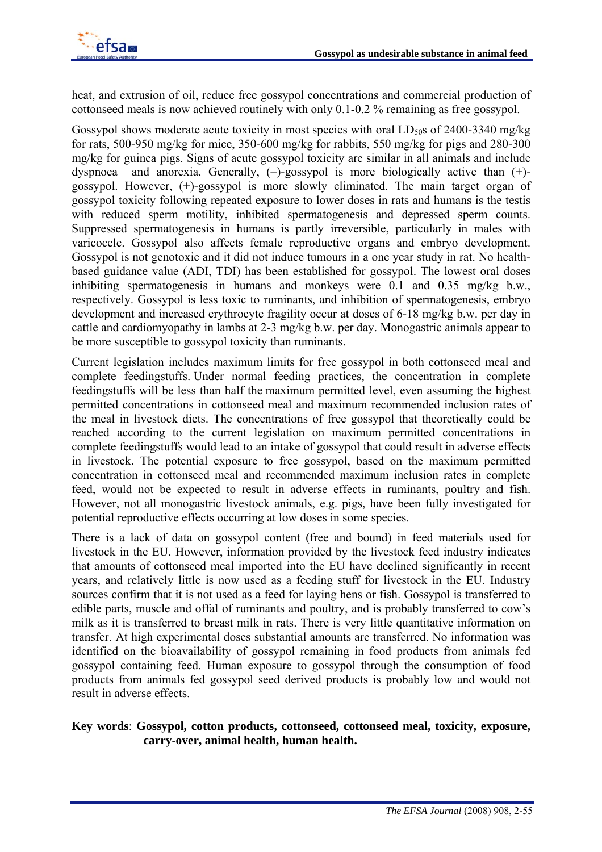

heat, and extrusion of oil, reduce free gossypol concentrations and commercial production of cottonseed meals is now achieved routinely with only 0.1-0.2 % remaining as free gossypol.

Gossypol shows moderate acute toxicity in most species with oral  $LD_{50}$ s of 2400-3340 mg/kg for rats, 500-950 mg/kg for mice, 350-600 mg/kg for rabbits, 550 mg/kg for pigs and 280-300 mg/kg for guinea pigs. Signs of acute gossypol toxicity are similar in all animals and include dyspnoea and anorexia. Generally, (–)-gossypol is more biologically active than (+) gossypol. However, (+)-gossypol is more slowly eliminated. The main target organ of gossypol toxicity following repeated exposure to lower doses in rats and humans is the testis with reduced sperm motility, inhibited spermatogenesis and depressed sperm counts. Suppressed spermatogenesis in humans is partly irreversible, particularly in males with varicocele. Gossypol also affects female reproductive organs and embryo development. Gossypol is not genotoxic and it did not induce tumours in a one year study in rat. No healthbased guidance value (ADI, TDI) has been established for gossypol. The lowest oral doses inhibiting spermatogenesis in humans and monkeys were 0.1 and 0.35 mg/kg b.w., respectively. Gossypol is less toxic to ruminants, and inhibition of spermatogenesis, embryo development and increased erythrocyte fragility occur at doses of 6-18 mg/kg b.w. per day in cattle and cardiomyopathy in lambs at 2-3 mg/kg b.w. per day. Monogastric animals appear to be more susceptible to gossypol toxicity than ruminants.

Current legislation includes maximum limits for free gossypol in both cottonseed meal and complete feedingstuffs. Under normal feeding practices, the concentration in complete feedingstuffs will be less than half the maximum permitted level, even assuming the highest permitted concentrations in cottonseed meal and maximum recommended inclusion rates of the meal in livestock diets. The concentrations of free gossypol that theoretically could be reached according to the current legislation on maximum permitted concentrations in complete feedingstuffs would lead to an intake of gossypol that could result in adverse effects in livestock. The potential exposure to free gossypol, based on the maximum permitted concentration in cottonseed meal and recommended maximum inclusion rates in complete feed, would not be expected to result in adverse effects in ruminants, poultry and fish. However, not all monogastric livestock animals, e.g. pigs, have been fully investigated for potential reproductive effects occurring at low doses in some species.

There is a lack of data on gossypol content (free and bound) in feed materials used for livestock in the EU. However, information provided by the livestock feed industry indicates that amounts of cottonseed meal imported into the EU have declined significantly in recent years, and relatively little is now used as a feeding stuff for livestock in the EU. Industry sources confirm that it is not used as a feed for laying hens or fish. Gossypol is transferred to edible parts, muscle and offal of ruminants and poultry, and is probably transferred to cow's milk as it is transferred to breast milk in rats. There is very little quantitative information on transfer. At high experimental doses substantial amounts are transferred. No information was identified on the bioavailability of gossypol remaining in food products from animals fed gossypol containing feed. Human exposure to gossypol through the consumption of food products from animals fed gossypol seed derived products is probably low and would not result in adverse effects.

#### **Key words**: **Gossypol, cotton products, cottonseed, cottonseed meal, toxicity, exposure, carry-over, animal health, human health.**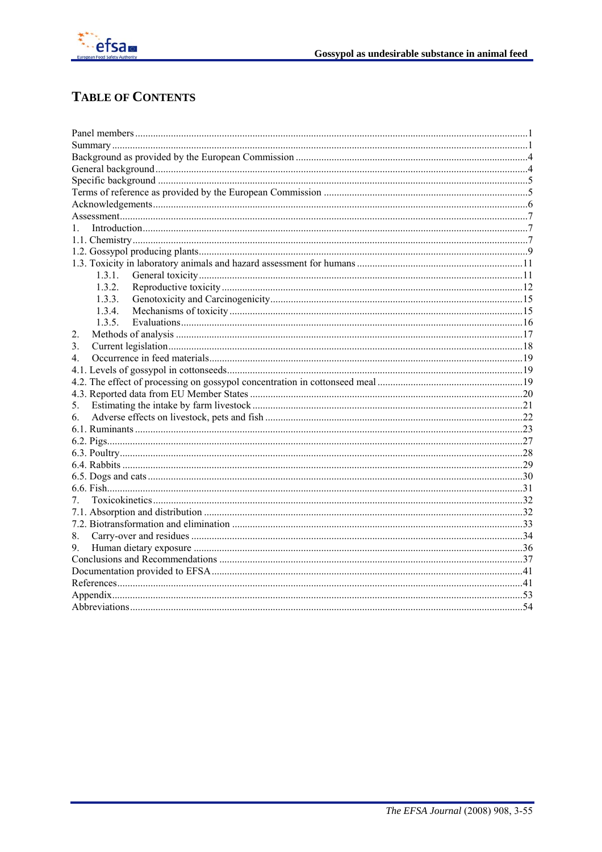

# **TABLE OF CONTENTS**

| $1 \quad$<br>1.3.1.<br>1.3.2.<br>1.3.3.<br>1.3.4.<br>1.3.5.<br>2.<br>3.<br>4.<br>5.<br>6.<br>8.<br>9. |  |  |  |  |
|-------------------------------------------------------------------------------------------------------|--|--|--|--|
|                                                                                                       |  |  |  |  |
|                                                                                                       |  |  |  |  |
|                                                                                                       |  |  |  |  |
|                                                                                                       |  |  |  |  |
|                                                                                                       |  |  |  |  |
|                                                                                                       |  |  |  |  |
|                                                                                                       |  |  |  |  |
|                                                                                                       |  |  |  |  |
|                                                                                                       |  |  |  |  |
|                                                                                                       |  |  |  |  |
|                                                                                                       |  |  |  |  |
|                                                                                                       |  |  |  |  |
|                                                                                                       |  |  |  |  |
|                                                                                                       |  |  |  |  |
|                                                                                                       |  |  |  |  |
|                                                                                                       |  |  |  |  |
|                                                                                                       |  |  |  |  |
|                                                                                                       |  |  |  |  |
|                                                                                                       |  |  |  |  |
|                                                                                                       |  |  |  |  |
|                                                                                                       |  |  |  |  |
|                                                                                                       |  |  |  |  |
|                                                                                                       |  |  |  |  |
|                                                                                                       |  |  |  |  |
|                                                                                                       |  |  |  |  |
|                                                                                                       |  |  |  |  |
|                                                                                                       |  |  |  |  |
|                                                                                                       |  |  |  |  |
|                                                                                                       |  |  |  |  |
|                                                                                                       |  |  |  |  |
|                                                                                                       |  |  |  |  |
|                                                                                                       |  |  |  |  |
|                                                                                                       |  |  |  |  |
|                                                                                                       |  |  |  |  |
|                                                                                                       |  |  |  |  |
|                                                                                                       |  |  |  |  |
|                                                                                                       |  |  |  |  |
|                                                                                                       |  |  |  |  |
|                                                                                                       |  |  |  |  |
|                                                                                                       |  |  |  |  |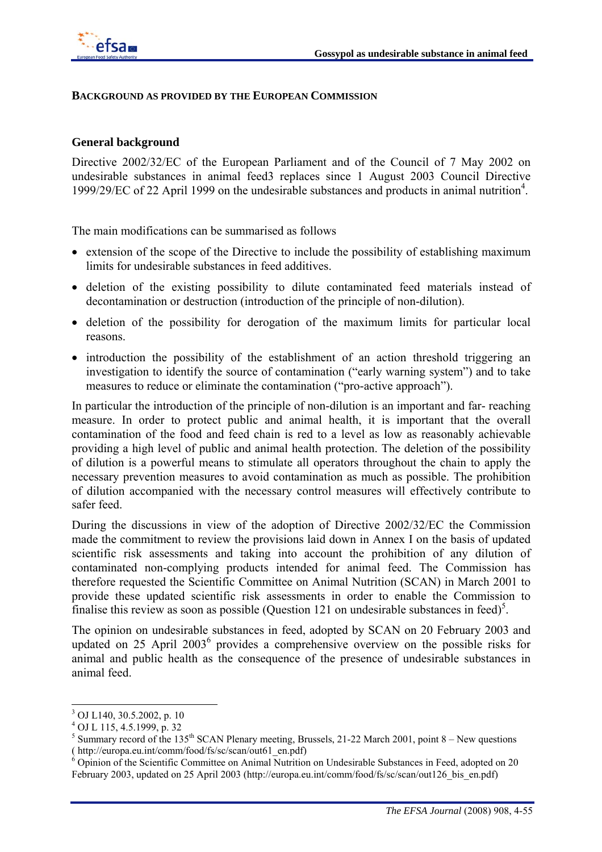

#### **BACKGROUND AS PROVIDED BY THE EUROPEAN COMMISSION**

#### **General background**

Directive 2002/32/EC of the European Parliament and of the Council of 7 May 2002 on undesirable substances in animal feed3 replaces since 1 August 2003 Council Directive 1999/29/EC of 22 April 1999 on the undesirable substances and products in animal nutrition<sup>4</sup>.

The main modifications can be summarised as follows

- extension of the scope of the Directive to include the possibility of establishing maximum limits for undesirable substances in feed additives.
- deletion of the existing possibility to dilute contaminated feed materials instead of decontamination or destruction (introduction of the principle of non-dilution).
- deletion of the possibility for derogation of the maximum limits for particular local reasons.
- introduction the possibility of the establishment of an action threshold triggering an investigation to identify the source of contamination ("early warning system") and to take measures to reduce or eliminate the contamination ("pro-active approach").

In particular the introduction of the principle of non-dilution is an important and far- reaching measure. In order to protect public and animal health, it is important that the overall contamination of the food and feed chain is red to a level as low as reasonably achievable providing a high level of public and animal health protection. The deletion of the possibility of dilution is a powerful means to stimulate all operators throughout the chain to apply the necessary prevention measures to avoid contamination as much as possible. The prohibition of dilution accompanied with the necessary control measures will effectively contribute to safer feed.

During the discussions in view of the adoption of Directive 2002/32/EC the Commission made the commitment to review the provisions laid down in Annex I on the basis of updated scientific risk assessments and taking into account the prohibition of any dilution of contaminated non-complying products intended for animal feed. The Commission has therefore requested the Scientific Committee on Animal Nutrition (SCAN) in March 2001 to provide these updated scientific risk assessments in order to enable the Commission to finalise this review as soon as possible (Question 121 on undesirable substances in feed)<sup>5</sup>.

The opinion on undesirable substances in feed, adopted by SCAN on 20 February 2003 and updated on 25 April  $2003^6$  provides a comprehensive overview on the possible risks for animal and public health as the consequence of the presence of undesirable substances in animal feed.

 3 OJ L140, 30.5.2002, p. 10

<sup>4</sup> OJ L 115, 4.5.1999, p. 32

<sup>&</sup>lt;sup>5</sup> Summary record of the 135<sup>th</sup> SCAN Plenary meeting, Brussels, 21-22 March 2001, point 8 – New questions ( http://europa.eu.int/comm/food/fs/sc/scan/out61\_en.pdf) 6

Opinion of the Scientific Committee on Animal Nutrition on Undesirable Substances in Feed, adopted on 20 February 2003, updated on 25 April 2003 (http://europa.eu.int/comm/food/fs/sc/scan/out126 bis en.pdf)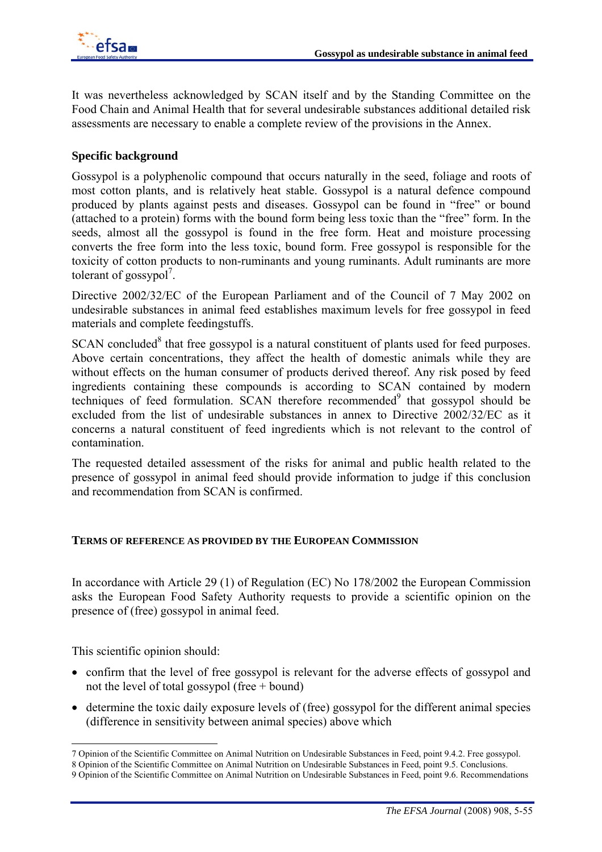It was nevertheless acknowledged by SCAN itself and by the Standing Committee on the Food Chain and Animal Health that for several undesirable substances additional detailed risk assessments are necessary to enable a complete review of the provisions in the Annex.

#### **Specific background**

Gossypol is a polyphenolic compound that occurs naturally in the seed, foliage and roots of most cotton plants, and is relatively heat stable. Gossypol is a natural defence compound produced by plants against pests and diseases. Gossypol can be found in "free" or bound (attached to a protein) forms with the bound form being less toxic than the "free" form. In the seeds, almost all the gossypol is found in the free form. Heat and moisture processing converts the free form into the less toxic, bound form. Free gossypol is responsible for the toxicity of cotton products to non-ruminants and young ruminants. Adult ruminants are more tolerant of gossypol<sup>7</sup>.

Directive 2002/32/EC of the European Parliament and of the Council of 7 May 2002 on undesirable substances in animal feed establishes maximum levels for free gossypol in feed materials and complete feedingstuffs.

SCAN concluded<sup>8</sup> that free gossypol is a natural constituent of plants used for feed purposes. Above certain concentrations, they affect the health of domestic animals while they are without effects on the human consumer of products derived thereof. Any risk posed by feed ingredients containing these compounds is according to SCAN contained by modern techniques of feed formulation. SCAN therefore recommended<sup>9</sup> that gossypol should be excluded from the list of undesirable substances in annex to Directive 2002/32/EC as it concerns a natural constituent of feed ingredients which is not relevant to the control of contamination.

The requested detailed assessment of the risks for animal and public health related to the presence of gossypol in animal feed should provide information to judge if this conclusion and recommendation from SCAN is confirmed.

#### **TERMS OF REFERENCE AS PROVIDED BY THE EUROPEAN COMMISSION**

In accordance with Article 29 (1) of Regulation (EC) No 178/2002 the European Commission asks the European Food Safety Authority requests to provide a scientific opinion on the presence of (free) gossypol in animal feed.

This scientific opinion should:

 $\overline{a}$ 

- confirm that the level of free gossypol is relevant for the adverse effects of gossypol and not the level of total gossypol (free + bound)
- determine the toxic daily exposure levels of (free) gossypol for the different animal species (difference in sensitivity between animal species) above which

<sup>7</sup> Opinion of the Scientific Committee on Animal Nutrition on Undesirable Substances in Feed, point 9.4.2. Free gossypol.

<sup>8</sup> Opinion of the Scientific Committee on Animal Nutrition on Undesirable Substances in Feed, point 9.5. Conclusions.

<sup>9</sup> Opinion of the Scientific Committee on Animal Nutrition on Undesirable Substances in Feed, point 9.6. Recommendations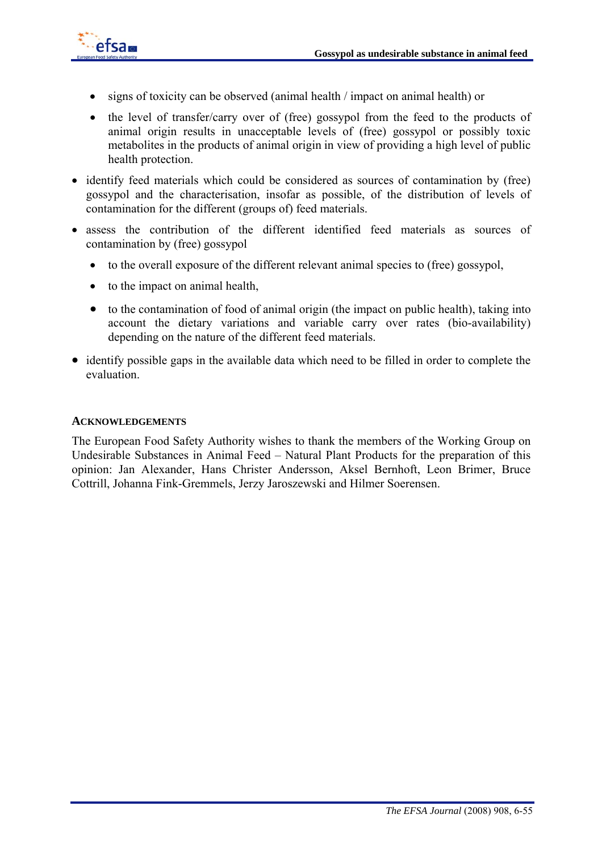

- signs of toxicity can be observed (animal health / impact on animal health) or
- the level of transfer/carry over of (free) gossypol from the feed to the products of animal origin results in unacceptable levels of (free) gossypol or possibly toxic metabolites in the products of animal origin in view of providing a high level of public health protection.
- identify feed materials which could be considered as sources of contamination by (free) gossypol and the characterisation, insofar as possible, of the distribution of levels of contamination for the different (groups of) feed materials.
- assess the contribution of the different identified feed materials as sources of contamination by (free) gossypol
	- to the overall exposure of the different relevant animal species to (free) gossypol,
	- to the impact on animal health,
	- to the contamination of food of animal origin (the impact on public health), taking into account the dietary variations and variable carry over rates (bio-availability) depending on the nature of the different feed materials.
- identify possible gaps in the available data which need to be filled in order to complete the evaluation.

#### **ACKNOWLEDGEMENTS**

The European Food Safety Authority wishes to thank the members of the Working Group on Undesirable Substances in Animal Feed – Natural Plant Products for the preparation of this opinion: Jan Alexander, Hans Christer Andersson, Aksel Bernhoft, Leon Brimer, Bruce Cottrill, Johanna Fink-Gremmels, Jerzy Jaroszewski and Hilmer Soerensen.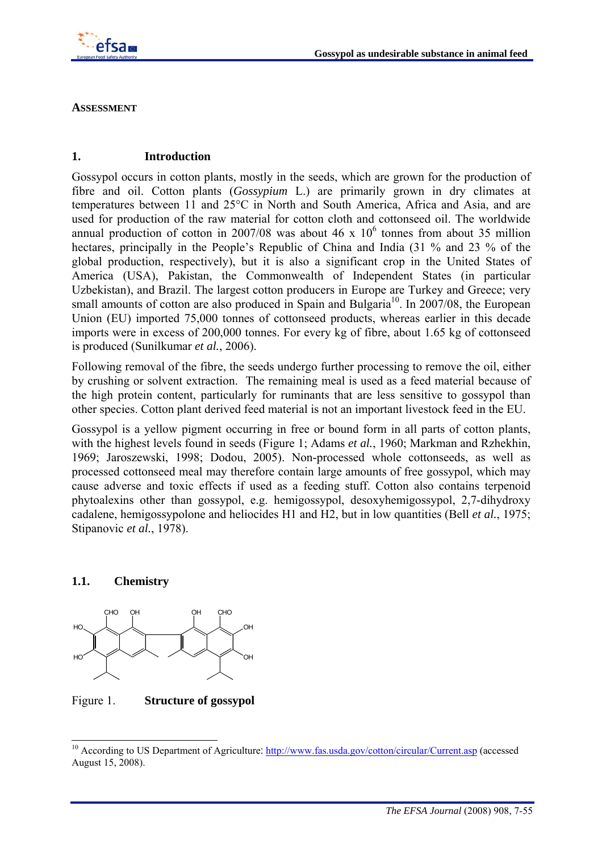

**ASSESSMENT**

## **1. Introduction**

Gossypol occurs in cotton plants, mostly in the seeds, which are grown for the production of fibre and oil. Cotton plants (*Gossypium* L.) are primarily grown in dry climates at temperatures between 11 and 25°C in North and South America, Africa and Asia, and are used for production of the raw material for cotton cloth and cottonseed oil. The worldwide annual production of cotton in 2007/08 was about 46 x  $10^6$  tonnes from about 35 million hectares, principally in the People's Republic of China and India (31 % and 23 % of the global production, respectively), but it is also a significant crop in the United States of America (USA), Pakistan, the Commonwealth of Independent States (in particular Uzbekistan), and Brazil. The largest cotton producers in Europe are Turkey and Greece; very small amounts of cotton are also produced in Spain and Bulgaria<sup>10</sup>. In 2007/08, the European Union (EU) imported 75,000 tonnes of cottonseed products, whereas earlier in this decade imports were in excess of 200,000 tonnes. For every kg of fibre, about 1.65 kg of cottonseed is produced (Sunilkumar *et al.*, 2006).

Following removal of the fibre, the seeds undergo further processing to remove the oil, either by crushing or solvent extraction. The remaining meal is used as a feed material because of the high protein content, particularly for ruminants that are less sensitive to gossypol than other species. Cotton plant derived feed material is not an important livestock feed in the EU.

Gossypol is a yellow pigment occurring in free or bound form in all parts of cotton plants, with the highest levels found in seeds (Figure 1; Adams *et al.*, 1960; Markman and Rzhekhin, 1969; Jaroszewski, 1998; Dodou, 2005). Non-processed whole cottonseeds, as well as processed cottonseed meal may therefore contain large amounts of free gossypol, which may cause adverse and toxic effects if used as a feeding stuff. Cotton also contains terpenoid phytoalexins other than gossypol, e.g. hemigossypol, desoxyhemigossypol, 2,7-dihydroxy cadalene, hemigossypolone and heliocides H1 and H2, but in low quantities (Bell *et al.*, 1975; Stipanovic *et al.*, 1978).

#### **1.1. Chemistry**

 $\overline{a}$ 



Figure 1. **Structure of gossypol**

<sup>&</sup>lt;sup>10</sup> According to US Department of Agriculture: http://www.fas.usda.gov/cotton/circular/Current.asp (accessed August 15, 2008).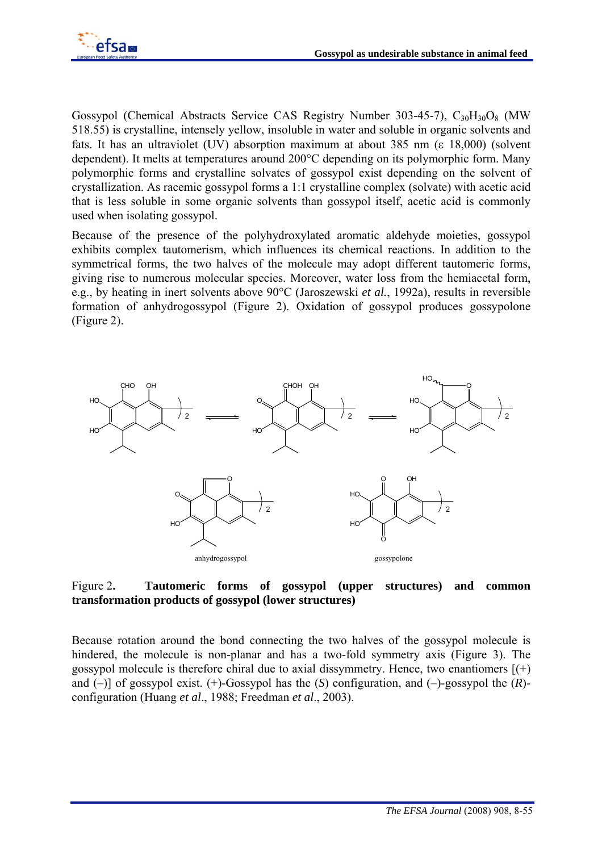

Gossypol (Chemical Abstracts Service CAS Registry Number 303-45-7),  $C_{30}H_{30}O_8$  (MW 518.55) is crystalline, intensely yellow, insoluble in water and soluble in organic solvents and fats. It has an ultraviolet (UV) absorption maximum at about 385 nm (ε 18,000) (solvent dependent). It melts at temperatures around 200°C depending on its polymorphic form. Many polymorphic forms and crystalline solvates of gossypol exist depending on the solvent of crystallization. As racemic gossypol forms a 1:1 crystalline complex (solvate) with acetic acid that is less soluble in some organic solvents than gossypol itself, acetic acid is commonly used when isolating gossypol.

Because of the presence of the polyhydroxylated aromatic aldehyde moieties, gossypol exhibits complex tautomerism, which influences its chemical reactions. In addition to the symmetrical forms, the two halves of the molecule may adopt different tautomeric forms, giving rise to numerous molecular species. Moreover, water loss from the hemiacetal form, e.g., by heating in inert solvents above 90°C (Jaroszewski *et al.*, 1992a), results in reversible formation of anhydrogossypol (Figure 2). Oxidation of gossypol produces gossypolone (Figure 2).



#### Figure 2**. Tautomeric forms of gossypol (upper structures) and common transformation products of gossypol (lower structures)**

Because rotation around the bond connecting the two halves of the gossypol molecule is hindered, the molecule is non-planar and has a two-fold symmetry axis (Figure 3). The gossypol molecule is therefore chiral due to axial dissymmetry. Hence, two enantiomers  $[(+)$ and (–)] of gossypol exist. (+)-Gossypol has the (*S*) configuration, and (–)-gossypol the (*R*) configuration (Huang *et al*., 1988; Freedman *et al*., 2003).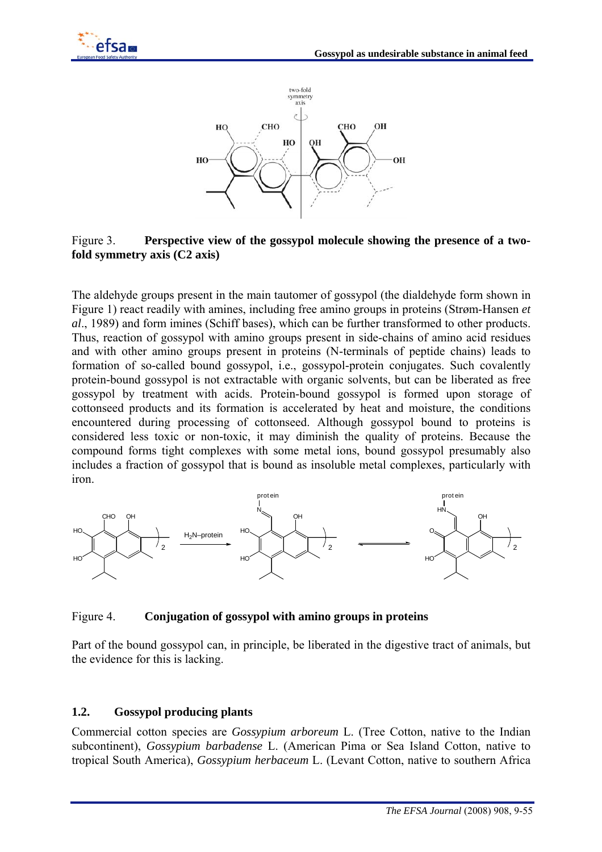

### Figure 3. **Perspective view of the gossypol molecule showing the presence of a twofold symmetry axis (C2 axis)**

The aldehyde groups present in the main tautomer of gossypol (the dialdehyde form shown in Figure 1) react readily with amines, including free amino groups in proteins (Strøm-Hansen *et al*., 1989) and form imines (Schiff bases), which can be further transformed to other products. Thus, reaction of gossypol with amino groups present in side-chains of amino acid residues and with other amino groups present in proteins (N-terminals of peptide chains) leads to formation of so-called bound gossypol, i.e., gossypol-protein conjugates. Such covalently protein-bound gossypol is not extractable with organic solvents, but can be liberated as free gossypol by treatment with acids. Protein-bound gossypol is formed upon storage of cottonseed products and its formation is accelerated by heat and moisture, the conditions encountered during processing of cottonseed. Although gossypol bound to proteins is considered less toxic or non-toxic, it may diminish the quality of proteins. Because the compound forms tight complexes with some metal ions, bound gossypol presumably also includes a fraction of gossypol that is bound as insoluble metal complexes, particularly with iron.



#### Figure 4. **Conjugation of gossypol with amino groups in proteins**

Part of the bound gossypol can, in principle, be liberated in the digestive tract of animals, but the evidence for this is lacking.

#### **1.2. Gossypol producing plants**

Commercial cotton species are *Gossypium arboreum* L. (Tree Cotton, native to the Indian subcontinent), *Gossypium barbadense* L. (American Pima or Sea Island Cotton, native to tropical South America), *Gossypium herbaceum* L. (Levant Cotton, native to southern Africa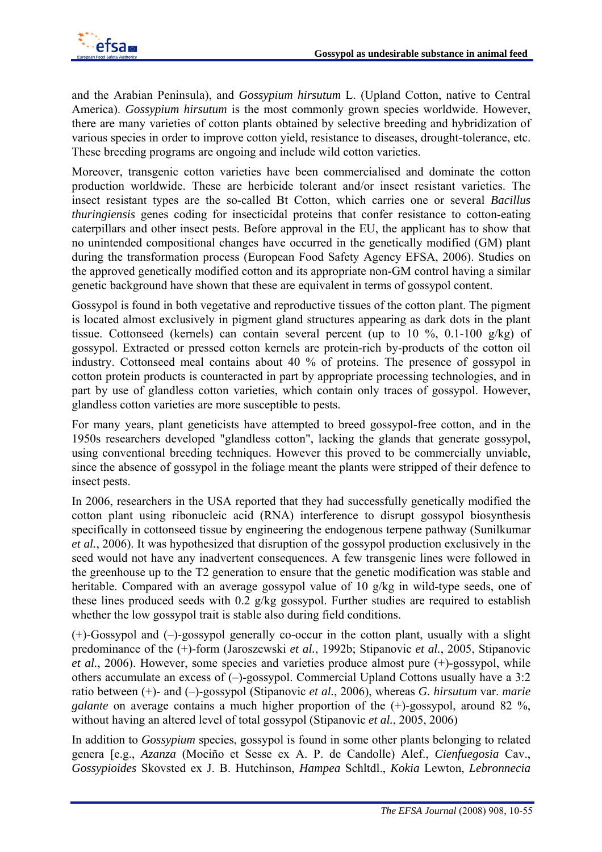

and the Arabian Peninsula), and *Gossypium hirsutum* L. (Upland Cotton, native to Central America). *Gossypium hirsutum* is the most commonly grown species worldwide. However, there are many varieties of cotton plants obtained by selective breeding and hybridization of various species in order to improve cotton yield, resistance to diseases, drought-tolerance, etc. These breeding programs are ongoing and include wild cotton varieties.

Moreover, transgenic cotton varieties have been commercialised and dominate the cotton production worldwide. These are herbicide tolerant and/or insect resistant varieties. The insect resistant types are the so-called Bt Cotton, which carries one or several *Bacillus thuringiensis* genes coding for insecticidal proteins that confer resistance to cotton-eating caterpillars and other insect pests. Before approval in the EU, the applicant has to show that no unintended compositional changes have occurred in the genetically modified (GM) plant during the transformation process (European Food Safety Agency EFSA, 2006). Studies on the approved genetically modified cotton and its appropriate non-GM control having a similar genetic background have shown that these are equivalent in terms of gossypol content.

Gossypol is found in both vegetative and reproductive tissues of the cotton plant. The pigment is located almost exclusively in pigment gland structures appearing as dark dots in the plant tissue. Cottonseed (kernels) can contain several percent (up to 10 %, 0.1-100 g/kg) of gossypol. Extracted or pressed cotton kernels are protein-rich by-products of the cotton oil industry. Cottonseed meal contains about 40 % of proteins. The presence of gossypol in cotton protein products is counteracted in part by appropriate processing technologies, and in part by use of glandless cotton varieties, which contain only traces of gossypol. However, glandless cotton varieties are more susceptible to pests.

For many years, plant geneticists have attempted to breed gossypol-free cotton, and in the 1950s researchers developed "glandless cotton", lacking the glands that generate gossypol, using conventional breeding techniques. However this proved to be commercially unviable, since the absence of gossypol in the foliage meant the plants were stripped of their defence to insect pests.

In 2006, researchers in the USA reported that they had successfully genetically modified the cotton plant using ribonucleic acid (RNA) interference to disrupt gossypol biosynthesis specifically in cottonseed tissue by engineering the endogenous terpene pathway (Sunilkumar *et al.*, 2006). It was hypothesized that disruption of the gossypol production exclusively in the seed would not have any inadvertent consequences. A few transgenic lines were followed in the greenhouse up to the T2 generation to ensure that the genetic modification was stable and heritable. Compared with an average gossypol value of 10 g/kg in wild-type seeds, one of these lines produced seeds with 0.2 g/kg gossypol. Further studies are required to establish whether the low gossypol trait is stable also during field conditions.

(+)-Gossypol and (–)-gossypol generally co-occur in the cotton plant, usually with a slight predominance of the (+)-form (Jaroszewski *et al.*, 1992b; Stipanovic *et al.*, 2005, Stipanovic *et al.*, 2006). However, some species and varieties produce almost pure (+)-gossypol, while others accumulate an excess of (–)-gossypol. Commercial Upland Cottons usually have a 3:2 ratio between (+)- and (–)-gossypol (Stipanovic *et al.*, 2006), whereas *G. hirsutum* var. *marie galante* on average contains a much higher proportion of the  $(+)$ -gossypol, around 82 %. without having an altered level of total gossypol (Stipanovic *et al.*, 2005, 2006)

In addition to *Gossypium* species, gossypol is found in some other plants belonging to related genera [e.g., *Azanza* (Mociño et Sesse ex A. P. de Candolle) Alef., *Cienfuegosia* Cav., *Gossypioides* Skovsted ex J. B. Hutchinson, *Hampea* Schltdl., *Kokia* Lewton, *Lebronnecia*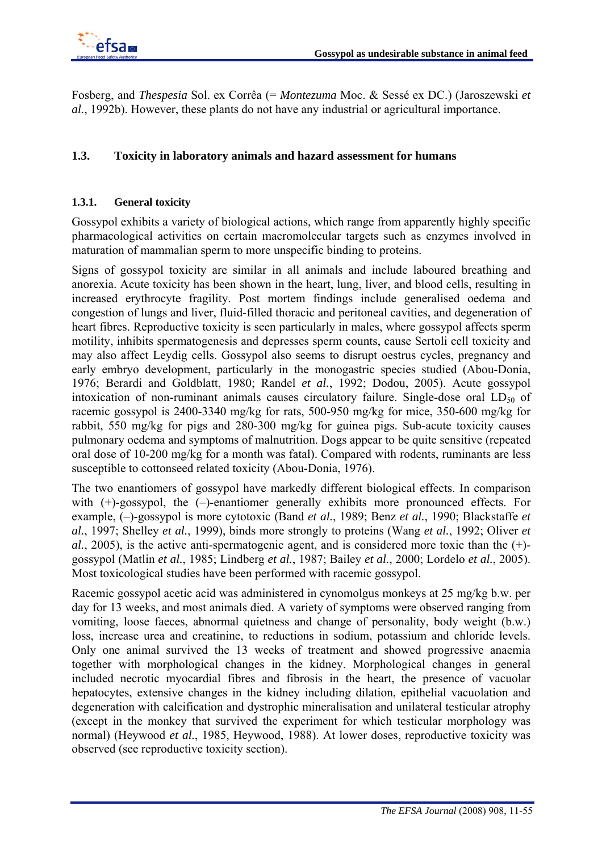

Fosberg, and *Thespesia* Sol. ex Corrêa (= *Montezuma* Moc. & Sessé ex DC.) (Jaroszewski *et al.*, 1992b). However, these plants do not have any industrial or agricultural importance.

## **1.3. Toxicity in laboratory animals and hazard assessment for humans**

#### **1.3.1. General toxicity**

Gossypol exhibits a variety of biological actions, which range from apparently highly specific pharmacological activities on certain macromolecular targets such as enzymes involved in maturation of mammalian sperm to more unspecific binding to proteins.

Signs of gossypol toxicity are similar in all animals and include laboured breathing and anorexia. Acute toxicity has been shown in the heart, lung, liver, and blood cells, resulting in increased erythrocyte fragility. Post mortem findings include generalised oedema and congestion of lungs and liver, fluid-filled thoracic and peritoneal cavities, and degeneration of heart fibres. Reproductive toxicity is seen particularly in males, where gossypol affects sperm motility, inhibits spermatogenesis and depresses sperm counts, cause Sertoli cell toxicity and may also affect Leydig cells. Gossypol also seems to disrupt oestrus cycles, pregnancy and early embryo development, particularly in the monogastric species studied (Abou-Donia, 1976; Berardi and Goldblatt, 1980; Randel *et al.*, 1992; Dodou, 2005). Acute gossypol intoxication of non-ruminant animals causes circulatory failure. Single-dose oral  $LD_{50}$  of racemic gossypol is 2400-3340 mg/kg for rats, 500-950 mg/kg for mice, 350-600 mg/kg for rabbit, 550 mg/kg for pigs and 280-300 mg/kg for guinea pigs. Sub-acute toxicity causes pulmonary oedema and symptoms of malnutrition. Dogs appear to be quite sensitive (repeated oral dose of 10-200 mg/kg for a month was fatal). Compared with rodents, ruminants are less susceptible to cottonseed related toxicity (Abou-Donia, 1976).

The two enantiomers of gossypol have markedly different biological effects. In comparison with (+)-gossypol, the (–)-enantiomer generally exhibits more pronounced effects. For example, (–)-gossypol is more cytotoxic (Band *et al.*, 1989; Benz *et al.*, 1990; Blackstaffe *et al.*, 1997; Shelley *et al.*, 1999), binds more strongly to proteins (Wang *et al.*, 1992; Oliver *et al.*, 2005), is the active anti-spermatogenic agent, and is considered more toxic than the (+) gossypol (Matlin *et al.*, 1985; Lindberg *et al.*, 1987; Bailey *et al.*, 2000; Lordelo *et al.*, 2005). Most toxicological studies have been performed with racemic gossypol.

Racemic gossypol acetic acid was administered in cynomolgus monkeys at 25 mg/kg b.w. per day for 13 weeks, and most animals died. A variety of symptoms were observed ranging from vomiting, loose faeces, abnormal quietness and change of personality, body weight (b.w.) loss, increase urea and creatinine, to reductions in sodium, potassium and chloride levels. Only one animal survived the 13 weeks of treatment and showed progressive anaemia together with morphological changes in the kidney. Morphological changes in general included necrotic myocardial fibres and fibrosis in the heart, the presence of vacuolar hepatocytes, extensive changes in the kidney including dilation, epithelial vacuolation and degeneration with calcification and dystrophic mineralisation and unilateral testicular atrophy (except in the monkey that survived the experiment for which testicular morphology was normal) (Heywood *et al.*, 1985, Heywood, 1988). At lower doses, reproductive toxicity was observed (see reproductive toxicity section).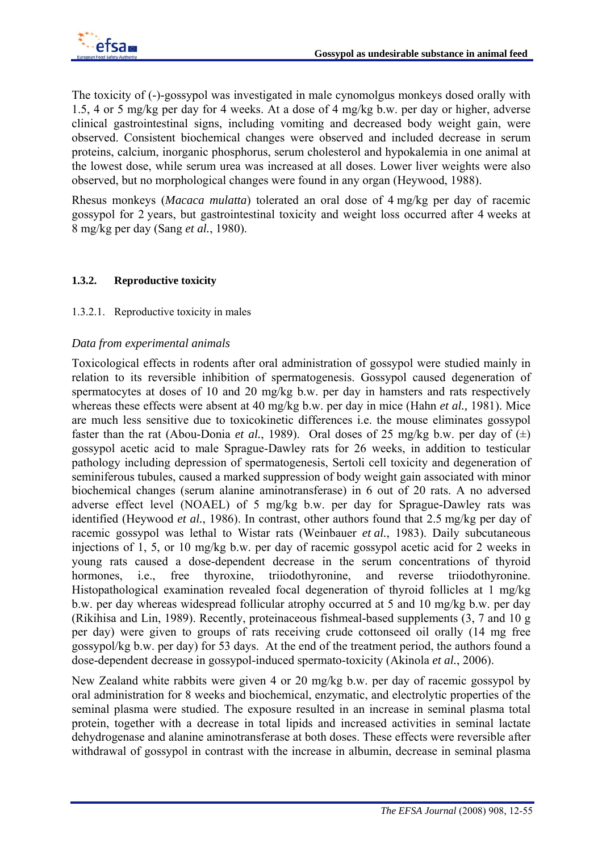

The toxicity of (-)-gossypol was investigated in male cynomolgus monkeys dosed orally with 1.5, 4 or 5 mg/kg per day for 4 weeks. At a dose of 4 mg/kg b.w. per day or higher, adverse clinical gastrointestinal signs, including vomiting and decreased body weight gain, were observed. Consistent biochemical changes were observed and included decrease in serum proteins, calcium, inorganic phosphorus, serum cholesterol and hypokalemia in one animal at the lowest dose, while serum urea was increased at all doses. Lower liver weights were also observed, but no morphological changes were found in any organ (Heywood, 1988).

Rhesus monkeys (*Macaca mulatta*) tolerated an oral dose of 4 mg/kg per day of racemic gossypol for 2 years, but gastrointestinal toxicity and weight loss occurred after 4 weeks at 8 mg/kg per day (Sang *et al.*, 1980).

## **1.3.2. Reproductive toxicity**

## 1.3.2.1. Reproductive toxicity in males

#### *Data from experimental animals*

Toxicological effects in rodents after oral administration of gossypol were studied mainly in relation to its reversible inhibition of spermatogenesis. Gossypol caused degeneration of spermatocytes at doses of 10 and 20 mg/kg b.w. per day in hamsters and rats respectively whereas these effects were absent at 40 mg/kg b.w. per day in mice (Hahn *et al.,* 1981). Mice are much less sensitive due to toxicokinetic differences i.e. the mouse eliminates gossypol faster than the rat (Abou-Donia *et al.*, 1989). Oral doses of 25 mg/kg b.w. per day of  $(\pm)$ gossypol acetic acid to male Sprague-Dawley rats for 26 weeks, in addition to testicular pathology including depression of spermatogenesis, Sertoli cell toxicity and degeneration of seminiferous tubules, caused a marked suppression of body weight gain associated with minor biochemical changes (serum alanine aminotransferase) in 6 out of 20 rats. A no adversed adverse effect level (NOAEL) of 5 mg/kg b.w. per day for Sprague-Dawley rats was identified (Heywood *et al.*, 1986). In contrast, other authors found that 2.5 mg/kg per day of racemic gossypol was lethal to Wistar rats (Weinbauer *et al.*, 1983). Daily subcutaneous injections of 1, 5, or 10 mg/kg b.w. per day of racemic gossypol acetic acid for 2 weeks in young rats caused a dose-dependent decrease in the serum concentrations of thyroid hormones, i.e., free thyroxine, triiodothyronine, and reverse triiodothyronine. Histopathological examination revealed focal degeneration of thyroid follicles at 1 mg/kg b.w. per day whereas widespread follicular atrophy occurred at 5 and 10 mg/kg b.w. per day (Rikihisa and Lin, 1989). Recently, proteinaceous fishmeal-based supplements (3, 7 and 10 g per day) were given to groups of rats receiving crude cottonseed oil orally (14 mg free gossypol/kg b.w. per day) for 53 days. At the end of the treatment period, the authors found a dose-dependent decrease in gossypol-induced spermato-toxicity (Akinola *et al.*, 2006).

New Zealand white rabbits were given 4 or 20 mg/kg b.w. per day of racemic gossypol by oral administration for 8 weeks and biochemical, enzymatic, and electrolytic properties of the seminal plasma were studied. The exposure resulted in an increase in seminal plasma total protein, together with a decrease in total lipids and increased activities in seminal lactate dehydrogenase and alanine aminotransferase at both doses. These effects were reversible after withdrawal of gossypol in contrast with the increase in albumin, decrease in seminal plasma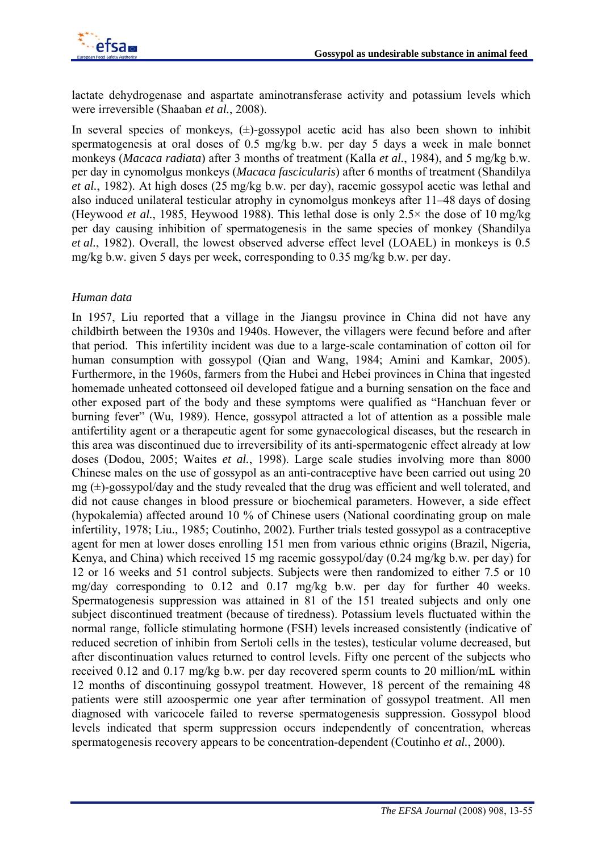lactate dehydrogenase and aspartate aminotransferase activity and potassium levels which were irreversible (Shaaban *et al.*, 2008).

In several species of monkeys,  $(\pm)$ -gossypol acetic acid has also been shown to inhibit spermatogenesis at oral doses of 0.5 mg/kg b.w. per day 5 days a week in male bonnet monkeys (*Macaca radiata*) after 3 months of treatment (Kalla *et al.*, 1984), and 5 mg/kg b.w. per day in cynomolgus monkeys (*Macaca fascicularis*) after 6 months of treatment (Shandilya *et al.*, 1982). At high doses (25 mg/kg b.w. per day), racemic gossypol acetic was lethal and also induced unilateral testicular atrophy in cynomolgus monkeys after 11–48 days of dosing (Heywood *et al.*, 1985, Heywood 1988). This lethal dose is only 2.5× the dose of 10 mg/kg per day causing inhibition of spermatogenesis in the same species of monkey (Shandilya *et al.*, 1982). Overall, the lowest observed adverse effect level (LOAEL) in monkeys is 0.5 mg/kg b.w. given 5 days per week, corresponding to 0.35 mg/kg b.w. per day.

# *Human data*

In 1957, Liu reported that a village in the Jiangsu province in China did not have any childbirth between the 1930s and 1940s. However, the villagers were fecund before and after that period. This infertility incident was due to a large-scale contamination of cotton oil for human consumption with gossypol (Qian and Wang, 1984; Amini and Kamkar, 2005). Furthermore, in the 1960s, farmers from the Hubei and Hebei provinces in China that ingested homemade unheated cottonseed oil developed fatigue and a burning sensation on the face and other exposed part of the body and these symptoms were qualified as "Hanchuan fever or burning fever" (Wu, 1989). Hence, gossypol attracted a lot of attention as a possible male antifertility agent or a therapeutic agent for some gynaecological diseases, but the research in this area was discontinued due to irreversibility of its anti-spermatogenic effect already at low doses (Dodou, 2005; Waites *et al.*, 1998). Large scale studies involving more than 8000 Chinese males on the use of gossypol as an anti-contraceptive have been carried out using 20 mg  $(\pm)$ -gossypol/day and the study revealed that the drug was efficient and well tolerated, and did not cause changes in blood pressure or biochemical parameters. However, a side effect (hypokalemia) affected around 10 % of Chinese users (National coordinating group on male infertility, 1978; Liu., 1985; Coutinho, 2002). Further trials tested gossypol as a contraceptive agent for men at lower doses enrolling 151 men from various ethnic origins (Brazil, Nigeria, Kenya, and China) which received 15 mg racemic gossypol/day (0.24 mg/kg b.w. per day) for 12 or 16 weeks and 51 control subjects. Subjects were then randomized to either 7.5 or 10 mg/day corresponding to 0.12 and 0.17 mg/kg b.w. per day for further 40 weeks. Spermatogenesis suppression was attained in 81 of the 151 treated subjects and only one subject discontinued treatment (because of tiredness). Potassium levels fluctuated within the normal range, follicle stimulating hormone (FSH) levels increased consistently (indicative of reduced secretion of inhibin from Sertoli cells in the testes), testicular volume decreased, but after discontinuation values returned to control levels. Fifty one percent of the subjects who received 0.12 and 0.17 mg/kg b.w. per day recovered sperm counts to 20 million/mL within 12 months of discontinuing gossypol treatment. However, 18 percent of the remaining 48 patients were still azoospermic one year after termination of gossypol treatment. All men diagnosed with varicocele failed to reverse spermatogenesis suppression. Gossypol blood levels indicated that sperm suppression occurs independently of concentration, whereas spermatogenesis recovery appears to be concentration-dependent (Coutinho *et al.*, 2000).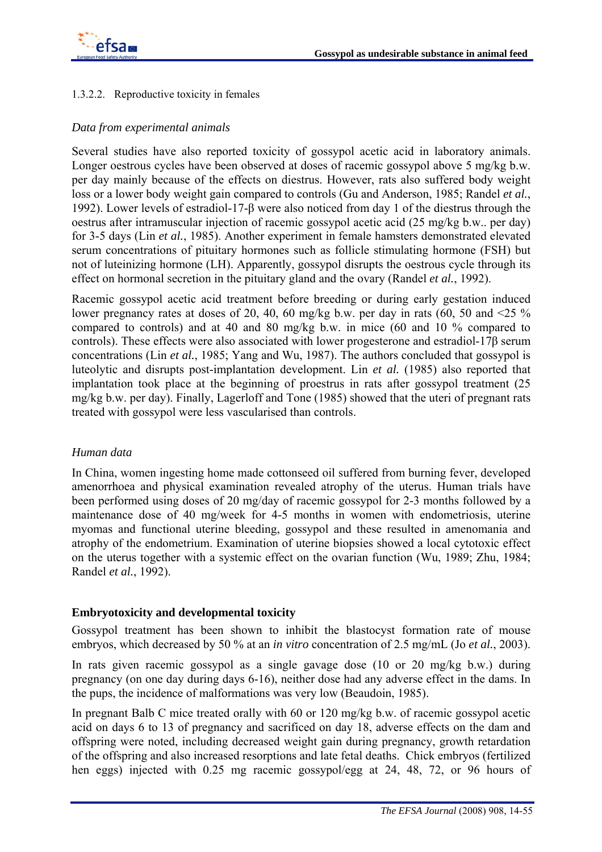

#### 1.3.2.2. Reproductive toxicity in females

#### *Data from experimental animals*

Several studies have also reported toxicity of gossypol acetic acid in laboratory animals. Longer oestrous cycles have been observed at doses of racemic gossypol above 5 mg/kg b.w. per day mainly because of the effects on diestrus. However, rats also suffered body weight loss or a lower body weight gain compared to controls (Gu and Anderson, 1985; Randel *et al.*, 1992). Lower levels of estradiol-17-β were also noticed from day 1 of the diestrus through the oestrus after intramuscular injection of racemic gossypol acetic acid (25 mg/kg b.w.. per day) for 3-5 days (Lin *et al.*, 1985). Another experiment in female hamsters demonstrated elevated serum concentrations of pituitary hormones such as follicle stimulating hormone (FSH) but not of luteinizing hormone (LH). Apparently, gossypol disrupts the oestrous cycle through its effect on hormonal secretion in the pituitary gland and the ovary (Randel *et al.*, 1992).

Racemic gossypol acetic acid treatment before breeding or during early gestation induced lower pregnancy rates at doses of 20, 40, 60 mg/kg b.w. per day in rats (60, 50 and <25 % compared to controls) and at 40 and 80 mg/kg b.w. in mice (60 and 10 % compared to controls). These effects were also associated with lower progesterone and estradiol-17β serum concentrations (Lin *et al.*, 1985; Yang and Wu, 1987). The authors concluded that gossypol is luteolytic and disrupts post-implantation development. Lin *et al.* (1985) also reported that implantation took place at the beginning of proestrus in rats after gossypol treatment (25 mg/kg b.w. per day). Finally, Lagerloff and Tone (1985) showed that the uteri of pregnant rats treated with gossypol were less vascularised than controls.

#### *Human data*

In China, women ingesting home made cottonseed oil suffered from burning fever, developed amenorrhoea and physical examination revealed atrophy of the uterus. Human trials have been performed using doses of 20 mg/day of racemic gossypol for 2-3 months followed by a maintenance dose of 40 mg/week for 4-5 months in women with endometriosis, uterine myomas and functional uterine bleeding, gossypol and these resulted in amenomania and atrophy of the endometrium. Examination of uterine biopsies showed a local cytotoxic effect on the uterus together with a systemic effect on the ovarian function (Wu, 1989; Zhu, 1984; Randel *et al.*, 1992).

#### **Embryotoxicity and developmental toxicity**

Gossypol treatment has been shown to inhibit the blastocyst formation rate of mouse embryos, which decreased by 50 % at an *in vitro* concentration of 2.5 mg/mL (Jo *et al.*, 2003).

In rats given racemic gossypol as a single gavage dose (10 or 20 mg/kg b.w.) during pregnancy (on one day during days 6-16), neither dose had any adverse effect in the dams. In the pups, the incidence of malformations was very low (Beaudoin, 1985).

In pregnant Balb C mice treated orally with 60 or 120 mg/kg b.w. of racemic gossypol acetic acid on days 6 to 13 of pregnancy and sacrificed on day 18, adverse effects on the dam and offspring were noted, including decreased weight gain during pregnancy, growth retardation of the offspring and also increased resorptions and late fetal deaths. Chick embryos (fertilized hen eggs) injected with 0.25 mg racemic gossypol/egg at 24, 48, 72, or 96 hours of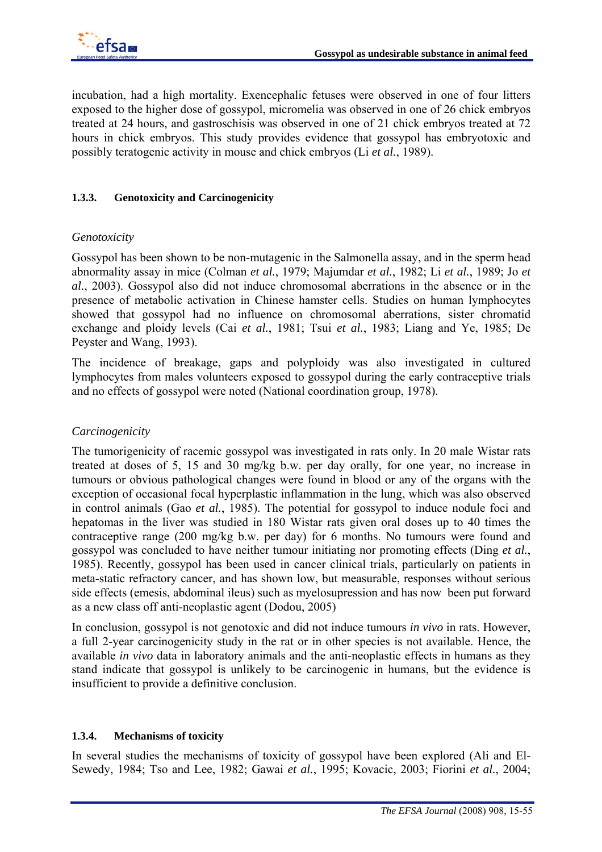incubation, had a high mortality. Exencephalic fetuses were observed in one of four litters exposed to the higher dose of gossypol, micromelia was observed in one of 26 chick embryos treated at 24 hours, and gastroschisis was observed in one of 21 chick embryos treated at 72 hours in chick embryos. This study provides evidence that gossypol has embryotoxic and possibly teratogenic activity in mouse and chick embryos (Li *et al.*, 1989).

#### **1.3.3. Genotoxicity and Carcinogenicity**

#### *Genotoxicity*

Gossypol has been shown to be non-mutagenic in the Salmonella assay, and in the sperm head abnormality assay in mice (Colman *et al.*, 1979; Majumdar *et al.*, 1982; Li *et al.*, 1989; Jo *et al.*, 2003). Gossypol also did not induce chromosomal aberrations in the absence or in the presence of metabolic activation in Chinese hamster cells. Studies on human lymphocytes showed that gossypol had no influence on chromosomal aberrations, sister chromatid exchange and ploidy levels (Cai *et al.*, 1981; Tsui *et al.*, 1983; Liang and Ye, 1985; De Peyster and Wang, 1993).

The incidence of breakage, gaps and polyploidy was also investigated in cultured lymphocytes from males volunteers exposed to gossypol during the early contraceptive trials and no effects of gossypol were noted (National coordination group, 1978).

#### *Carcinogenicity*

The tumorigenicity of racemic gossypol was investigated in rats only. In 20 male Wistar rats treated at doses of 5, 15 and 30 mg/kg b.w. per day orally, for one year, no increase in tumours or obvious pathological changes were found in blood or any of the organs with the exception of occasional focal hyperplastic inflammation in the lung, which was also observed in control animals (Gao *et al.*, 1985). The potential for gossypol to induce nodule foci and hepatomas in the liver was studied in 180 Wistar rats given oral doses up to 40 times the contraceptive range (200 mg/kg b.w. per day) for 6 months. No tumours were found and gossypol was concluded to have neither tumour initiating nor promoting effects (Ding *et al.*, 1985). Recently, gossypol has been used in cancer clinical trials, particularly on patients in meta-static refractory cancer, and has shown low, but measurable, responses without serious side effects (emesis, abdominal ileus) such as myelosupression and has now been put forward as a new class off anti-neoplastic agent (Dodou, 2005)

In conclusion, gossypol is not genotoxic and did not induce tumours *in vivo* in rats. However, a full 2-year carcinogenicity study in the rat or in other species is not available. Hence, the available *in vivo* data in laboratory animals and the anti-neoplastic effects in humans as they stand indicate that gossypol is unlikely to be carcinogenic in humans, but the evidence is insufficient to provide a definitive conclusion.

#### **1.3.4. Mechanisms of toxicity**

In several studies the mechanisms of toxicity of gossypol have been explored (Ali and El-Sewedy, 1984; Tso and Lee, 1982; Gawai *et al.*, 1995; Kovacic, 2003; Fiorini *et al.*, 2004;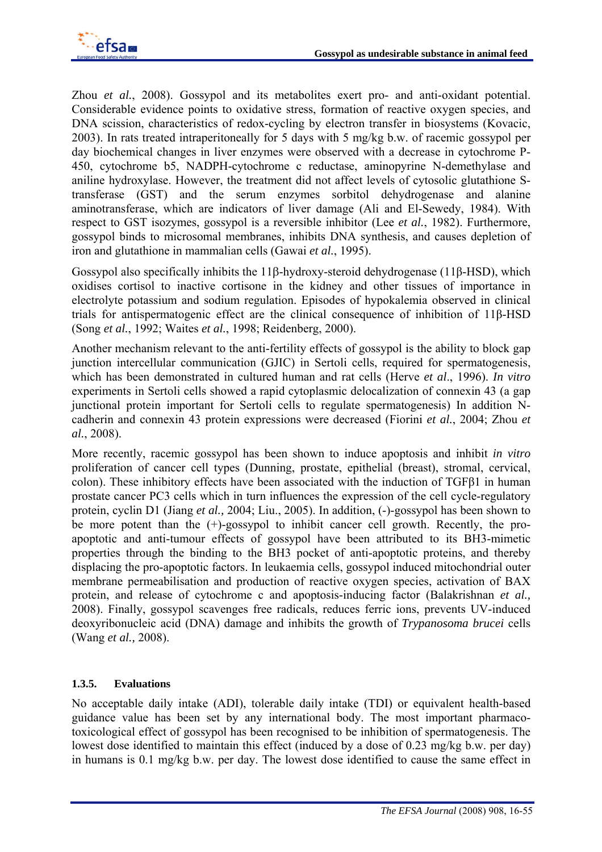Zhou *et al.*, 2008). Gossypol and its metabolites exert pro- and anti-oxidant potential. Considerable evidence points to oxidative stress, formation of reactive oxygen species, and DNA scission, characteristics of redox-cycling by electron transfer in biosystems (Kovacic, 2003). In rats treated intraperitoneally for 5 days with 5 mg/kg b.w. of racemic gossypol per day biochemical changes in liver enzymes were observed with a decrease in cytochrome P-450, cytochrome b5, NADPH-cytochrome c reductase, aminopyrine N-demethylase and aniline hydroxylase. However, the treatment did not affect levels of cytosolic glutathione Stransferase (GST) and the serum enzymes sorbitol dehydrogenase and alanine aminotransferase, which are indicators of liver damage (Ali and El-Sewedy, 1984). With respect to GST isozymes, gossypol is a reversible inhibitor (Lee *et al.*, 1982). Furthermore, gossypol binds to microsomal membranes, inhibits DNA synthesis, and causes depletion of iron and glutathione in mammalian cells (Gawai *et al.*, 1995).

Gossypol also specifically inhibits the 11β-hydroxy-steroid dehydrogenase (11β-HSD), which oxidises cortisol to inactive cortisone in the kidney and other tissues of importance in electrolyte potassium and sodium regulation. Episodes of hypokalemia observed in clinical trials for antispermatogenic effect are the clinical consequence of inhibition of 11β-HSD (Song *et al.*, 1992; Waites *et al.*, 1998; Reidenberg, 2000).

Another mechanism relevant to the anti-fertility effects of gossypol is the ability to block gap junction intercellular communication (GJIC) in Sertoli cells, required for spermatogenesis, which has been demonstrated in cultured human and rat cells (Herve *et al*., 1996). *In vitro*  experiments in Sertoli cells showed a rapid cytoplasmic delocalization of connexin 43 (a gap junctional protein important for Sertoli cells to regulate spermatogenesis) In addition Ncadherin and connexin 43 protein expressions were decreased (Fiorini *et al.*, 2004; Zhou *et al.*, 2008).

More recently, racemic gossypol has been shown to induce apoptosis and inhibit *in vitro* proliferation of cancer cell types (Dunning, prostate, epithelial (breast), stromal, cervical, colon). These inhibitory effects have been associated with the induction of TGFβ1 in human prostate cancer PC3 cells which in turn influences the expression of the cell cycle-regulatory protein, cyclin D1 (Jiang *et al.,* 2004; Liu., 2005). In addition, (-)-gossypol has been shown to be more potent than the (+)-gossypol to inhibit cancer cell growth. Recently, the proapoptotic and anti-tumour effects of gossypol have been attributed to its BH3-mimetic properties through the binding to the BH3 pocket of anti-apoptotic proteins, and thereby displacing the pro-apoptotic factors. In leukaemia cells, gossypol induced mitochondrial outer membrane permeabilisation and production of reactive oxygen species, activation of BAX protein, and release of cytochrome c and apoptosis-inducing factor (Balakrishnan *et al.,* 2008). Finally, gossypol scavenges free radicals, reduces ferric ions, prevents UV-induced deoxyribonucleic acid (DNA) damage and inhibits the growth of *Trypanosoma brucei* cells (Wang *et al.,* 2008).

# **1.3.5. Evaluations**

No acceptable daily intake (ADI), tolerable daily intake (TDI) or equivalent health-based guidance value has been set by any international body. The most important pharmacotoxicological effect of gossypol has been recognised to be inhibition of spermatogenesis. The lowest dose identified to maintain this effect (induced by a dose of 0.23 mg/kg b.w. per day) in humans is 0.1 mg/kg b.w. per day. The lowest dose identified to cause the same effect in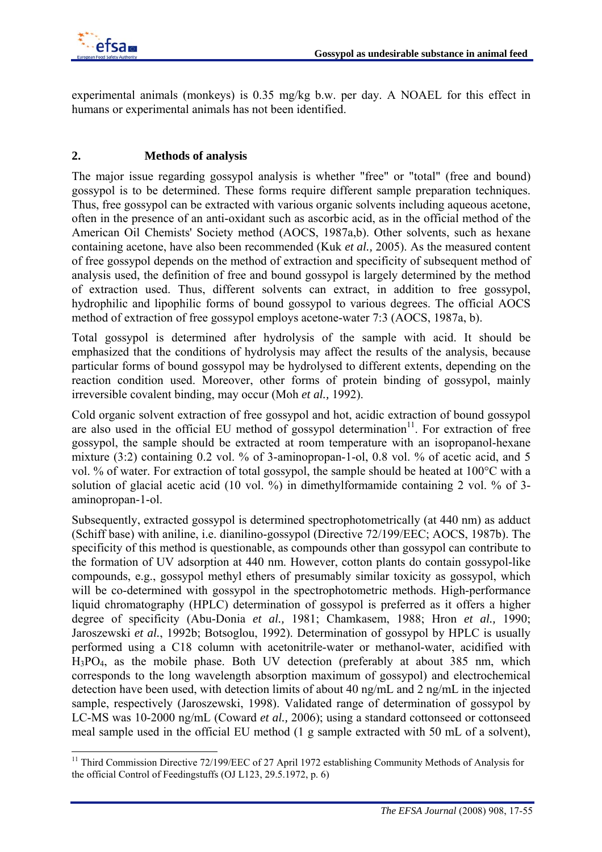

 $\overline{\phantom{a}}$ 

experimental animals (monkeys) is 0.35 mg/kg b.w. per day. A NOAEL for this effect in humans or experimental animals has not been identified.

## **2. Methods of analysis**

The major issue regarding gossypol analysis is whether "free" or "total" (free and bound) gossypol is to be determined. These forms require different sample preparation techniques. Thus, free gossypol can be extracted with various organic solvents including aqueous acetone, often in the presence of an anti-oxidant such as ascorbic acid, as in the official method of the American Oil Chemists' Society method (AOCS, 1987a,b). Other solvents, such as hexane containing acetone, have also been recommended (Kuk *et al.,* 2005). As the measured content of free gossypol depends on the method of extraction and specificity of subsequent method of analysis used, the definition of free and bound gossypol is largely determined by the method of extraction used. Thus, different solvents can extract, in addition to free gossypol, hydrophilic and lipophilic forms of bound gossypol to various degrees. The official AOCS method of extraction of free gossypol employs acetone-water 7:3 (AOCS, 1987a, b).

Total gossypol is determined after hydrolysis of the sample with acid. It should be emphasized that the conditions of hydrolysis may affect the results of the analysis, because particular forms of bound gossypol may be hydrolysed to different extents, depending on the reaction condition used. Moreover, other forms of protein binding of gossypol, mainly irreversible covalent binding, may occur (Moh *et al.,* 1992).

Cold organic solvent extraction of free gossypol and hot, acidic extraction of bound gossypol are also used in the official EU method of gossypol determination<sup>11</sup>. For extraction of free gossypol, the sample should be extracted at room temperature with an isopropanol-hexane mixture (3:2) containing 0.2 vol. % of 3-aminopropan-1-ol, 0.8 vol. % of acetic acid, and 5 vol. % of water. For extraction of total gossypol, the sample should be heated at 100°C with a solution of glacial acetic acid (10 vol. %) in dimethylformamide containing 2 vol. % of 3aminopropan-1-ol.

Subsequently, extracted gossypol is determined spectrophotometrically (at 440 nm) as adduct (Schiff base) with aniline, i.e. dianilino-gossypol (Directive 72/199/EEC; AOCS, 1987b). The specificity of this method is questionable, as compounds other than gossypol can contribute to the formation of UV adsorption at 440 nm. However, cotton plants do contain gossypol-like compounds, e.g., gossypol methyl ethers of presumably similar toxicity as gossypol, which will be co-determined with gossypol in the spectrophotometric methods. High-performance liquid chromatography (HPLC) determination of gossypol is preferred as it offers a higher degree of specificity (Abu-Donia *et al.,* 1981; Chamkasem, 1988; Hron *et al.,* 1990; Jaroszewski *et al.*, 1992b; Botsoglou, 1992). Determination of gossypol by HPLC is usually performed using a C18 column with acetonitrile-water or methanol-water, acidified with H3PO4, as the mobile phase. Both UV detection (preferably at about 385 nm, which corresponds to the long wavelength absorption maximum of gossypol) and electrochemical detection have been used, with detection limits of about 40 ng/mL and 2 ng/mL in the injected sample, respectively (Jaroszewski, 1998). Validated range of determination of gossypol by LC-MS was 10-2000 ng/mL (Coward *et al.,* 2006); using a standard cottonseed or cottonseed meal sample used in the official EU method (1 g sample extracted with 50 mL of a solvent),

<sup>&</sup>lt;sup>11</sup> Third Commission Directive 72/199/EEC of 27 April 1972 establishing Community Methods of Analysis for the official Control of Feedingstuffs (OJ L123, 29.5.1972, p. 6)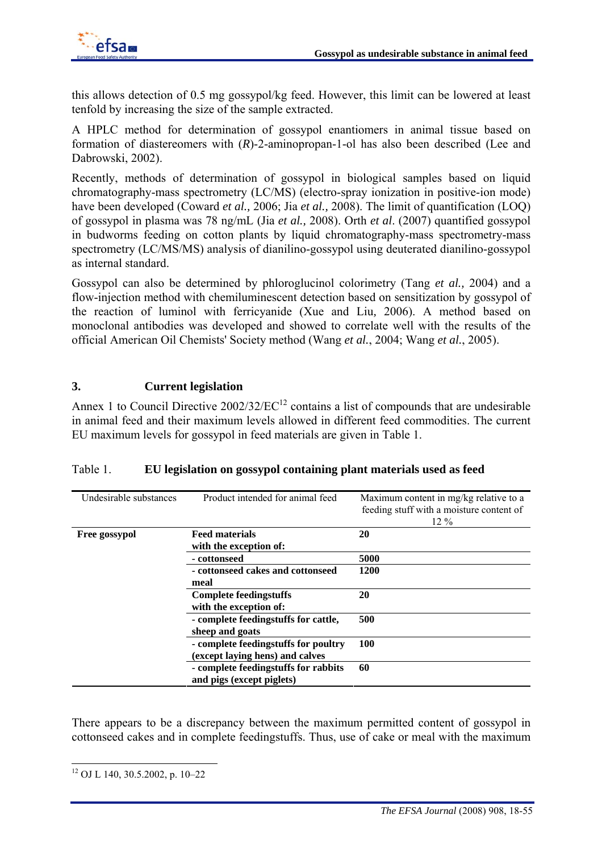

this allows detection of 0.5 mg gossypol/kg feed. However, this limit can be lowered at least tenfold by increasing the size of the sample extracted.

A HPLC method for determination of gossypol enantiomers in animal tissue based on formation of diastereomers with (*R*)-2-aminopropan-1-ol has also been described (Lee and Dabrowski, 2002).

Recently, methods of determination of gossypol in biological samples based on liquid chromatography-mass spectrometry (LC/MS) (electro-spray ionization in positive-ion mode) have been developed (Coward *et al.,* 2006; Jia *et al.,* 2008). The limit of quantification (LOQ) of gossypol in plasma was 78 ng/mL (Jia *et al.,* 2008). Orth *et al*. (2007) quantified gossypol in budworms feeding on cotton plants by liquid chromatography-mass spectrometry-mass spectrometry (LC/MS/MS) analysis of dianilino-gossypol using deuterated dianilino-gossypol as internal standard.

Gossypol can also be determined by phloroglucinol colorimetry (Tang *et al.,* 2004) and a flow-injection method with chemiluminescent detection based on sensitization by gossypol of the reaction of luminol with ferricyanide (Xue and Liu*,* 2006). A method based on monoclonal antibodies was developed and showed to correlate well with the results of the official American Oil Chemists' Society method (Wang *et al.*, 2004; Wang *et al.*, 2005).

#### **3. Current legislation**

Annex 1 to Council Directive  $2002/32/EC^{12}$  contains a list of compounds that are undesirable in animal feed and their maximum levels allowed in different feed commodities. The current EU maximum levels for gossypol in feed materials are given in Table 1.

| Undesirable substances | Product intended for animal feed     | Maximum content in mg/kg relative to a   |
|------------------------|--------------------------------------|------------------------------------------|
|                        |                                      | feeding stuff with a moisture content of |
|                        |                                      | $12\%$                                   |
|                        |                                      |                                          |
| Free gossypol          | <b>Feed materials</b>                | 20                                       |
|                        | with the exception of:               |                                          |
|                        | - cottonseed                         | 5000                                     |
|                        | - cottonseed cakes and cottonseed    | 1200                                     |
|                        | meal                                 |                                          |
|                        | <b>Complete feedingstuffs</b>        | 20                                       |
|                        | with the exception of:               |                                          |
|                        | - complete feedingstuffs for cattle, | 500                                      |
|                        | sheep and goats                      |                                          |
|                        | - complete feedingstuffs for poultry | 100                                      |
|                        | (except laying hens) and calves      |                                          |
|                        | - complete feedingstuffs for rabbits | 60                                       |
|                        | and pigs (except piglets)            |                                          |
|                        |                                      |                                          |

#### Table 1. **EU legislation on gossypol containing plant materials used as feed**

There appears to be a discrepancy between the maximum permitted content of gossypol in cottonseed cakes and in complete feedingstuffs. Thus, use of cake or meal with the maximum

 $\overline{a}$ 

<sup>12</sup> OJ L 140, 30.5.2002, p. 10–22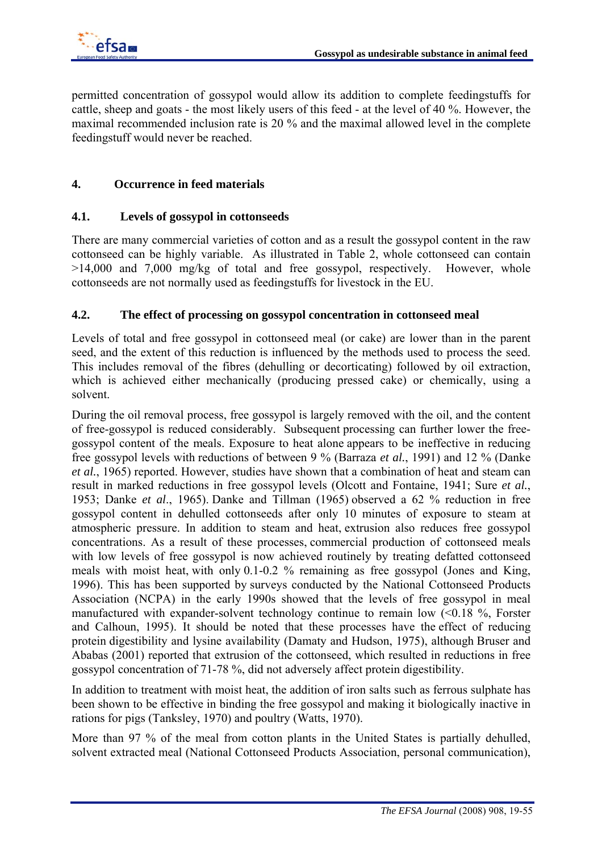permitted concentration of gossypol would allow its addition to complete feedingstuffs for cattle, sheep and goats - the most likely users of this feed - at the level of 40 %. However, the maximal recommended inclusion rate is 20 % and the maximal allowed level in the complete feedingstuff would never be reached.

## **4. Occurrence in feed materials**

## **4.1. Levels of gossypol in cottonseeds**

There are many commercial varieties of cotton and as a result the gossypol content in the raw cottonseed can be highly variable. As illustrated in Table 2, whole cottonseed can contain >14,000 and 7,000 mg/kg of total and free gossypol, respectively. However, whole cottonseeds are not normally used as feedingstuffs for livestock in the EU.

#### **4.2. The effect of processing on gossypol concentration in cottonseed meal**

Levels of total and free gossypol in cottonseed meal (or cake) are lower than in the parent seed, and the extent of this reduction is influenced by the methods used to process the seed. This includes removal of the fibres (dehulling or decorticating) followed by oil extraction, which is achieved either mechanically (producing pressed cake) or chemically, using a solvent.

During the oil removal process, free gossypol is largely removed with the oil, and the content of free-gossypol is reduced considerably. Subsequent processing can further lower the freegossypol content of the meals. Exposure to heat alone appears to be ineffective in reducing free gossypol levels with reductions of between 9 % (Barraza *et al.*, 1991) and 12 % (Danke *et al.*, 1965) reported. However, studies have shown that a combination of heat and steam can result in marked reductions in free gossypol levels (Olcott and Fontaine, 1941; Sure *et al.*, 1953; Danke *et al*., 1965). Danke and Tillman (1965) observed a 62 % reduction in free gossypol content in dehulled cottonseeds after only 10 minutes of exposure to steam at atmospheric pressure. In addition to steam and heat, extrusion also reduces free gossypol concentrations. As a result of these processes, commercial production of cottonseed meals with low levels of free gossypol is now achieved routinely by treating defatted cottonseed meals with moist heat, with only 0.1-0.2 % remaining as free gossypol (Jones and King, 1996). This has been supported by surveys conducted by the National Cottonseed Products Association (NCPA) in the early 1990s showed that the levels of free gossypol in meal manufactured with expander-solvent technology continue to remain low  $\ll 0.18$  %, Forster and Calhoun, 1995). It should be noted that these processes have the effect of reducing protein digestibility and lysine availability (Damaty and Hudson, 1975), although Bruser and Ababas (2001) reported that extrusion of the cottonseed, which resulted in reductions in free gossypol concentration of 71-78 %, did not adversely affect protein digestibility.

In addition to treatment with moist heat, the addition of iron salts such as ferrous sulphate has been shown to be effective in binding the free gossypol and making it biologically inactive in rations for pigs (Tanksley, 1970) and poultry (Watts, 1970).

More than 97 % of the meal from cotton plants in the United States is partially dehulled, solvent extracted meal (National Cottonseed Products Association, personal communication),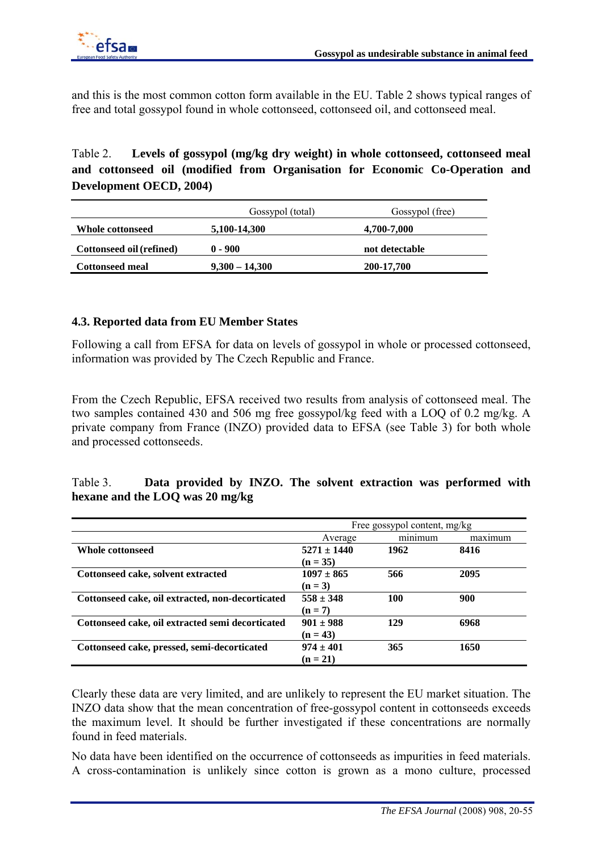

and this is the most common cotton form available in the EU. Table 2 shows typical ranges of free and total gossypol found in whole cottonseed, cottonseed oil, and cottonseed meal.

Table 2. **Levels of gossypol (mg/kg dry weight) in whole cottonseed, cottonseed meal and cottonseed oil (modified from Organisation for Economic Co-Operation and Development OECD, 2004)**

|                          | Gossypol (total) | Gossypol (free) |
|--------------------------|------------------|-----------------|
| Whole cottonseed         | 5,100-14,300     | 4,700-7,000     |
| Cottonseed oil (refined) | $0 - 900$        | not detectable  |
| <b>Cottonseed meal</b>   | $9,300 - 14,300$ | 200-17,700      |

#### **4.3. Reported data from EU Member States**

Following a call from EFSA for data on levels of gossypol in whole or processed cottonseed, information was provided by The Czech Republic and France.

From the Czech Republic, EFSA received two results from analysis of cottonseed meal. The two samples contained 430 and 506 mg free gossypol/kg feed with a LOQ of 0.2 mg/kg. A private company from France (INZO) provided data to EFSA (see Table 3) for both whole and processed cottonseeds.

#### Table 3. **Data provided by INZO. The solvent extraction was performed with hexane and the LOQ was 20 mg/kg**

|                                                  | Free gossypol content, mg/kg |                            |         |  |  |
|--------------------------------------------------|------------------------------|----------------------------|---------|--|--|
|                                                  | Average                      | $\cdot$ $\cdot$<br>minimum | maximum |  |  |
| Whole cottonseed                                 | $5271 \pm 1440$              | 1962                       | 8416    |  |  |
|                                                  | $(n = 35)$                   |                            |         |  |  |
| Cottonseed cake, solvent extracted               | $1097 \pm 865$               | 566                        | 2095    |  |  |
|                                                  | $(n = 3)$                    |                            |         |  |  |
| Cottonseed cake, oil extracted, non-decorticated | $558 \pm 348$                | 100                        | 900     |  |  |
|                                                  | $(n = 7)$                    |                            |         |  |  |
| Cottonseed cake, oil extracted semi decorticated | $901 \pm 988$                | 129                        | 6968    |  |  |
|                                                  | $(n = 43)$                   |                            |         |  |  |
| Cottonseed cake, pressed, semi-decorticated      | $974 + 401$                  | 365                        | 1650    |  |  |
|                                                  | $(n = 21)$                   |                            |         |  |  |

Clearly these data are very limited, and are unlikely to represent the EU market situation. The INZO data show that the mean concentration of free-gossypol content in cottonseeds exceeds the maximum level. It should be further investigated if these concentrations are normally found in feed materials.

No data have been identified on the occurrence of cottonseeds as impurities in feed materials. A cross-contamination is unlikely since cotton is grown as a mono culture, processed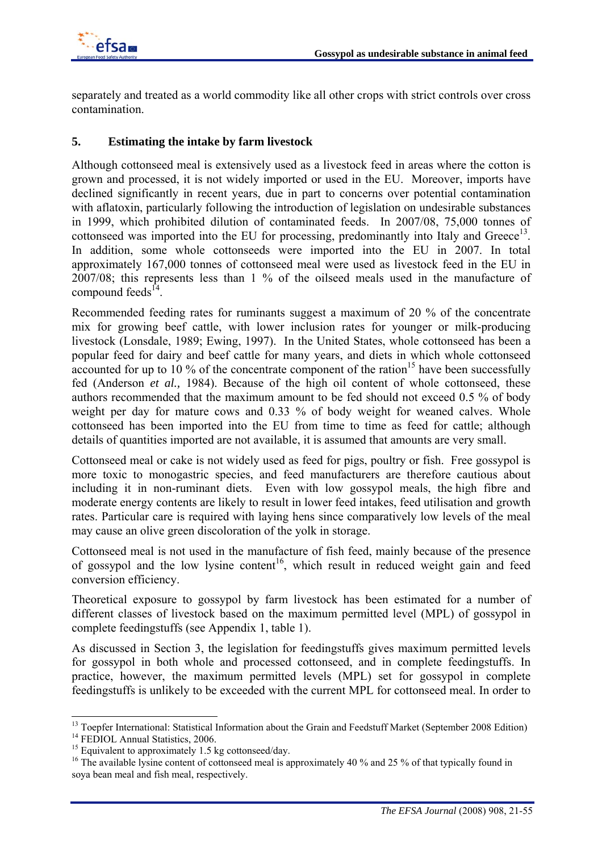

separately and treated as a world commodity like all other crops with strict controls over cross contamination.

### **5. Estimating the intake by farm livestock**

Although cottonseed meal is extensively used as a livestock feed in areas where the cotton is grown and processed, it is not widely imported or used in the EU. Moreover, imports have declined significantly in recent years, due in part to concerns over potential contamination with aflatoxin, particularly following the introduction of legislation on undesirable substances in 1999, which prohibited dilution of contaminated feeds. In 2007/08, 75,000 tonnes of cottonseed was imported into the EU for processing, predominantly into Italy and Greece<sup>13</sup>. In addition, some whole cottonseeds were imported into the EU in 2007. In total approximately 167,000 tonnes of cottonseed meal were used as livestock feed in the EU in 2007/08; this represents less than 1 % of the oilseed meals used in the manufacture of compound feeds $^{14}$ .

Recommended feeding rates for ruminants suggest a maximum of 20 % of the concentrate mix for growing beef cattle, with lower inclusion rates for younger or milk-producing livestock (Lonsdale, 1989; Ewing, 1997). In the United States, whole cottonseed has been a popular feed for dairy and beef cattle for many years, and diets in which whole cottonseed accounted for up to 10  $\%$  of the concentrate component of the ration<sup>15</sup> have been successfully fed (Anderson *et al.,* 1984). Because of the high oil content of whole cottonseed, these authors recommended that the maximum amount to be fed should not exceed 0.5 % of body weight per day for mature cows and 0.33 % of body weight for weaned calves. Whole cottonseed has been imported into the EU from time to time as feed for cattle; although details of quantities imported are not available, it is assumed that amounts are very small.

Cottonseed meal or cake is not widely used as feed for pigs, poultry or fish. Free gossypol is more toxic to monogastric species, and feed manufacturers are therefore cautious about including it in non-ruminant diets. Even with low gossypol meals, the high fibre and moderate energy contents are likely to result in lower feed intakes, feed utilisation and growth rates. Particular care is required with laying hens since comparatively low levels of the meal may cause an olive green discoloration of the yolk in storage.

Cottonseed meal is not used in the manufacture of fish feed, mainly because of the presence of gossypol and the low lysine content<sup>16</sup>, which result in reduced weight gain and feed conversion efficiency.

Theoretical exposure to gossypol by farm livestock has been estimated for a number of different classes of livestock based on the maximum permitted level (MPL) of gossypol in complete feedingstuffs (see Appendix 1, table 1).

As discussed in Section 3, the legislation for feedingstuffs gives maximum permitted levels for gossypol in both whole and processed cottonseed, and in complete feedingstuffs. In practice, however, the maximum permitted levels (MPL) set for gossypol in complete feedingstuffs is unlikely to be exceeded with the current MPL for cottonseed meal. In order to

 $\overline{\phantom{a}}$ 

<sup>&</sup>lt;sup>13</sup> Toepfer International: Statistical Information about the Grain and Feedstuff Market (September 2008 Edition)  $14$  FEDIOL Annual Statistics, 2006.

<sup>&</sup>lt;sup>15</sup> Equivalent to approximately 1.5 kg cottonseed/day.

<sup>&</sup>lt;sup>16</sup> The available lysine content of cottonseed meal is approximately 40 % and 25 % of that typically found in soya bean meal and fish meal, respectively.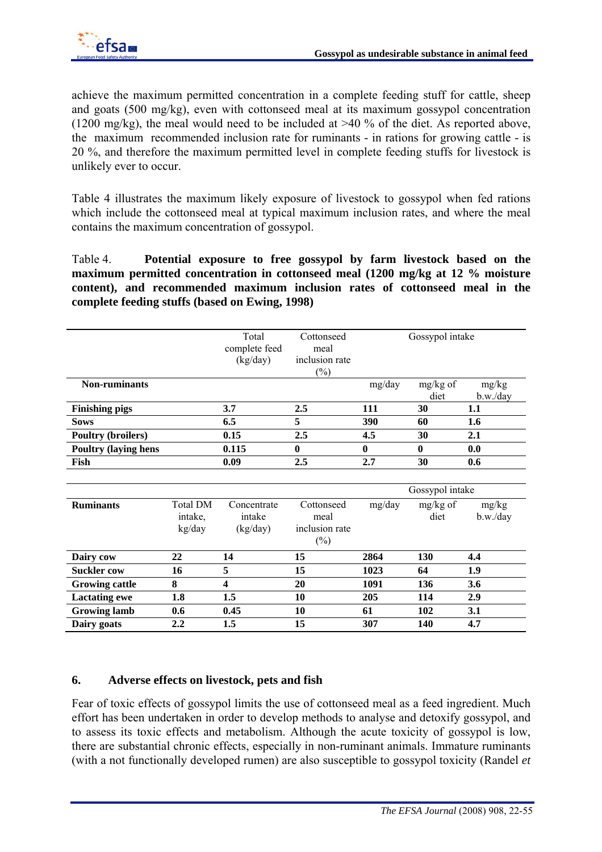achieve the maximum permitted concentration in a complete feeding stuff for cattle, sheep and goats (500 mg/kg), even with cottonseed meal at its maximum gossypol concentration (1200 mg/kg), the meal would need to be included at >40 % of the diet. As reported above, the maximum recommended inclusion rate for ruminants - in rations for growing cattle - is 20 %, and therefore the maximum permitted level in complete feeding stuffs for livestock is unlikely ever to occur.

Table 4 illustrates the maximum likely exposure of livestock to gossypol when fed rations which include the cottonseed meal at typical maximum inclusion rates, and where the meal contains the maximum concentration of gossypol.

Table 4. **Potential exposure to free gossypol by farm livestock based on the maximum permitted concentration in cottonseed meal (1200 mg/kg at 12 % moisture content), and recommended maximum inclusion rates of cottonseed meal in the complete feeding stuffs (based on Ewing, 1998)**

|                             |                                      | Total<br>complete feed<br>(kg/day) | Cottonseed<br>meal<br>inclusion rate<br>$(\%)$ |          | Gossypol intake    |                   |
|-----------------------------|--------------------------------------|------------------------------------|------------------------------------------------|----------|--------------------|-------------------|
| <b>Non-ruminants</b>        |                                      |                                    |                                                | mg/day   | $mg/kg$ of<br>diet | mg/kg<br>b.w./day |
| <b>Finishing pigs</b>       |                                      | 3.7                                | 2.5                                            | 111      | 30                 | 1.1               |
| <b>Sows</b>                 |                                      | 6.5                                | 5                                              | 390      | 60                 | 1.6               |
| <b>Poultry (broilers)</b>   |                                      | 0.15                               | 2.5                                            | 4.5      | 30                 | 2.1               |
| <b>Poultry (laying hens</b> |                                      | 0.115                              | $\bf{0}$                                       | $\bf{0}$ | $\bf{0}$           | 0.0               |
| Fish                        |                                      | 0.09                               | 2.5                                            | 2.7      | 30                 | 0.6               |
|                             |                                      |                                    |                                                |          | Gossypol intake    |                   |
| <b>Ruminants</b>            | <b>Total DM</b><br>intake,<br>kg/day | Concentrate<br>intake<br>(kg/day)  | Cottonseed<br>meal<br>inclusion rate<br>$(\%)$ | mg/day   | $mg/kg$ of<br>diet | mg/kg<br>b.w./day |
| Dairy cow                   | 22                                   | 14                                 | 15                                             | 2864     | 130                | 4.4               |
| <b>Suckler cow</b>          | 16                                   | 5                                  | 15                                             | 1023     | 64                 | 1.9               |
| <b>Growing cattle</b>       | 8                                    | $\overline{\mathbf{4}}$            | 20                                             | 1091     | 136                | 3.6               |
| <b>Lactating ewe</b>        | 1.8                                  | 1.5                                | 10                                             | 205      | 114                | 2.9               |
| <b>Growing lamb</b>         | 0.6                                  | 0.45                               | 10                                             | 61       | 102                | 3.1               |
| Dairy goats                 | 2.2                                  | 1.5                                | 15                                             | 307      | 140                | 4.7               |

# **6. Adverse effects on livestock, pets and fish**

Fear of toxic effects of gossypol limits the use of cottonseed meal as a feed ingredient. Much effort has been undertaken in order to develop methods to analyse and detoxify gossypol, and to assess its toxic effects and metabolism. Although the acute toxicity of gossypol is low, there are substantial chronic effects, especially in non-ruminant animals. Immature ruminants (with a not functionally developed rumen) are also susceptible to gossypol toxicity (Randel *et*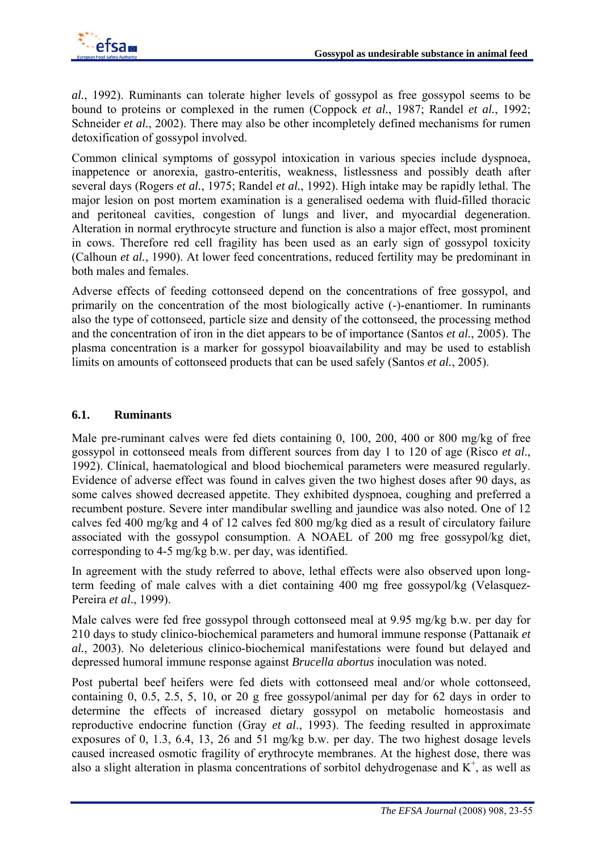

*al.*, 1992). Ruminants can tolerate higher levels of gossypol as free gossypol seems to be bound to proteins or complexed in the rumen (Coppock *et al.*, 1987; Randel *et al.*, 1992; Schneider *et al.*, 2002). There may also be other incompletely defined mechanisms for rumen detoxification of gossypol involved.

Common clinical symptoms of gossypol intoxication in various species include dyspnoea, inappetence or anorexia, gastro-enteritis, weakness, listlessness and possibly death after several days (Rogers *et al.*, 1975; Randel *et al.*, 1992). High intake may be rapidly lethal. The major lesion on post mortem examination is a generalised oedema with fluid-filled thoracic and peritoneal cavities, congestion of lungs and liver, and myocardial degeneration. Alteration in normal erythrocyte structure and function is also a major effect, most prominent in cows. Therefore red cell fragility has been used as an early sign of gossypol toxicity (Calhoun *et al.*, 1990). At lower feed concentrations, reduced fertility may be predominant in both males and females.

Adverse effects of feeding cottonseed depend on the concentrations of free gossypol, and primarily on the concentration of the most biologically active (-)-enantiomer. In ruminants also the type of cottonseed, particle size and density of the cottonseed, the processing method and the concentration of iron in the diet appears to be of importance (Santos *et al.*, 2005). The plasma concentration is a marker for gossypol bioavailability and may be used to establish limits on amounts of cottonseed products that can be used safely (Santos *et al.*, 2005).

## **6.1. Ruminants**

Male pre-ruminant calves were fed diets containing 0, 100, 200, 400 or 800 mg/kg of free gossypol in cottonseed meals from different sources from day 1 to 120 of age (Risco *et al*., 1992). Clinical, haematological and blood biochemical parameters were measured regularly. Evidence of adverse effect was found in calves given the two highest doses after 90 days, as some calves showed decreased appetite. They exhibited dyspnoea, coughing and preferred a recumbent posture. Severe inter mandibular swelling and jaundice was also noted. One of 12 calves fed 400 mg/kg and 4 of 12 calves fed 800 mg/kg died as a result of circulatory failure associated with the gossypol consumption. A NOAEL of 200 mg free gossypol/kg diet, corresponding to 4-5 mg/kg b.w. per day, was identified.

In agreement with the study referred to above, lethal effects were also observed upon longterm feeding of male calves with a diet containing 400 mg free gossypol/kg (Velasquez-Pereira *et al*., 1999).

Male calves were fed free gossypol through cottonseed meal at 9.95 mg/kg b.w. per day for 210 days to study clinico-biochemical parameters and humoral immune response (Pattanaik *et al.*, 2003). No deleterious clinico-biochemical manifestations were found but delayed and depressed humoral immune response against *Brucella abortus* inoculation was noted.

Post pubertal beef heifers were fed diets with cottonseed meal and/or whole cottonseed, containing 0, 0.5, 2.5, 5, 10, or 20 g free gossypol/animal per day for 62 days in order to determine the effects of increased dietary gossypol on metabolic homeostasis and reproductive endocrine function (Gray *et al*., 1993). The feeding resulted in approximate exposures of 0, 1.3, 6.4, 13, 26 and 51 mg/kg b.w. per day. The two highest dosage levels caused increased osmotic fragility of erythrocyte membranes. At the highest dose, there was also a slight alteration in plasma concentrations of sorbitol dehydrogenase and  $K^+$ , as well as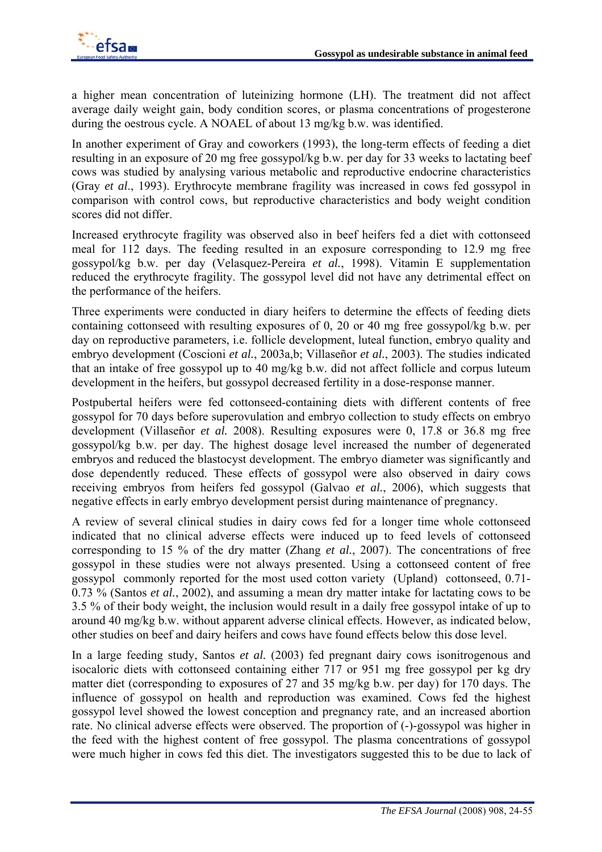

a higher mean concentration of luteinizing hormone (LH). The treatment did not affect average daily weight gain, body condition scores, or plasma concentrations of progesterone during the oestrous cycle. A NOAEL of about 13 mg/kg b.w. was identified.

In another experiment of Gray and coworkers (1993), the long-term effects of feeding a diet resulting in an exposure of 20 mg free gossypol/kg b.w. per day for 33 weeks to lactating beef cows was studied by analysing various metabolic and reproductive endocrine characteristics (Gray *et al*., 1993). Erythrocyte membrane fragility was increased in cows fed gossypol in comparison with control cows, but reproductive characteristics and body weight condition scores did not differ.

Increased erythrocyte fragility was observed also in beef heifers fed a diet with cottonseed meal for 112 days. The feeding resulted in an exposure corresponding to 12.9 mg free gossypol/kg b.w. per day (Velasquez-Pereira *et al.*, 1998). Vitamin E supplementation reduced the erythrocyte fragility. The gossypol level did not have any detrimental effect on the performance of the heifers.

Three experiments were conducted in diary heifers to determine the effects of feeding diets containing cottonseed with resulting exposures of 0, 20 or 40 mg free gossypol/kg b.w. per day on reproductive parameters, i.e. follicle development, luteal function, embryo quality and embryo development (Coscioni *et al.*, 2003a,b; Villaseñor *et al.*, 2003). The studies indicated that an intake of free gossypol up to 40 mg/kg b.w. did not affect follicle and corpus luteum development in the heifers, but gossypol decreased fertility in a dose-response manner.

Postpubertal heifers were fed cottonseed-containing diets with different contents of free gossypol for 70 days before superovulation and embryo collection to study effects on embryo development (Villaseñor *et al.* 2008). Resulting exposures were 0, 17.8 or 36.8 mg free gossypol/kg b.w. per day. The highest dosage level increased the number of degenerated embryos and reduced the blastocyst development. The embryo diameter was significantly and dose dependently reduced. These effects of gossypol were also observed in dairy cows receiving embryos from heifers fed gossypol (Galvao *et al.*, 2006), which suggests that negative effects in early embryo development persist during maintenance of pregnancy.

A review of several clinical studies in dairy cows fed for a longer time whole cottonseed indicated that no clinical adverse effects were induced up to feed levels of cottonseed corresponding to 15 % of the dry matter (Zhang *et al.*, 2007). The concentrations of free gossypol in these studies were not always presented. Using a cottonseed content of free gossypol commonly reported for the most used cotton variety (Upland) cottonseed, 0.71- 0.73 % (Santos *et al.*, 2002), and assuming a mean dry matter intake for lactating cows to be 3.5 % of their body weight, the inclusion would result in a daily free gossypol intake of up to around 40 mg/kg b.w. without apparent adverse clinical effects. However, as indicated below, other studies on beef and dairy heifers and cows have found effects below this dose level.

In a large feeding study, Santos *et al.* (2003) fed pregnant dairy cows isonitrogenous and isocaloric diets with cottonseed containing either 717 or 951 mg free gossypol per kg dry matter diet (corresponding to exposures of 27 and 35 mg/kg b.w. per day) for 170 days. The influence of gossypol on health and reproduction was examined. Cows fed the highest gossypol level showed the lowest conception and pregnancy rate, and an increased abortion rate. No clinical adverse effects were observed. The proportion of (-)-gossypol was higher in the feed with the highest content of free gossypol. The plasma concentrations of gossypol were much higher in cows fed this diet. The investigators suggested this to be due to lack of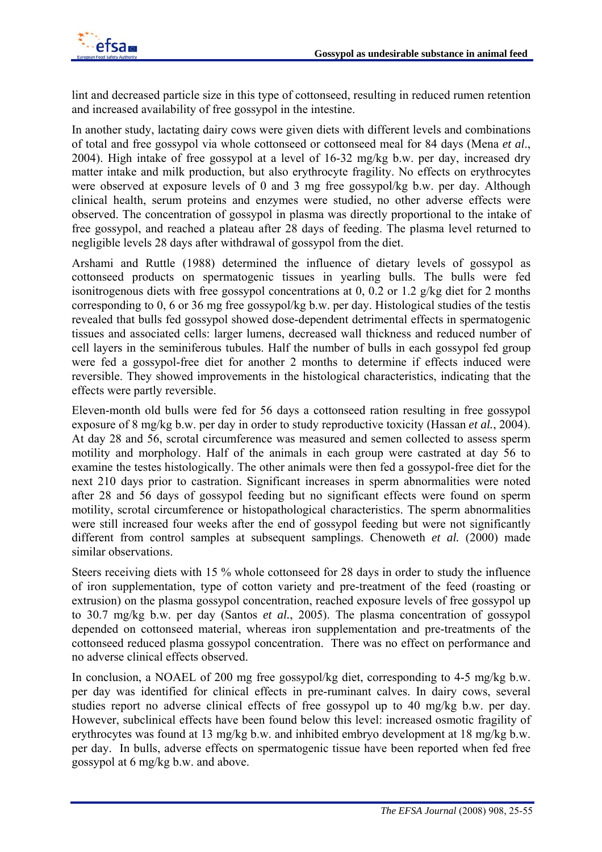

lint and decreased particle size in this type of cottonseed, resulting in reduced rumen retention and increased availability of free gossypol in the intestine.

In another study, lactating dairy cows were given diets with different levels and combinations of total and free gossypol via whole cottonseed or cottonseed meal for 84 days (Mena *et al*., 2004). High intake of free gossypol at a level of 16-32 mg/kg b.w. per day, increased dry matter intake and milk production, but also erythrocyte fragility. No effects on erythrocytes were observed at exposure levels of 0 and 3 mg free gossypol/kg b.w. per day. Although clinical health, serum proteins and enzymes were studied, no other adverse effects were observed. The concentration of gossypol in plasma was directly proportional to the intake of free gossypol, and reached a plateau after 28 days of feeding. The plasma level returned to negligible levels 28 days after withdrawal of gossypol from the diet.

Arshami and Ruttle (1988) determined the influence of dietary levels of gossypol as cottonseed products on spermatogenic tissues in yearling bulls. The bulls were fed isonitrogenous diets with free gossypol concentrations at 0, 0.2 or 1.2 g/kg diet for 2 months corresponding to 0, 6 or 36 mg free gossypol/kg b.w. per day. Histological studies of the testis revealed that bulls fed gossypol showed dose-dependent detrimental effects in spermatogenic tissues and associated cells: larger lumens, decreased wall thickness and reduced number of cell layers in the seminiferous tubules. Half the number of bulls in each gossypol fed group were fed a gossypol-free diet for another 2 months to determine if effects induced were reversible. They showed improvements in the histological characteristics, indicating that the effects were partly reversible.

Eleven-month old bulls were fed for 56 days a cottonseed ration resulting in free gossypol exposure of 8 mg/kg b.w. per day in order to study reproductive toxicity (Hassan *et al.*, 2004). At day 28 and 56, scrotal circumference was measured and semen collected to assess sperm motility and morphology. Half of the animals in each group were castrated at day 56 to examine the testes histologically. The other animals were then fed a gossypol-free diet for the next 210 days prior to castration. Significant increases in sperm abnormalities were noted after 28 and 56 days of gossypol feeding but no significant effects were found on sperm motility, scrotal circumference or histopathological characteristics. The sperm abnormalities were still increased four weeks after the end of gossypol feeding but were not significantly different from control samples at subsequent samplings. Chenoweth *et al.* (2000) made similar observations.

Steers receiving diets with 15 % whole cottonseed for 28 days in order to study the influence of iron supplementation, type of cotton variety and pre-treatment of the feed (roasting or extrusion) on the plasma gossypol concentration, reached exposure levels of free gossypol up to 30.7 mg/kg b.w. per day (Santos *et al.*, 2005). The plasma concentration of gossypol depended on cottonseed material, whereas iron supplementation and pre-treatments of the cottonseed reduced plasma gossypol concentration. There was no effect on performance and no adverse clinical effects observed.

In conclusion, a NOAEL of 200 mg free gossypol/kg diet, corresponding to 4-5 mg/kg b.w. per day was identified for clinical effects in pre-ruminant calves. In dairy cows, several studies report no adverse clinical effects of free gossypol up to 40 mg/kg b.w. per day. However, subclinical effects have been found below this level: increased osmotic fragility of erythrocytes was found at 13 mg/kg b.w. and inhibited embryo development at 18 mg/kg b.w. per day. In bulls, adverse effects on spermatogenic tissue have been reported when fed free gossypol at 6 mg/kg b.w. and above.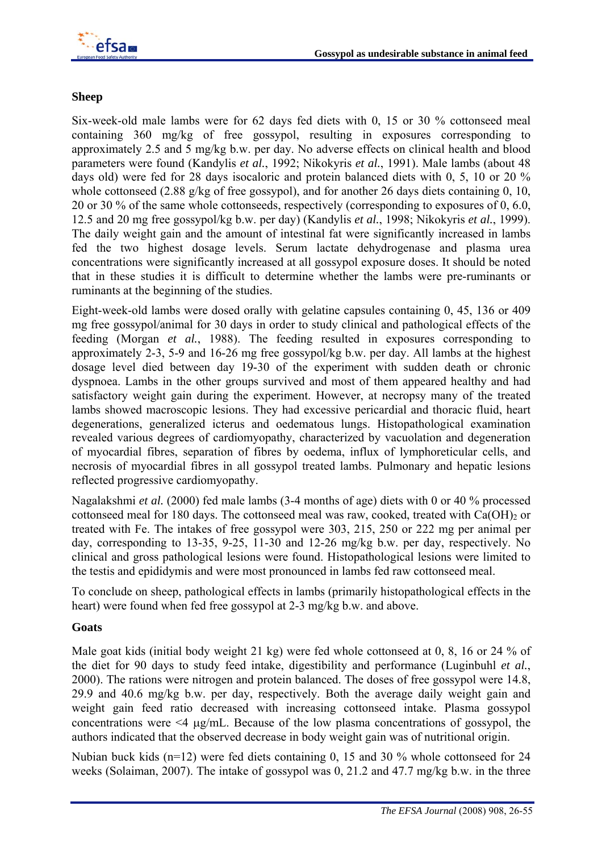

### **Sheep**

Six-week-old male lambs were for 62 days fed diets with 0, 15 or 30 % cottonseed meal containing 360 mg/kg of free gossypol, resulting in exposures corresponding to approximately 2.5 and 5 mg/kg b.w. per day. No adverse effects on clinical health and blood parameters were found (Kandylis *et al.*, 1992; Nikokyris *et al.*, 1991). Male lambs (about 48 days old) were fed for 28 days isocaloric and protein balanced diets with 0, 5, 10 or 20 % whole cottonseed (2.88 g/kg of free gossypol), and for another 26 days diets containing 0, 10, 20 or 30 % of the same whole cottonseeds, respectively (corresponding to exposures of 0, 6.0, 12.5 and 20 mg free gossypol/kg b.w. per day) (Kandylis *et al.*, 1998; Nikokyris *et al.*, 1999). The daily weight gain and the amount of intestinal fat were significantly increased in lambs fed the two highest dosage levels. Serum lactate dehydrogenase and plasma urea concentrations were significantly increased at all gossypol exposure doses. It should be noted that in these studies it is difficult to determine whether the lambs were pre-ruminants or ruminants at the beginning of the studies.

Eight-week-old lambs were dosed orally with gelatine capsules containing 0, 45, 136 or 409 mg free gossypol/animal for 30 days in order to study clinical and pathological effects of the feeding (Morgan *et al.*, 1988). The feeding resulted in exposures corresponding to approximately 2-3, 5-9 and 16-26 mg free gossypol/kg b.w. per day. All lambs at the highest dosage level died between day 19-30 of the experiment with sudden death or chronic dyspnoea. Lambs in the other groups survived and most of them appeared healthy and had satisfactory weight gain during the experiment. However, at necropsy many of the treated lambs showed macroscopic lesions. They had excessive pericardial and thoracic fluid, heart degenerations, generalized icterus and oedematous lungs. Histopathological examination revealed various degrees of cardiomyopathy, characterized by vacuolation and degeneration of myocardial fibres, separation of fibres by oedema, influx of lymphoreticular cells, and necrosis of myocardial fibres in all gossypol treated lambs. Pulmonary and hepatic lesions reflected progressive cardiomyopathy.

Nagalakshmi *et al.* (2000) fed male lambs (3-4 months of age) diets with 0 or 40 % processed cottonseed meal for 180 days. The cottonseed meal was raw, cooked, treated with  $Ca(OH)<sub>2</sub>$  or treated with Fe. The intakes of free gossypol were 303, 215, 250 or 222 mg per animal per day, corresponding to 13-35, 9-25, 11-30 and 12-26 mg/kg b.w. per day, respectively. No clinical and gross pathological lesions were found. Histopathological lesions were limited to the testis and epididymis and were most pronounced in lambs fed raw cottonseed meal.

To conclude on sheep, pathological effects in lambs (primarily histopathological effects in the heart) were found when fed free gossypol at 2-3 mg/kg b.w. and above.

# **Goats**

Male goat kids (initial body weight 21 kg) were fed whole cottonseed at 0, 8, 16 or 24 % of the diet for 90 days to study feed intake, digestibility and performance (Luginbuhl *et al.*, 2000). The rations were nitrogen and protein balanced. The doses of free gossypol were 14.8, 29.9 and 40.6 mg/kg b.w. per day, respectively. Both the average daily weight gain and weight gain feed ratio decreased with increasing cottonseed intake. Plasma gossypol concentrations were <4 μg/mL. Because of the low plasma concentrations of gossypol, the authors indicated that the observed decrease in body weight gain was of nutritional origin.

Nubian buck kids (n=12) were fed diets containing 0, 15 and 30 % whole cottonseed for 24 weeks (Solaiman, 2007). The intake of gossypol was 0, 21.2 and 47.7 mg/kg b.w. in the three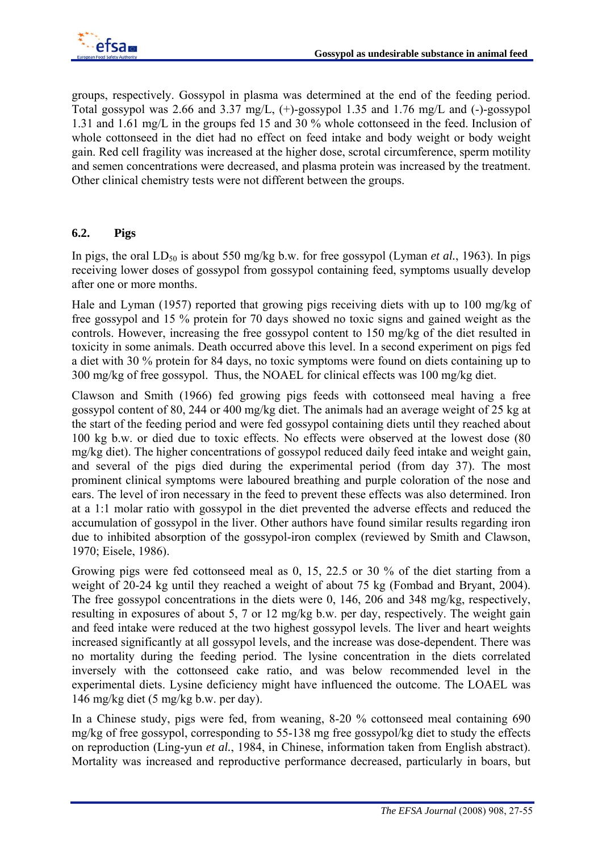groups, respectively. Gossypol in plasma was determined at the end of the feeding period. Total gossypol was 2.66 and 3.37 mg/L, (+)-gossypol 1.35 and 1.76 mg/L and (-)-gossypol 1.31 and 1.61 mg/L in the groups fed 15 and 30 % whole cottonseed in the feed. Inclusion of whole cottonseed in the diet had no effect on feed intake and body weight or body weight gain. Red cell fragility was increased at the higher dose, scrotal circumference, sperm motility and semen concentrations were decreased, and plasma protein was increased by the treatment. Other clinical chemistry tests were not different between the groups.

## **6.2. Pigs**

In pigs, the oral LD<sub>50</sub> is about 550 mg/kg b.w. for free gossypol (Lyman et al., 1963). In pigs receiving lower doses of gossypol from gossypol containing feed, symptoms usually develop after one or more months.

Hale and Lyman (1957) reported that growing pigs receiving diets with up to 100 mg/kg of free gossypol and 15 % protein for 70 days showed no toxic signs and gained weight as the controls. However, increasing the free gossypol content to 150 mg/kg of the diet resulted in toxicity in some animals. Death occurred above this level. In a second experiment on pigs fed a diet with 30 % protein for 84 days, no toxic symptoms were found on diets containing up to 300 mg/kg of free gossypol. Thus, the NOAEL for clinical effects was 100 mg/kg diet.

Clawson and Smith (1966) fed growing pigs feeds with cottonseed meal having a free gossypol content of 80, 244 or 400 mg/kg diet. The animals had an average weight of 25 kg at the start of the feeding period and were fed gossypol containing diets until they reached about 100 kg b.w. or died due to toxic effects. No effects were observed at the lowest dose (80 mg/kg diet). The higher concentrations of gossypol reduced daily feed intake and weight gain, and several of the pigs died during the experimental period (from day 37). The most prominent clinical symptoms were laboured breathing and purple coloration of the nose and ears. The level of iron necessary in the feed to prevent these effects was also determined. Iron at a 1:1 molar ratio with gossypol in the diet prevented the adverse effects and reduced the accumulation of gossypol in the liver. Other authors have found similar results regarding iron due to inhibited absorption of the gossypol-iron complex (reviewed by Smith and Clawson, 1970; Eisele, 1986).

Growing pigs were fed cottonseed meal as 0, 15, 22.5 or 30 % of the diet starting from a weight of 20-24 kg until they reached a weight of about 75 kg (Fombad and Bryant, 2004). The free gossypol concentrations in the diets were 0, 146, 206 and 348 mg/kg, respectively, resulting in exposures of about 5, 7 or 12 mg/kg b.w. per day, respectively. The weight gain and feed intake were reduced at the two highest gossypol levels. The liver and heart weights increased significantly at all gossypol levels, and the increase was dose-dependent. There was no mortality during the feeding period. The lysine concentration in the diets correlated inversely with the cottonseed cake ratio, and was below recommended level in the experimental diets. Lysine deficiency might have influenced the outcome. The LOAEL was 146 mg/kg diet (5 mg/kg b.w. per day).

In a Chinese study, pigs were fed, from weaning, 8-20 % cottonseed meal containing 690 mg/kg of free gossypol, corresponding to 55-138 mg free gossypol/kg diet to study the effects on reproduction (Ling-yun *et al.*, 1984, in Chinese, information taken from English abstract). Mortality was increased and reproductive performance decreased, particularly in boars, but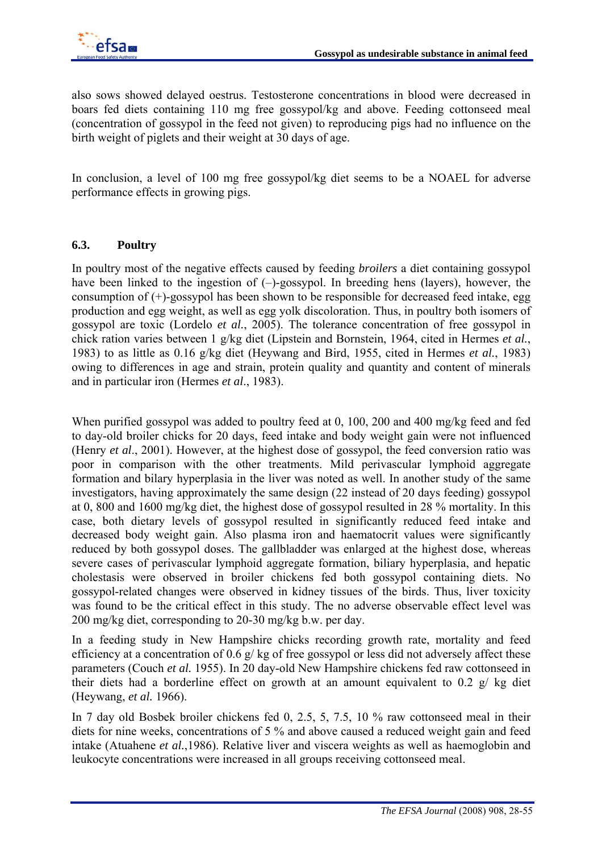also sows showed delayed oestrus. Testosterone concentrations in blood were decreased in boars fed diets containing 110 mg free gossypol/kg and above. Feeding cottonseed meal (concentration of gossypol in the feed not given) to reproducing pigs had no influence on the birth weight of piglets and their weight at 30 days of age.

In conclusion, a level of 100 mg free gossypol/kg diet seems to be a NOAEL for adverse performance effects in growing pigs.

# **6.3. Poultry**

In poultry most of the negative effects caused by feeding *broilers* a diet containing gossypol have been linked to the ingestion of  $(-)$ -gossypol. In breeding hens (layers), however, the consumption of (+)-gossypol has been shown to be responsible for decreased feed intake, egg production and egg weight, as well as egg yolk discoloration. Thus, in poultry both isomers of gossypol are toxic (Lordelo *et al.*, 2005). The tolerance concentration of free gossypol in chick ration varies between 1 g/kg diet (Lipstein and Bornstein, 1964, cited in Hermes *et al.*, 1983) to as little as 0.16 g/kg diet (Heywang and Bird, 1955, cited in Hermes *et al.*, 1983) owing to differences in age and strain, protein quality and quantity and content of minerals and in particular iron (Hermes *et al*., 1983).

When purified gossypol was added to poultry feed at 0, 100, 200 and 400 mg/kg feed and fed to day-old broiler chicks for 20 days, feed intake and body weight gain were not influenced (Henry *et al*., 2001). However, at the highest dose of gossypol, the feed conversion ratio was poor in comparison with the other treatments. Mild perivascular lymphoid aggregate formation and bilary hyperplasia in the liver was noted as well. In another study of the same investigators, having approximately the same design (22 instead of 20 days feeding) gossypol at 0, 800 and 1600 mg/kg diet, the highest dose of gossypol resulted in 28 % mortality. In this case, both dietary levels of gossypol resulted in significantly reduced feed intake and decreased body weight gain. Also plasma iron and haematocrit values were significantly reduced by both gossypol doses. The gallbladder was enlarged at the highest dose, whereas severe cases of perivascular lymphoid aggregate formation, biliary hyperplasia, and hepatic cholestasis were observed in broiler chickens fed both gossypol containing diets. No gossypol-related changes were observed in kidney tissues of the birds. Thus, liver toxicity was found to be the critical effect in this study. The no adverse observable effect level was 200 mg/kg diet, corresponding to 20-30 mg/kg b.w. per day.

In a feeding study in New Hampshire chicks recording growth rate, mortality and feed efficiency at a concentration of 0.6 g/ kg of free gossypol or less did not adversely affect these parameters (Couch *et al.* 1955). In 20 day-old New Hampshire chickens fed raw cottonseed in their diets had a borderline effect on growth at an amount equivalent to 0.2 g/ kg diet (Heywang, *et al.* 1966).

In 7 day old Bosbek broiler chickens fed 0, 2.5, 5, 7.5, 10 % raw cottonseed meal in their diets for nine weeks, concentrations of 5 % and above caused a reduced weight gain and feed intake (Atuahene *et al.*,1986). Relative liver and viscera weights as well as haemoglobin and leukocyte concentrations were increased in all groups receiving cottonseed meal.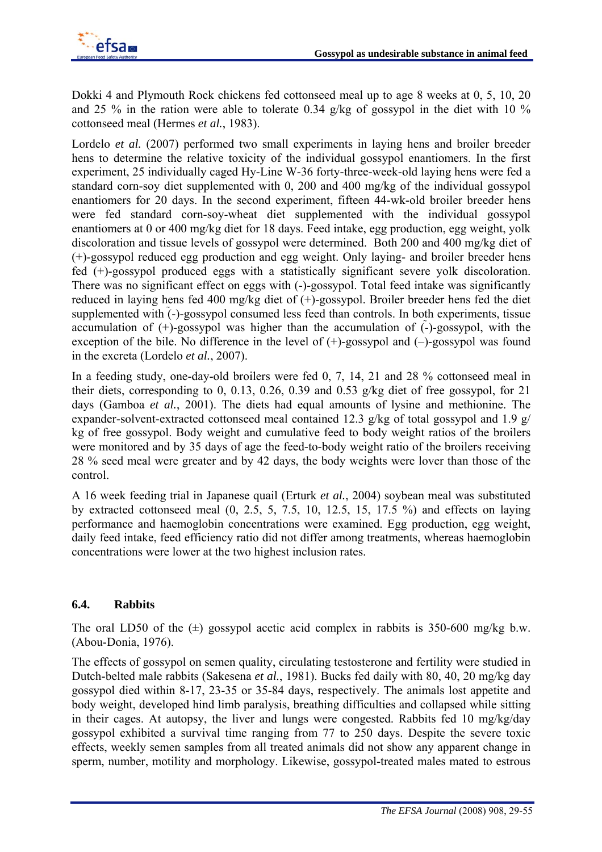

Dokki 4 and Plymouth Rock chickens fed cottonseed meal up to age 8 weeks at 0, 5, 10, 20 and 25 % in the ration were able to tolerate 0.34 g/kg of gossypol in the diet with 10 % cottonseed meal (Hermes *et al.*, 1983).

Lordelo *et al.* (2007) performed two small experiments in laying hens and broiler breeder hens to determine the relative toxicity of the individual gossypol enantiomers. In the first experiment, 25 individually caged Hy-Line W-36 forty-three-week-old laying hens were fed a standard corn-soy diet supplemented with 0, 200 and 400 mg/kg of the individual gossypol enantiomers for 20 days. In the second experiment, fifteen 44-wk-old broiler breeder hens were fed standard corn-soy-wheat diet supplemented with the individual gossypol enantiomers at 0 or 400 mg/kg diet for 18 days. Feed intake, egg production, egg weight, yolk discoloration and tissue levels of gossypol were determined. Both 200 and 400 mg/kg diet of (+)-gossypol reduced egg production and egg weight. Only laying- and broiler breeder hens fed (+)-gossypol produced eggs with a statistically significant severe yolk discoloration. There was no significant effect on eggs with  $(-)$ -gossypol. Total feed intake was significantly reduced in laying hens fed 400 mg/kg diet of (+)-gossypol. Broiler breeder hens fed the diet supplemented with (-)-gossypol consumed less feed than controls. In both experiments, tissue accumulation of  $(+)$ -gossypol was higher than the accumulation of  $(-)$ -gossypol, with the exception of the bile. No difference in the level of (+)-gossypol and (–)-gossypol was found in the excreta (Lordelo *et al.*, 2007).

In a feeding study, one-day-old broilers were fed 0, 7, 14, 21 and 28 % cottonseed meal in their diets, corresponding to 0, 0.13, 0.26, 0.39 and 0.53 g/kg diet of free gossypol, for 21 days (Gamboa *et al.*, 2001). The diets had equal amounts of lysine and methionine. The expander-solvent-extracted cottonseed meal contained 12.3 g/kg of total gossypol and 1.9 g/ kg of free gossypol. Body weight and cumulative feed to body weight ratios of the broilers were monitored and by 35 days of age the feed-to-body weight ratio of the broilers receiving 28 % seed meal were greater and by 42 days, the body weights were lover than those of the control.

A 16 week feeding trial in Japanese quail (Erturk *et al.*, 2004) soybean meal was substituted by extracted cottonseed meal (0, 2.5, 5, 7.5, 10, 12.5, 15, 17.5 %) and effects on laying performance and haemoglobin concentrations were examined. Egg production, egg weight, daily feed intake, feed efficiency ratio did not differ among treatments, whereas haemoglobin concentrations were lower at the two highest inclusion rates.

# **6.4. Rabbits**

The oral LD50 of the  $(\pm)$  gossypol acetic acid complex in rabbits is 350-600 mg/kg b.w. (Abou-Donia, 1976).

The effects of gossypol on semen quality, circulating testosterone and fertility were studied in Dutch-belted male rabbits (Sakesena *et al.*, 1981). Bucks fed daily with 80, 40, 20 mg/kg day gossypol died within 8-17, 23-35 or 35-84 days, respectively. The animals lost appetite and body weight, developed hind limb paralysis, breathing difficulties and collapsed while sitting in their cages. At autopsy, the liver and lungs were congested. Rabbits fed 10 mg/kg/day gossypol exhibited a survival time ranging from 77 to 250 days. Despite the severe toxic effects, weekly semen samples from all treated animals did not show any apparent change in sperm, number, motility and morphology. Likewise, gossypol-treated males mated to estrous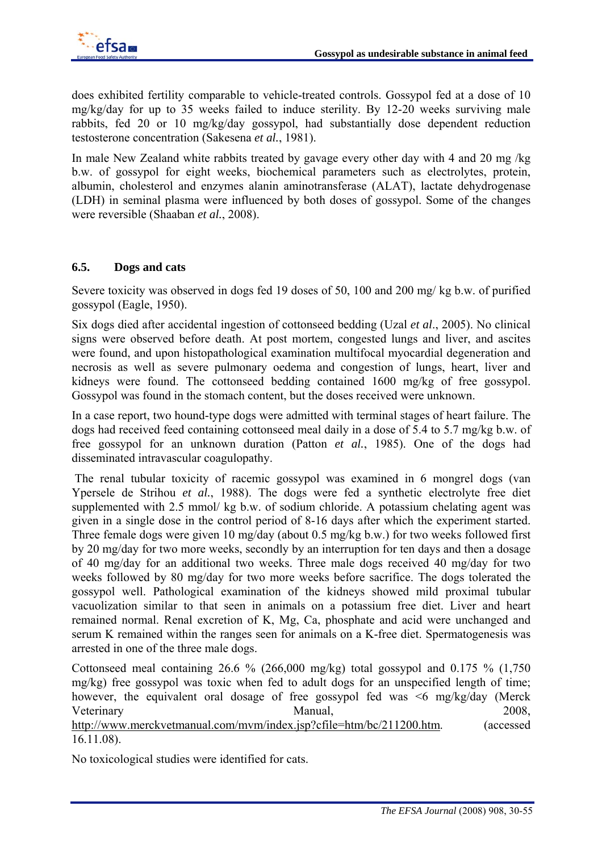does exhibited fertility comparable to vehicle-treated controls. Gossypol fed at a dose of 10 mg/kg/day for up to 35 weeks failed to induce sterility. By 12-20 weeks surviving male rabbits, fed 20 or 10 mg/kg/day gossypol, had substantially dose dependent reduction testosterone concentration (Sakesena *et al.*, 1981).

In male New Zealand white rabbits treated by gavage every other day with 4 and 20 mg /kg b.w. of gossypol for eight weeks, biochemical parameters such as electrolytes, protein, albumin, cholesterol and enzymes alanin aminotransferase (ALAT), lactate dehydrogenase (LDH) in seminal plasma were influenced by both doses of gossypol. Some of the changes were reversible (Shaaban *et al.*, 2008).

# **6.5. Dogs and cats**

Severe toxicity was observed in dogs fed 19 doses of 50, 100 and 200 mg/ kg b.w. of purified gossypol (Eagle, 1950).

Six dogs died after accidental ingestion of cottonseed bedding (Uzal *et al*., 2005). No clinical signs were observed before death. At post mortem, congested lungs and liver, and ascites were found, and upon histopathological examination multifocal myocardial degeneration and necrosis as well as severe pulmonary oedema and congestion of lungs, heart, liver and kidneys were found. The cottonseed bedding contained 1600 mg/kg of free gossypol. Gossypol was found in the stomach content, but the doses received were unknown.

In a case report, two hound-type dogs were admitted with terminal stages of heart failure. The dogs had received feed containing cottonseed meal daily in a dose of 5.4 to 5.7 mg/kg b.w. of free gossypol for an unknown duration (Patton *et al.*, 1985). One of the dogs had disseminated intravascular coagulopathy.

 The renal tubular toxicity of racemic gossypol was examined in 6 mongrel dogs (van Ypersele de Strihou *et al.*, 1988). The dogs were fed a synthetic electrolyte free diet supplemented with 2.5 mmol/ kg b.w. of sodium chloride. A potassium chelating agent was given in a single dose in the control period of 8-16 days after which the experiment started. Three female dogs were given 10 mg/day (about 0.5 mg/kg b.w.) for two weeks followed first by 20 mg/day for two more weeks, secondly by an interruption for ten days and then a dosage of 40 mg/day for an additional two weeks. Three male dogs received 40 mg/day for two weeks followed by 80 mg/day for two more weeks before sacrifice. The dogs tolerated the gossypol well. Pathological examination of the kidneys showed mild proximal tubular vacuolization similar to that seen in animals on a potassium free diet. Liver and heart remained normal. Renal excretion of K, Mg, Ca, phosphate and acid were unchanged and serum K remained within the ranges seen for animals on a K-free diet. Spermatogenesis was arrested in one of the three male dogs.

Cottonseed meal containing 26.6 % (266,000 mg/kg) total gossypol and 0.175 % (1,750 mg/kg) free gossypol was toxic when fed to adult dogs for an unspecified length of time; however, the equivalent oral dosage of free gossypol fed was  $\leq 6$  mg/kg/day (Merck Veterinary 2008, 2008, 2008, 2008, 2008, 2008, 2008, 2008, 2008, 2008, 2008, 2008, 2008, 2008, 2008, 2008, 200 http://www.merckvetmanual.com/mvm/index.jsp?cfile=htm/bc/211200.htm. (accessed

16.11.08).

No toxicological studies were identified for cats.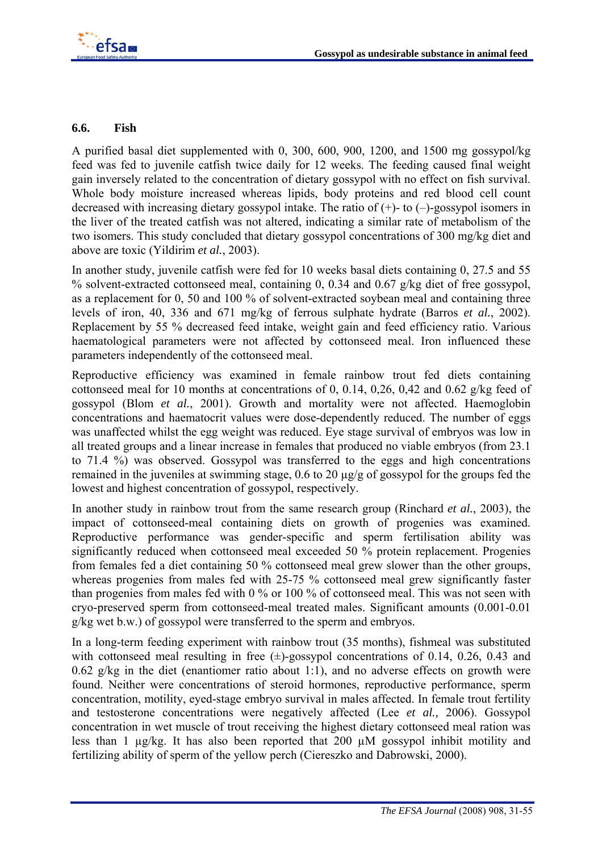

#### **6.6. Fish**

A purified basal diet supplemented with 0, 300, 600, 900, 1200, and 1500 mg gossypol/kg feed was fed to juvenile catfish twice daily for 12 weeks. The feeding caused final weight gain inversely related to the concentration of dietary gossypol with no effect on fish survival. Whole body moisture increased whereas lipids, body proteins and red blood cell count decreased with increasing dietary gossypol intake. The ratio of  $(+)$ - to  $(-)$ -gossypol isomers in the liver of the treated catfish was not altered, indicating a similar rate of metabolism of the two isomers. This study concluded that dietary gossypol concentrations of 300 mg/kg diet and above are toxic (Yildirim *et al.*, 2003).

In another study, juvenile catfish were fed for 10 weeks basal diets containing 0, 27.5 and 55 % solvent-extracted cottonseed meal, containing  $0$ ,  $0.34$  and  $0.67$  g/kg diet of free gossypol, as a replacement for 0, 50 and 100 % of solvent-extracted soybean meal and containing three levels of iron, 40, 336 and 671 mg/kg of ferrous sulphate hydrate (Barros *et al.*, 2002). Replacement by 55 % decreased feed intake, weight gain and feed efficiency ratio. Various haematological parameters were not affected by cottonseed meal. Iron influenced these parameters independently of the cottonseed meal.

Reproductive efficiency was examined in female rainbow trout fed diets containing cottonseed meal for 10 months at concentrations of 0, 0.14, 0,26, 0,42 and 0.62 g/kg feed of gossypol (Blom *et al.*, 2001). Growth and mortality were not affected. Haemoglobin concentrations and haematocrit values were dose-dependently reduced. The number of eggs was unaffected whilst the egg weight was reduced. Eye stage survival of embryos was low in all treated groups and a linear increase in females that produced no viable embryos (from 23.1 to 71.4 %) was observed. Gossypol was transferred to the eggs and high concentrations remained in the juveniles at swimming stage, 0.6 to 20 µg/g of gossypol for the groups fed the lowest and highest concentration of gossypol, respectively.

In another study in rainbow trout from the same research group (Rinchard *et al.*, 2003), the impact of cottonseed-meal containing diets on growth of progenies was examined. Reproductive performance was gender-specific and sperm fertilisation ability was significantly reduced when cottonseed meal exceeded 50 % protein replacement. Progenies from females fed a diet containing 50 % cottonseed meal grew slower than the other groups, whereas progenies from males fed with 25-75 % cottonseed meal grew significantly faster than progenies from males fed with 0 % or 100 % of cottonseed meal. This was not seen with cryo-preserved sperm from cottonseed-meal treated males. Significant amounts (0.001-0.01 g/kg wet b.w.) of gossypol were transferred to the sperm and embryos.

In a long-term feeding experiment with rainbow trout (35 months), fishmeal was substituted with cottonseed meal resulting in free  $(\pm)$ -gossypol concentrations of 0.14, 0.26, 0.43 and 0.62 g/kg in the diet (enantiomer ratio about 1:1), and no adverse effects on growth were found. Neither were concentrations of steroid hormones, reproductive performance, sperm concentration, motility, eyed-stage embryo survival in males affected. In female trout fertility and testosterone concentrations were negatively affected (Lee *et al.,* 2006). Gossypol concentration in wet muscle of trout receiving the highest dietary cottonseed meal ration was less than 1 µg/kg. It has also been reported that 200 µM gossypol inhibit motility and fertilizing ability of sperm of the yellow perch (Ciereszko and Dabrowski, 2000).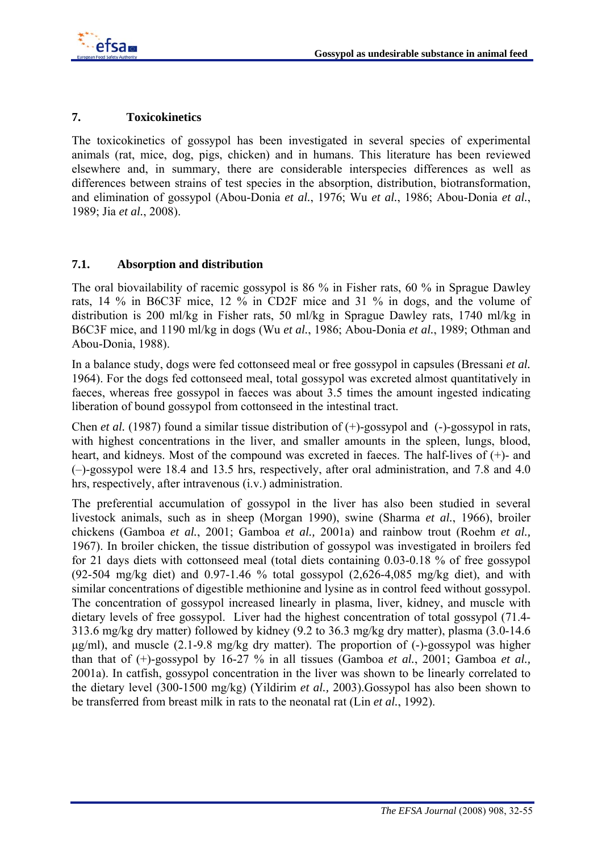

#### **7. Toxicokinetics**

The toxicokinetics of gossypol has been investigated in several species of experimental animals (rat, mice, dog, pigs, chicken) and in humans. This literature has been reviewed elsewhere and, in summary, there are considerable interspecies differences as well as differences between strains of test species in the absorption, distribution, biotransformation, and elimination of gossypol (Abou-Donia *et al.*, 1976; Wu *et al.*, 1986; Abou-Donia *et al.*, 1989; Jia *et al.*, 2008).

#### **7.1. Absorption and distribution**

The oral biovailability of racemic gossypol is 86 % in Fisher rats, 60 % in Sprague Dawley rats, 14 % in B6C3F mice, 12 % in CD2F mice and 31 % in dogs, and the volume of distribution is 200 ml/kg in Fisher rats, 50 ml/kg in Sprague Dawley rats, 1740 ml/kg in B6C3F mice, and 1190 ml/kg in dogs (Wu *et al.*, 1986; Abou-Donia *et al.*, 1989; Othman and Abou-Donia, 1988).

In a balance study, dogs were fed cottonseed meal or free gossypol in capsules (Bressani *et al.* 1964). For the dogs fed cottonseed meal, total gossypol was excreted almost quantitatively in faeces, whereas free gossypol in faeces was about 3.5 times the amount ingested indicating liberation of bound gossypol from cottonseed in the intestinal tract.

Chen *et al.* (1987) found a similar tissue distribution of (+)-gossypol and (-)-gossypol in rats, with highest concentrations in the liver, and smaller amounts in the spleen, lungs, blood, heart, and kidneys. Most of the compound was excreted in faeces. The half-lives of (+)- and (–)-gossypol were 18.4 and 13.5 hrs, respectively, after oral administration, and 7.8 and 4.0 hrs, respectively, after intravenous (i.v.) administration.

The preferential accumulation of gossypol in the liver has also been studied in several livestock animals, such as in sheep (Morgan 1990), swine (Sharma *et al.*, 1966), broiler chickens (Gamboa *et al.*, 2001; Gamboa *et al.,* 2001a) and rainbow trout (Roehm *et al.,* 1967). In broiler chicken, the tissue distribution of gossypol was investigated in broilers fed for 21 days diets with cottonseed meal (total diets containing 0.03-0.18 % of free gossypol (92-504 mg/kg diet) and 0.97-1.46 % total gossypol  $(2,626-4,085 \text{ mg/kg}$  diet), and with similar concentrations of digestible methionine and lysine as in control feed without gossypol. The concentration of gossypol increased linearly in plasma, liver, kidney, and muscle with dietary levels of free gossypol. Liver had the highest concentration of total gossypol (71.4- 313.6 mg/kg dry matter) followed by kidney (9.2 to 36.3 mg/kg dry matter), plasma (3.0-14.6 μg/ml), and muscle (2.1-9.8 mg/kg dry matter). The proportion of (-)-gossypol was higher than that of (+)-gossypol by 16-27 % in all tissues (Gamboa *et al.*, 2001; Gamboa *et al.,* 2001a). In catfish, gossypol concentration in the liver was shown to be linearly correlated to the dietary level (300-1500 mg/kg) (Yildirim *et al.,* 2003).Gossypol has also been shown to be transferred from breast milk in rats to the neonatal rat (Lin *et al.*, 1992).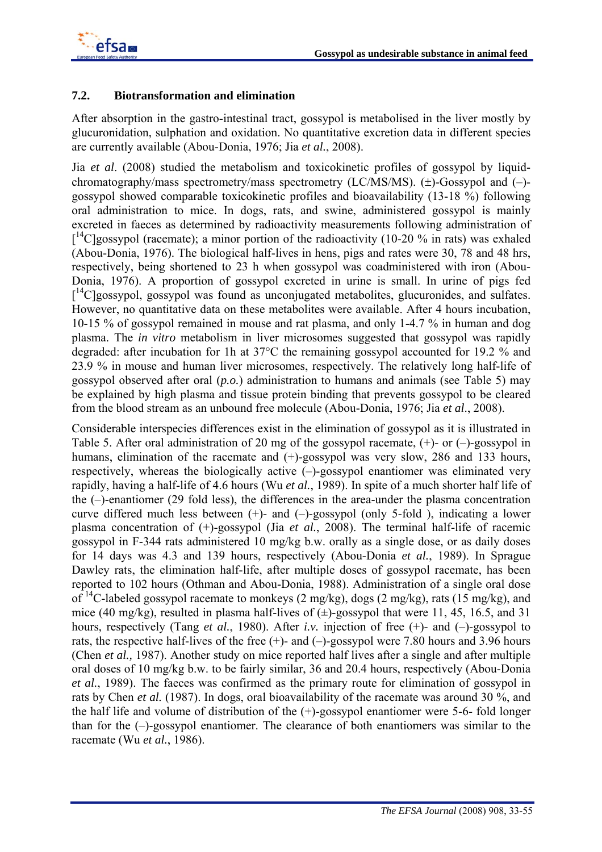

#### **7.2. Biotransformation and elimination**

After absorption in the gastro-intestinal tract, gossypol is metabolised in the liver mostly by glucuronidation, sulphation and oxidation. No quantitative excretion data in different species are currently available (Abou-Donia, 1976; Jia *et al.*, 2008).

Jia *et al*. (2008) studied the metabolism and toxicokinetic profiles of gossypol by liquidchromatography/mass spectrometry/mass spectrometry (LC/MS/MS). (±)-Gossypol and (–) gossypol showed comparable toxicokinetic profiles and bioavailability (13-18 %) following oral administration to mice. In dogs, rats, and swine, administered gossypol is mainly excreted in faeces as determined by radioactivity measurements following administration of  $\int_{0}^{14}$ C]gossypol (racemate); a minor portion of the radioactivity (10-20 % in rats) was exhaled (Abou-Donia, 1976). The biological half-lives in hens, pigs and rates were 30, 78 and 48 hrs, respectively, being shortened to 23 h when gossypol was coadministered with iron (Abou-Donia, 1976). A proportion of gossypol excreted in urine is small. In urine of pigs fed [<sup>14</sup>C]gossypol, gossypol was found as unconjugated metabolites, glucuronides, and sulfates. However, no quantitative data on these metabolites were available. After 4 hours incubation, 10-15 % of gossypol remained in mouse and rat plasma, and only 1-4.7 % in human and dog plasma. The *in vitro* metabolism in liver microsomes suggested that gossypol was rapidly degraded: after incubation for 1h at 37°C the remaining gossypol accounted for 19.2 % and 23.9 % in mouse and human liver microsomes, respectively. The relatively long half-life of gossypol observed after oral (*p.o.*) administration to humans and animals (see Table 5) may be explained by high plasma and tissue protein binding that prevents gossypol to be cleared from the blood stream as an unbound free molecule (Abou-Donia, 1976; Jia *et al*., 2008).

Considerable interspecies differences exist in the elimination of gossypol as it is illustrated in Table 5. After oral administration of 20 mg of the gossypol racemate, (+)- or (–)-gossypol in humans, elimination of the racemate and  $(+)$ -gossypol was very slow, 286 and 133 hours, respectively, whereas the biologically active  $(-)$ -gossypol enantiomer was eliminated very rapidly, having a half-life of 4.6 hours (Wu *et al.*, 1989). In spite of a much shorter half life of the (–)-enantiomer (29 fold less), the differences in the area-under the plasma concentration curve differed much less between (+)- and (–)-gossypol (only 5-fold ), indicating a lower plasma concentration of (+)-gossypol (Jia *et al.*, 2008). The terminal half-life of racemic gossypol in F-344 rats administered 10 mg/kg b.w. orally as a single dose, or as daily doses for 14 days was 4.3 and 139 hours, respectively (Abou-Donia *et al.*, 1989). In Sprague Dawley rats, the elimination half-life, after multiple doses of gossypol racemate, has been reported to 102 hours (Othman and Abou-Donia, 1988). Administration of a single oral dose of <sup>14</sup>C-labeled gossypol racemate to monkeys (2 mg/kg), dogs (2 mg/kg), rats (15 mg/kg), and mice (40 mg/kg), resulted in plasma half-lives of  $(\pm)$ -gossypol that were 11, 45, 16.5, and 31 hours, respectively (Tang *et al.*, 1980). After *i.v.* injection of free (+)- and (–)-gossypol to rats, the respective half-lives of the free  $(+)$ - and  $(-)$ -gossypol were 7.80 hours and 3.96 hours (Chen *et al.,* 1987). Another study on mice reported half lives after a single and after multiple oral doses of 10 mg/kg b.w. to be fairly similar, 36 and 20.4 hours, respectively (Abou-Donia *et al.*, 1989). The faeces was confirmed as the primary route for elimination of gossypol in rats by Chen *et al.* (1987). In dogs, oral bioavailability of the racemate was around 30 %, and the half life and volume of distribution of the (+)-gossypol enantiomer were 5-6- fold longer than for the (–)-gossypol enantiomer. The clearance of both enantiomers was similar to the racemate (Wu *et al.*, 1986).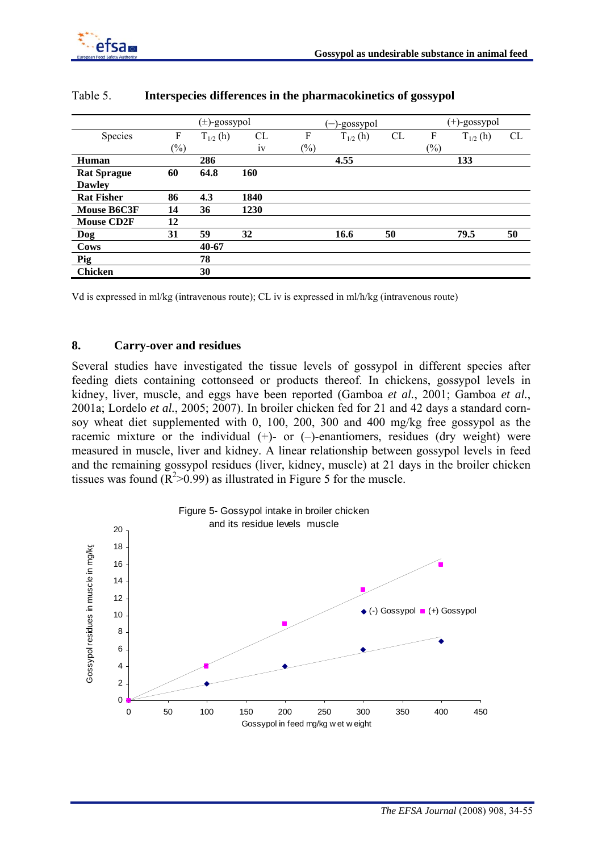

|                    |               | $(\pm)$ -gossypol |      |                            | (-)-gossypol  |    |     | (+)-gossypol  |    |
|--------------------|---------------|-------------------|------|----------------------------|---------------|----|-----|---------------|----|
| Species            | F             | $T_{1/2}$ (h)     | CL   | F                          | $T_{1/2}$ (h) | CL | F   | $T_{1/2}$ (h) | CL |
|                    | $\frac{1}{2}$ |                   | 1V   | $\left(\frac{0}{0}\right)$ |               |    | (%) |               |    |
| Human              |               | 286               |      |                            | 4.55          |    |     | 133           |    |
| <b>Rat Sprague</b> | 60            | 64.8              | 160  |                            |               |    |     |               |    |
| <b>Dawley</b>      |               |                   |      |                            |               |    |     |               |    |
| <b>Rat Fisher</b>  | 86            | 4.3               | 1840 |                            |               |    |     |               |    |
| Mouse B6C3F        | 14            | 36                | 1230 |                            |               |    |     |               |    |
| <b>Mouse CD2F</b>  | 12            |                   |      |                            |               |    |     |               |    |
| Dog                | 31            | 59                | 32   |                            | 16.6          | 50 |     | 79.5          | 50 |
| <b>Cows</b>        |               | 40-67             |      |                            |               |    |     |               |    |
| Pig                |               | 78                |      |                            |               |    |     |               |    |
| <b>Chicken</b>     |               | 30                |      |                            |               |    |     |               |    |

### Table 5. **Interspecies differences in the pharmacokinetics of gossypol**

Vd is expressed in ml/kg (intravenous route); CL iv is expressed in ml/h/kg (intravenous route)

#### **8. Carry-over and residues**

Several studies have investigated the tissue levels of gossypol in different species after feeding diets containing cottonseed or products thereof. In chickens, gossypol levels in kidney, liver, muscle, and eggs have been reported (Gamboa *et al.*, 2001; Gamboa *et al.*, 2001a; Lordelo *et al.*, 2005; 2007). In broiler chicken fed for 21 and 42 days a standard cornsoy wheat diet supplemented with 0, 100, 200, 300 and 400 mg/kg free gossypol as the racemic mixture or the individual  $(+)$ - or  $(-)$ -enantiomers, residues (dry weight) were measured in muscle, liver and kidney. A linear relationship between gossypol levels in feed and the remaining gossypol residues (liver, kidney, muscle) at 21 days in the broiler chicken tissues was found  $(R^2>0.99)$  as illustrated in Figure 5 for the muscle.

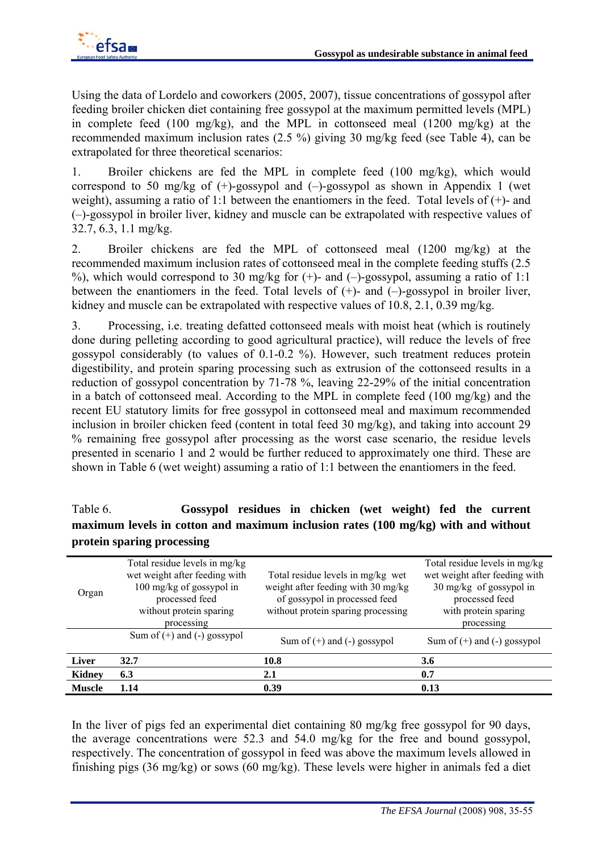Using the data of Lordelo and coworkers (2005, 2007), tissue concentrations of gossypol after feeding broiler chicken diet containing free gossypol at the maximum permitted levels (MPL) in complete feed (100 mg/kg), and the MPL in cottonseed meal (1200 mg/kg) at the recommended maximum inclusion rates (2.5 %) giving 30 mg/kg feed (see Table 4), can be extrapolated for three theoretical scenarios:

1. Broiler chickens are fed the MPL in complete feed (100 mg/kg), which would correspond to 50 mg/kg of  $(+)$ -gossypol and  $(-)$ -gossypol as shown in Appendix 1 (wet weight), assuming a ratio of 1:1 between the enantiomers in the feed. Total levels of  $(+)$ - and (–)-gossypol in broiler liver, kidney and muscle can be extrapolated with respective values of 32.7, 6.3, 1.1 mg/kg.

2. Broiler chickens are fed the MPL of cottonseed meal (1200 mg/kg) at the recommended maximum inclusion rates of cottonseed meal in the complete feeding stuffs (2.5 %), which would correspond to 30 mg/kg for  $(+)$ - and  $(-)$ -gossypol, assuming a ratio of 1:1 between the enantiomers in the feed. Total levels of  $(+)$ - and  $(-)$ -gossypol in broiler liver, kidney and muscle can be extrapolated with respective values of 10.8, 2.1, 0.39 mg/kg.

3. Processing, i.e. treating defatted cottonseed meals with moist heat (which is routinely done during pelleting according to good agricultural practice), will reduce the levels of free gossypol considerably (to values of 0.1-0.2 %). However, such treatment reduces protein digestibility, and protein sparing processing such as extrusion of the cottonseed results in a reduction of gossypol concentration by 71-78 %, leaving 22-29% of the initial concentration in a batch of cottonseed meal. According to the MPL in complete feed (100 mg/kg) and the recent EU statutory limits for free gossypol in cottonseed meal and maximum recommended inclusion in broiler chicken feed (content in total feed 30 mg/kg), and taking into account 29 % remaining free gossypol after processing as the worst case scenario, the residue levels presented in scenario 1 and 2 would be further reduced to approximately one third. These are shown in Table 6 (wet weight) assuming a ratio of 1:1 between the enantiomers in the feed.

# Table 6. **Gossypol residues in chicken (wet weight) fed the current maximum levels in cotton and maximum inclusion rates (100 mg/kg) with and without protein sparing processing**

| Organ         | Total residue levels in mg/kg<br>wet weight after feeding with<br>100 mg/kg of gossypol in<br>processed feed<br>without protein sparing<br>processing | Total residue levels in mg/kg wet<br>weight after feeding with 30 mg/kg<br>of gossypol in processed feed<br>without protein sparing processing | Total residue levels in mg/kg<br>wet weight after feeding with<br>$30 \text{ mg/kg}$ of gossypol in<br>processed feed<br>with protein sparing<br>processing |
|---------------|-------------------------------------------------------------------------------------------------------------------------------------------------------|------------------------------------------------------------------------------------------------------------------------------------------------|-------------------------------------------------------------------------------------------------------------------------------------------------------------|
|               | Sum of $(+)$ and $(-)$ gossypol                                                                                                                       | Sum of $(+)$ and $(-)$ gossypol                                                                                                                | Sum of $(+)$ and $(-)$ gossypol                                                                                                                             |
| <b>Liver</b>  | 32.7                                                                                                                                                  | 10.8                                                                                                                                           | 3.6                                                                                                                                                         |
| <b>Kidney</b> | 6.3                                                                                                                                                   | 2.1                                                                                                                                            | 0.7                                                                                                                                                         |
| <b>Muscle</b> | 1.14                                                                                                                                                  | 0.39                                                                                                                                           | 0.13                                                                                                                                                        |

In the liver of pigs fed an experimental diet containing 80 mg/kg free gossypol for 90 days, the average concentrations were 52.3 and 54.0 mg/kg for the free and bound gossypol, respectively. The concentration of gossypol in feed was above the maximum levels allowed in finishing pigs (36 mg/kg) or sows (60 mg/kg). These levels were higher in animals fed a diet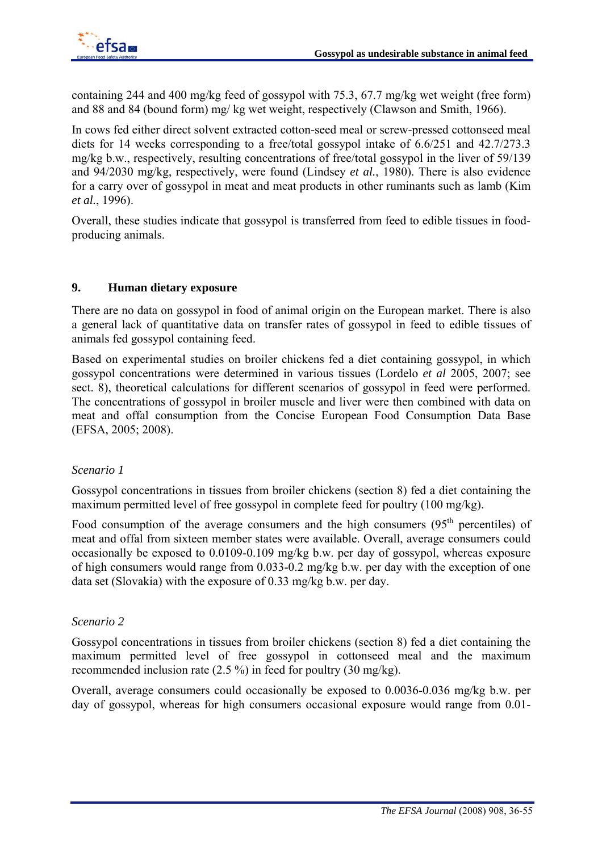

containing 244 and 400 mg/kg feed of gossypol with 75.3, 67.7 mg/kg wet weight (free form) and 88 and 84 (bound form) mg/ kg wet weight, respectively (Clawson and Smith, 1966).

In cows fed either direct solvent extracted cotton-seed meal or screw-pressed cottonseed meal diets for 14 weeks corresponding to a free/total gossypol intake of 6.6/251 and 42.7/273.3 mg/kg b.w., respectively, resulting concentrations of free/total gossypol in the liver of 59/139 and 94/2030 mg/kg, respectively, were found (Lindsey *et al.*, 1980). There is also evidence for a carry over of gossypol in meat and meat products in other ruminants such as lamb (Kim *et al.*, 1996).

Overall, these studies indicate that gossypol is transferred from feed to edible tissues in foodproducing animals.

## **9. Human dietary exposure**

There are no data on gossypol in food of animal origin on the European market. There is also a general lack of quantitative data on transfer rates of gossypol in feed to edible tissues of animals fed gossypol containing feed.

Based on experimental studies on broiler chickens fed a diet containing gossypol, in which gossypol concentrations were determined in various tissues (Lordelo *et al* 2005, 2007; see sect. 8), theoretical calculations for different scenarios of gossypol in feed were performed. The concentrations of gossypol in broiler muscle and liver were then combined with data on meat and offal consumption from the Concise European Food Consumption Data Base (EFSA, 2005; 2008).

#### *Scenario 1*

Gossypol concentrations in tissues from broiler chickens (section 8) fed a diet containing the maximum permitted level of free gossypol in complete feed for poultry (100 mg/kg).

Food consumption of the average consumers and the high consumers  $(95<sup>th</sup>$  percentiles) of meat and offal from sixteen member states were available. Overall, average consumers could occasionally be exposed to 0.0109-0.109 mg/kg b.w. per day of gossypol, whereas exposure of high consumers would range from 0.033-0.2 mg/kg b.w. per day with the exception of one data set (Slovakia) with the exposure of 0.33 mg/kg b.w. per day.

#### *Scenario 2*

Gossypol concentrations in tissues from broiler chickens (section 8) fed a diet containing the maximum permitted level of free gossypol in cottonseed meal and the maximum recommended inclusion rate (2.5 %) in feed for poultry (30 mg/kg).

Overall, average consumers could occasionally be exposed to 0.0036-0.036 mg/kg b.w. per day of gossypol, whereas for high consumers occasional exposure would range from 0.01-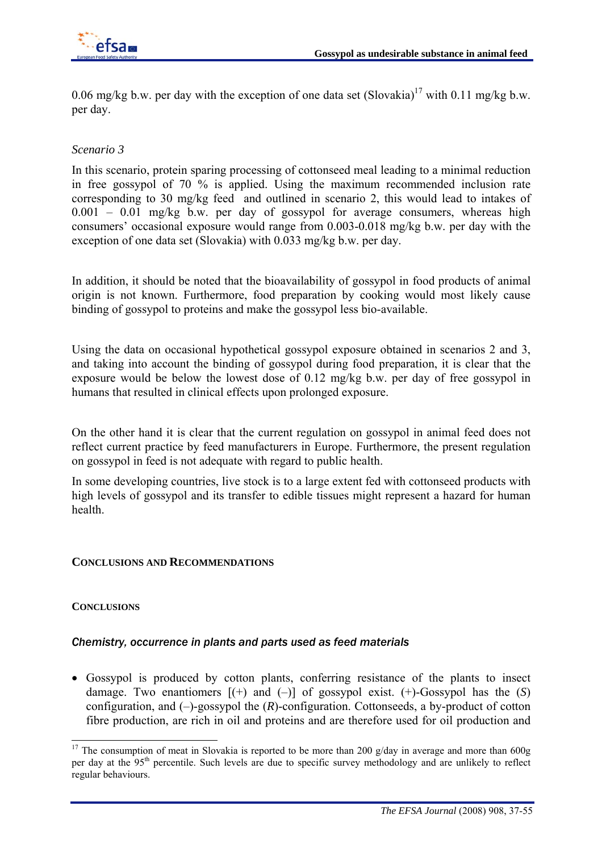

0.06 mg/kg b.w. per day with the exception of one data set  $(Slovakia)^{17}$  with 0.11 mg/kg b.w. per day.

## *Scenario 3*

In this scenario, protein sparing processing of cottonseed meal leading to a minimal reduction in free gossypol of 70 % is applied. Using the maximum recommended inclusion rate corresponding to 30 mg/kg feed and outlined in scenario 2, this would lead to intakes of  $0.001 - 0.01$  mg/kg b.w. per day of gossypol for average consumers, whereas high consumers' occasional exposure would range from 0.003-0.018 mg/kg b.w. per day with the exception of one data set (Slovakia) with 0.033 mg/kg b.w. per day.

In addition, it should be noted that the bioavailability of gossypol in food products of animal origin is not known. Furthermore, food preparation by cooking would most likely cause binding of gossypol to proteins and make the gossypol less bio-available.

Using the data on occasional hypothetical gossypol exposure obtained in scenarios 2 and 3, and taking into account the binding of gossypol during food preparation, it is clear that the exposure would be below the lowest dose of 0.12 mg/kg b.w. per day of free gossypol in humans that resulted in clinical effects upon prolonged exposure.

On the other hand it is clear that the current regulation on gossypol in animal feed does not reflect current practice by feed manufacturers in Europe. Furthermore, the present regulation on gossypol in feed is not adequate with regard to public health.

In some developing countries, live stock is to a large extent fed with cottonseed products with high levels of gossypol and its transfer to edible tissues might represent a hazard for human health.

#### **CONCLUSIONS AND RECOMMENDATIONS**

#### **CONCLUSIONS**

 $\overline{\phantom{a}}$ 

#### *Chemistry, occurrence in plants and parts used as feed materials*

• Gossypol is produced by cotton plants, conferring resistance of the plants to insect damage. Two enantiomers [(+) and (–)] of gossypol exist. (+)-Gossypol has the (*S*) configuration, and (–)-gossypol the (*R*)-configuration. Cottonseeds, a by-product of cotton fibre production, are rich in oil and proteins and are therefore used for oil production and

<sup>&</sup>lt;sup>17</sup> The consumption of meat in Slovakia is reported to be more than 200 g/day in average and more than 600g per day at the 95th percentile. Such levels are due to specific survey methodology and are unlikely to reflect regular behaviours.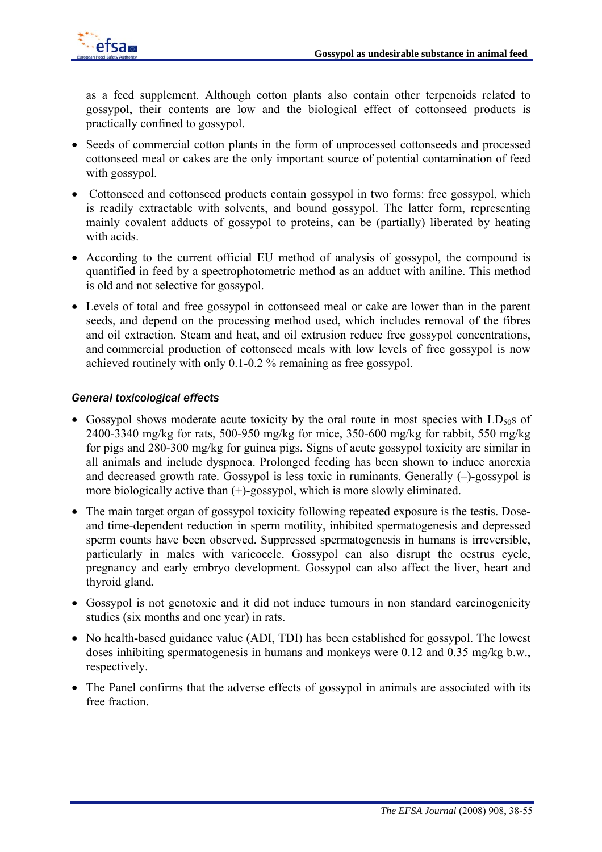

as a feed supplement. Although cotton plants also contain other terpenoids related to gossypol, their contents are low and the biological effect of cottonseed products is practically confined to gossypol.

- Seeds of commercial cotton plants in the form of unprocessed cottonseeds and processed cottonseed meal or cakes are the only important source of potential contamination of feed with gossypol.
- Cottonseed and cottonseed products contain gossypol in two forms: free gossypol, which is readily extractable with solvents, and bound gossypol. The latter form, representing mainly covalent adducts of gossypol to proteins, can be (partially) liberated by heating with acids.
- According to the current official EU method of analysis of gossypol, the compound is quantified in feed by a spectrophotometric method as an adduct with aniline. This method is old and not selective for gossypol.
- Levels of total and free gossypol in cottonseed meal or cake are lower than in the parent seeds, and depend on the processing method used, which includes removal of the fibres and oil extraction. Steam and heat, and oil extrusion reduce free gossypol concentrations, and commercial production of cottonseed meals with low levels of free gossypol is now achieved routinely with only 0.1-0.2 % remaining as free gossypol.

#### *General toxicological effects*

- Gossypol shows moderate acute toxicity by the oral route in most species with  $LD_{50}$  of 2400-3340 mg/kg for rats, 500-950 mg/kg for mice, 350-600 mg/kg for rabbit, 550 mg/kg for pigs and 280-300 mg/kg for guinea pigs. Signs of acute gossypol toxicity are similar in all animals and include dyspnoea. Prolonged feeding has been shown to induce anorexia and decreased growth rate. Gossypol is less toxic in ruminants. Generally (–)-gossypol is more biologically active than (+)-gossypol, which is more slowly eliminated.
- The main target organ of gossypol toxicity following repeated exposure is the testis. Doseand time-dependent reduction in sperm motility, inhibited spermatogenesis and depressed sperm counts have been observed. Suppressed spermatogenesis in humans is irreversible, particularly in males with varicocele. Gossypol can also disrupt the oestrus cycle, pregnancy and early embryo development. Gossypol can also affect the liver, heart and thyroid gland.
- Gossypol is not genotoxic and it did not induce tumours in non standard carcinogenicity studies (six months and one year) in rats.
- No health-based guidance value (ADI, TDI) has been established for gossypol. The lowest doses inhibiting spermatogenesis in humans and monkeys were 0.12 and 0.35 mg/kg b.w., respectively.
- The Panel confirms that the adverse effects of gossypol in animals are associated with its free fraction.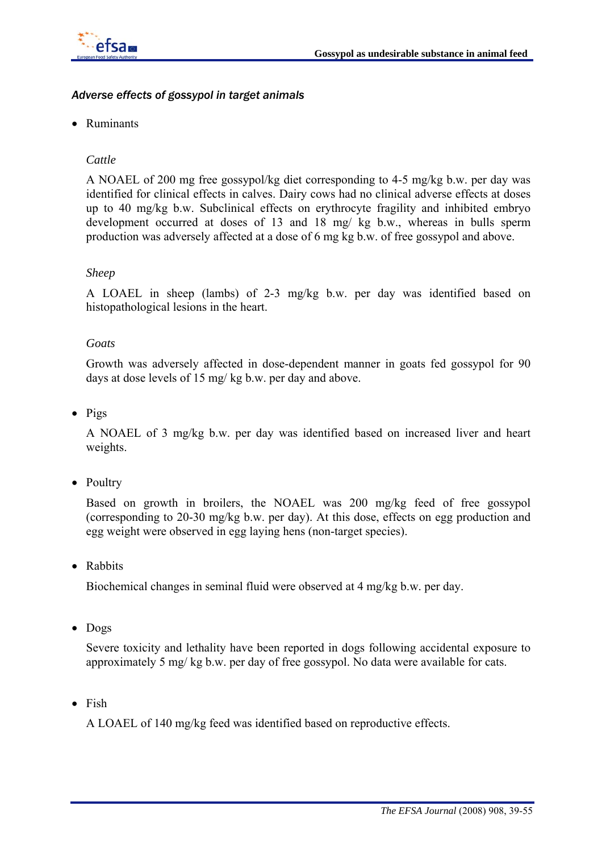

### *Adverse effects of gossypol in target animals*

• Ruminants

# *Cattle*

A NOAEL of 200 mg free gossypol/kg diet corresponding to 4-5 mg/kg b.w. per day was identified for clinical effects in calves. Dairy cows had no clinical adverse effects at doses up to 40 mg/kg b.w. Subclinical effects on erythrocyte fragility and inhibited embryo development occurred at doses of 13 and 18 mg/ kg b.w., whereas in bulls sperm production was adversely affected at a dose of 6 mg kg b.w. of free gossypol and above.

## *Sheep*

A LOAEL in sheep (lambs) of 2-3 mg/kg b.w. per day was identified based on histopathological lesions in the heart.

## *Goats*

Growth was adversely affected in dose-dependent manner in goats fed gossypol for 90 days at dose levels of 15 mg/ kg b.w. per day and above.

• Pigs

A NOAEL of 3 mg/kg b.w. per day was identified based on increased liver and heart weights.

• Poultry

Based on growth in broilers, the NOAEL was 200 mg/kg feed of free gossypol (corresponding to 20-30 mg/kg b.w. per day). At this dose, effects on egg production and egg weight were observed in egg laying hens (non-target species).

• Rabbits

Biochemical changes in seminal fluid were observed at 4 mg/kg b.w. per day.

• Dogs

Severe toxicity and lethality have been reported in dogs following accidental exposure to approximately 5 mg/ kg b.w. per day of free gossypol. No data were available for cats.

• Fish

A LOAEL of 140 mg/kg feed was identified based on reproductive effects.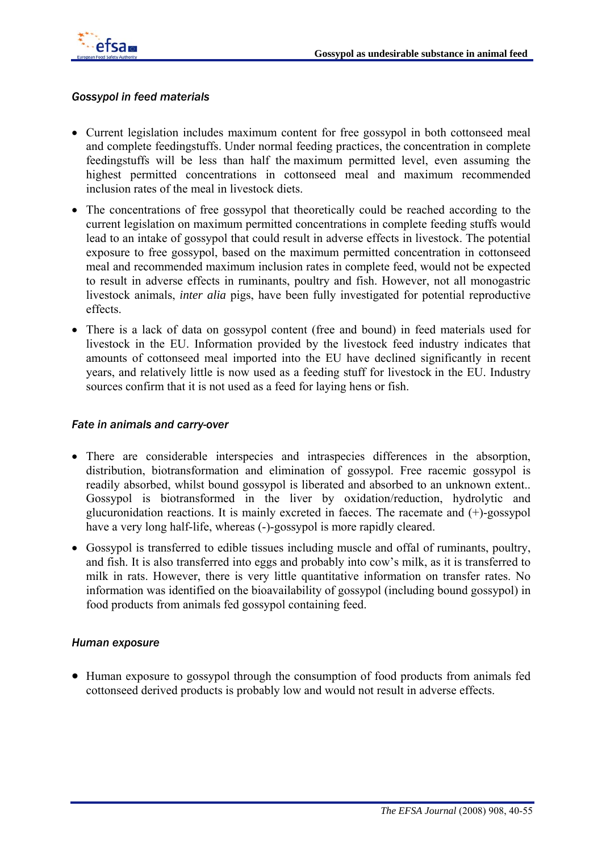

#### *Gossypol in feed materials*

- Current legislation includes maximum content for free gossypol in both cottonseed meal and complete feedingstuffs. Under normal feeding practices, the concentration in complete feedingstuffs will be less than half the maximum permitted level, even assuming the highest permitted concentrations in cottonseed meal and maximum recommended inclusion rates of the meal in livestock diets.
- The concentrations of free gossypol that theoretically could be reached according to the current legislation on maximum permitted concentrations in complete feeding stuffs would lead to an intake of gossypol that could result in adverse effects in livestock. The potential exposure to free gossypol, based on the maximum permitted concentration in cottonseed meal and recommended maximum inclusion rates in complete feed, would not be expected to result in adverse effects in ruminants, poultry and fish. However, not all monogastric livestock animals, *inter alia* pigs, have been fully investigated for potential reproductive effects.
- There is a lack of data on gossypol content (free and bound) in feed materials used for livestock in the EU. Information provided by the livestock feed industry indicates that amounts of cottonseed meal imported into the EU have declined significantly in recent years, and relatively little is now used as a feeding stuff for livestock in the EU. Industry sources confirm that it is not used as a feed for laying hens or fish.

#### *Fate in animals and carry-over*

- There are considerable interspecies and intraspecies differences in the absorption, distribution, biotransformation and elimination of gossypol. Free racemic gossypol is readily absorbed, whilst bound gossypol is liberated and absorbed to an unknown extent.. Gossypol is biotransformed in the liver by oxidation/reduction, hydrolytic and glucuronidation reactions. It is mainly excreted in faeces. The racemate and (+)-gossypol have a very long half-life, whereas (-)-gossypol is more rapidly cleared.
- Gossypol is transferred to edible tissues including muscle and offal of ruminants, poultry, and fish. It is also transferred into eggs and probably into cow's milk, as it is transferred to milk in rats. However, there is very little quantitative information on transfer rates. No information was identified on the bioavailability of gossypol (including bound gossypol) in food products from animals fed gossypol containing feed.

#### *Human exposure*

• Human exposure to gossypol through the consumption of food products from animals fed cottonseed derived products is probably low and would not result in adverse effects.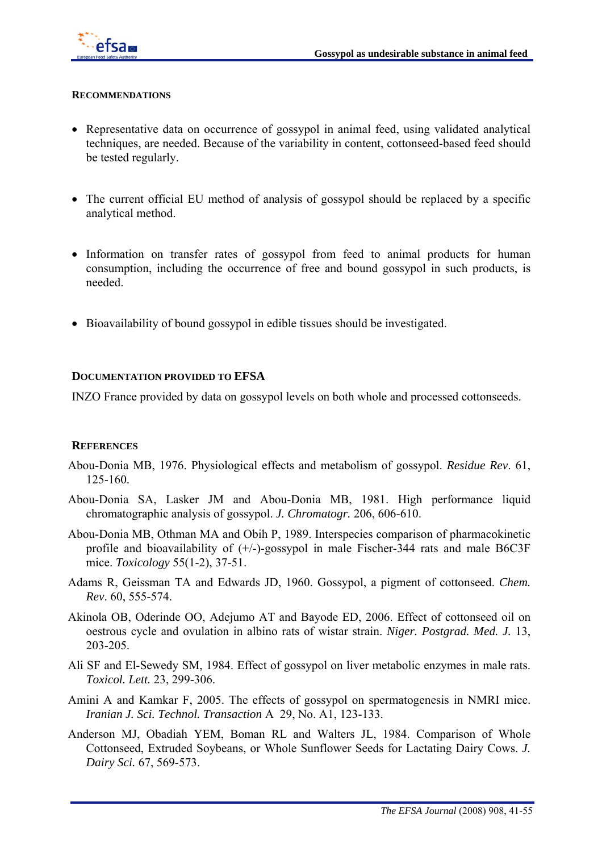

#### **RECOMMENDATIONS**

- Representative data on occurrence of gossypol in animal feed, using validated analytical techniques, are needed. Because of the variability in content, cottonseed-based feed should be tested regularly.
- The current official EU method of analysis of gossypol should be replaced by a specific analytical method.
- Information on transfer rates of gossypol from feed to animal products for human consumption, including the occurrence of free and bound gossypol in such products, is needed.
- Bioavailability of bound gossypol in edible tissues should be investigated.

#### **DOCUMENTATION PROVIDED TO EFSA**

INZO France provided by data on gossypol levels on both whole and processed cottonseeds.

#### **REFERENCES**

- Abou-Donia MB, 1976. Physiological effects and metabolism of gossypol. *Residue Rev*. 61, 125-160.
- Abou-Donia SA, Lasker JM and Abou-Donia MB, 1981. High performance liquid chromatographic analysis of gossypol. *J. Chromatogr.* 206, 606-610.
- Abou-Donia MB, Othman MA and Obih P, 1989. Interspecies comparison of pharmacokinetic profile and bioavailability of  $(+/-)$ -gossypol in male Fischer-344 rats and male B6C3F mice. *Toxicology* 55(1-2), 37-51.
- Adams R, Geissman TA and Edwards JD, 1960. Gossypol, a pigment of cottonseed. *Chem. Rev*. 60, 555-574.
- Akinola OB, Oderinde OO, Adejumo AT and Bayode ED, 2006. Effect of cottonseed oil on oestrous cycle and ovulation in albino rats of wistar strain. *Niger. Postgrad. Med. J.* 13, 203-205.
- Ali SF and El-Sewedy SM, 1984. Effect of gossypol on liver metabolic enzymes in male rats. *Toxicol. Lett.* 23, 299-306.
- Amini A and Kamkar F, 2005. The effects of gossypol on spermatogenesis in NMRI mice. *Iranian J. Sci. Technol. Transaction* A 29, No. A1, 123-133.
- Anderson MJ, Obadiah YEM, Boman RL and Walters JL, 1984. Comparison of Whole Cottonseed, Extruded Soybeans, or Whole Sunflower Seeds for Lactating Dairy Cows. *J. Dairy Sci.* 67, 569-573.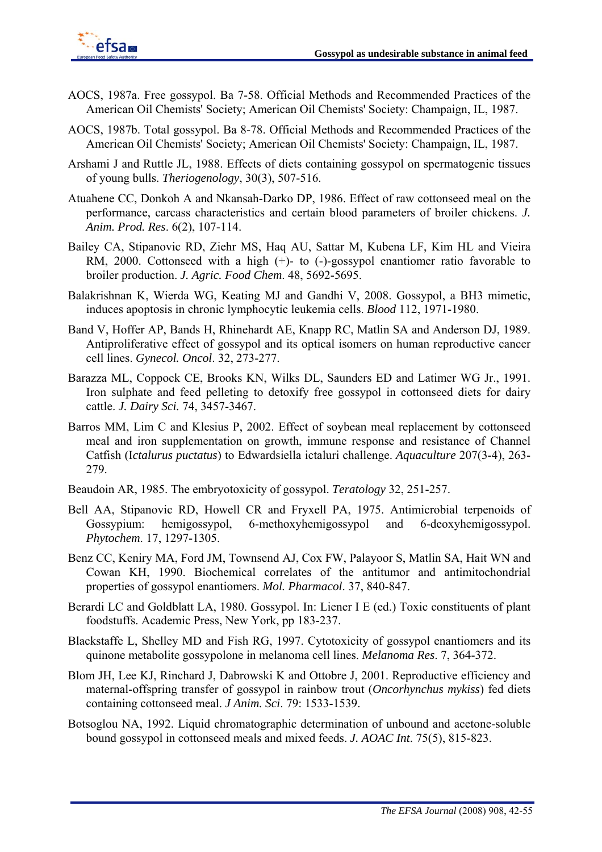

- AOCS, 1987a. Free gossypol. Ba 7-58. Official Methods and Recommended Practices of the American Oil Chemists' Society; American Oil Chemists' Society: Champaign, IL, 1987.
- AOCS, 1987b. Total gossypol. Ba 8-78. Official Methods and Recommended Practices of the American Oil Chemists' Society; American Oil Chemists' Society: Champaign, IL, 1987.
- Arshami J and Ruttle JL, 1988. Effects of diets containing gossypol on spermatogenic tissues of young bulls. *Theriogenology*, 30(3), 507-516.
- Atuahene CC, Donkoh A and Nkansah-Darko DP, 1986. Effect of raw cottonseed meal on the performance, carcass characteristics and certain blood parameters of broiler chickens. *J. Anim. Prod. Res*. 6(2), 107-114.
- Bailey CA, Stipanovic RD, Ziehr MS, Haq AU, Sattar M, Kubena LF, Kim HL and Vieira RM, 2000. Cottonseed with a high (+)- to (-)-gossypol enantiomer ratio favorable to broiler production. *J. Agric. Food Chem*. 48, 5692-5695.
- Balakrishnan K, Wierda WG, Keating MJ and Gandhi V, 2008. Gossypol, a BH3 mimetic, induces apoptosis in chronic lymphocytic leukemia cells. *Blood* 112, 1971-1980.
- Band V, Hoffer AP, Bands H, Rhinehardt AE, Knapp RC, Matlin SA and Anderson DJ, 1989. Antiproliferative effect of gossypol and its optical isomers on human reproductive cancer cell lines. *Gynecol. Oncol*. 32, 273-277.
- Barazza ML, Coppock CE, Brooks KN, Wilks DL, Saunders ED and Latimer WG Jr., 1991. Iron sulphate and feed pelleting to detoxify free gossypol in cottonseed diets for dairy cattle. *J. Dairy Sci.* 74, 3457-3467.
- Barros MM, Lim C and Klesius P, 2002. Effect of soybean meal replacement by cottonseed meal and iron supplementation on growth, immune response and resistance of Channel Catfish (I*ctalurus puctatus*) to Edwardsiella ictaluri challenge. *Aquaculture* 207(3-4), 263- 279.
- Beaudoin AR, 1985. The embryotoxicity of gossypol. *Teratology* 32, 251-257.
- Bell AA, Stipanovic RD, Howell CR and Fryxell PA, 1975. Antimicrobial terpenoids of Gossypium: hemigossypol, 6-methoxyhemigossypol and 6-deoxyhemigossypol. *Phytochem*. 17, 1297-1305.
- Benz CC, Keniry MA, Ford JM, Townsend AJ, Cox FW, Palayoor S, Matlin SA, Hait WN and Cowan KH, 1990. Biochemical correlates of the antitumor and antimitochondrial properties of gossypol enantiomers. *Mol. Pharmacol*. 37, 840-847.
- Berardi LC and Goldblatt LA, 1980. Gossypol. In: Liener I E (ed.) Toxic constituents of plant foodstuffs. Academic Press, New York, pp 183-237.
- Blackstaffe L, Shelley MD and Fish RG, 1997. Cytotoxicity of gossypol enantiomers and its quinone metabolite gossypolone in melanoma cell lines. *Melanoma Res*. 7, 364-372.
- Blom JH, Lee KJ, Rinchard J, Dabrowski K and Ottobre J, 2001. Reproductive efficiency and maternal-offspring transfer of gossypol in rainbow trout (*Oncorhynchus mykiss*) fed diets containing cottonseed meal. *J Anim. Sci*. 79: 1533-1539.
- Botsoglou NA, 1992. Liquid chromatographic determination of unbound and acetone-soluble bound gossypol in cottonseed meals and mixed feeds. *J. AOAC Int*. 75(5), 815-823.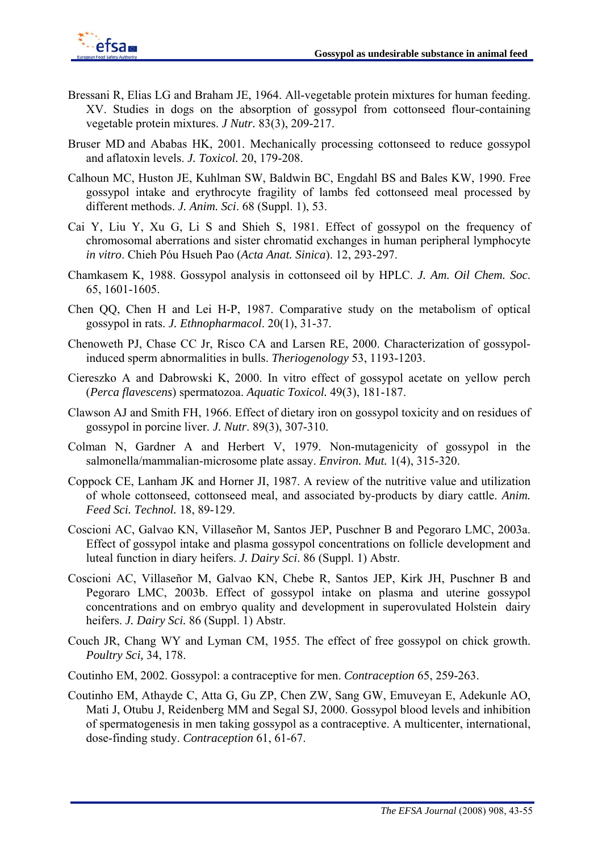

- Bressani R, Elias LG and Braham JE, 1964. All-vegetable protein mixtures for human feeding. XV. Studies in dogs on the absorption of gossypol from cottonseed flour-containing vegetable protein mixtures. *J Nutr.* 83(3), 209-217.
- Bruser MD and Ababas HK, 2001. Mechanically processing cottonseed to reduce gossypol and aflatoxin levels. *J. Toxicol.* 20, 179-208.
- Calhoun MC, Huston JE, Kuhlman SW, Baldwin BC, Engdahl BS and Bales KW, 1990. Free gossypol intake and erythrocyte fragility of lambs fed cottonseed meal processed by different methods. *J. Anim. Sci*. 68 (Suppl. 1), 53.
- Cai Y, Liu Y, Xu G, Li S and Shieh S, 1981. Effect of gossypol on the frequency of chromosomal aberrations and sister chromatid exchanges in human peripheral lymphocyte *in vitro*. Chieh Póu Hsueh Pao (*Acta Anat. Sinica*). 12, 293-297.
- Chamkasem K, 1988. Gossypol analysis in cottonseed oil by HPLC. *J. Am. Oil Chem. Soc*. 65, 1601-1605.
- Chen QQ, Chen H and Lei H-P, 1987. Comparative study on the metabolism of optical gossypol in rats. *J. Ethnopharmacol*. 20(1), 31-37.
- Chenoweth PJ, Chase CC Jr, Risco CA and Larsen RE, 2000. Characterization of gossypolinduced sperm abnormalities in bulls. *Theriogenology* 53, 1193-1203.
- Ciereszko A and Dabrowski K, 2000. In vitro effect of gossypol acetate on yellow perch (*Perca flavescens*) spermatozoa. *Aquatic Toxicol.* 49(3), 181-187.
- Clawson AJ and Smith FH, 1966. Effect of dietary iron on gossypol toxicity and on residues of gossypol in porcine liver. *J. Nutr*. 89(3), 307-310.
- Colman N, Gardner A and Herbert V, 1979. Non-mutagenicity of gossypol in the salmonella/mammalian-microsome plate assay. *Environ. Mut.* 1(4), 315-320.
- Coppock CE, Lanham JK and Horner JI, 1987. A review of the nutritive value and utilization of whole cottonseed, cottonseed meal, and associated by-products by diary cattle. *Anim. Feed Sci. Technol.* 18, 89-129.
- Coscioni AC, Galvao KN, Villaseñor M, Santos JEP, Puschner B and Pegoraro LMC, 2003a. Effect of gossypol intake and plasma gossypol concentrations on follicle development and luteal function in diary heifers. *J. Dairy Sci*. 86 (Suppl. 1) Abstr.
- Coscioni AC, Villaseñor M, Galvao KN, Chebe R, Santos JEP, Kirk JH, Puschner B and Pegoraro LMC, 2003b. Effect of gossypol intake on plasma and uterine gossypol concentrations and on embryo quality and development in superovulated Holstein dairy heifers. *J. Dairy Sci.* 86 (Suppl. 1) Abstr.
- Couch JR, Chang WY and Lyman CM, 1955. The effect of free gossypol on chick growth. *Poultry Sci,* 34, 178.
- Coutinho EM, 2002. Gossypol: a contraceptive for men. *Contraception* 65, 259-263.
- Coutinho EM, Athayde C, Atta G, Gu ZP, Chen ZW, Sang GW, Emuveyan E, Adekunle AO, Mati J, Otubu J, Reidenberg MM and Segal SJ, 2000. Gossypol blood levels and inhibition of spermatogenesis in men taking gossypol as a contraceptive. A multicenter, international, dose-finding study. *Contraception* 61, 61-67.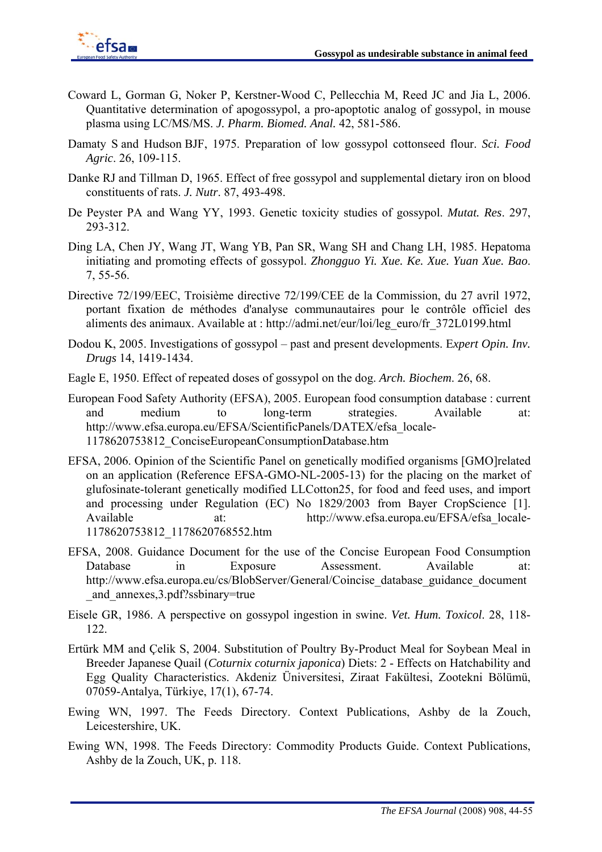

- Coward L, Gorman G, Noker P, Kerstner-Wood C, Pellecchia M, Reed JC and Jia L, 2006. Quantitative determination of apogossypol, a pro-apoptotic analog of gossypol, in mouse plasma using LC/MS/MS. *J. Pharm. Biomed. Anal.* 42, 581-586.
- Damaty S and Hudson BJF, 1975. Preparation of low gossypol cottonseed flour. *Sci. Food Agric*. 26, 109-115.
- Danke RJ and Tillman D, 1965. Effect of free gossypol and supplemental dietary iron on blood constituents of rats. *J. Nutr*. 87, 493-498.
- De Peyster PA and Wang YY, 1993. Genetic toxicity studies of gossypol. *Mutat. Res*. 297, 293-312.
- Ding LA, Chen JY, Wang JT, Wang YB, Pan SR, Wang SH and Chang LH, 1985. Hepatoma initiating and promoting effects of gossypol. *Zhongguo Yi. Xue. Ke. Xue. Yuan Xue. Bao*. 7, 55-56.
- Directive 72/199/EEC, Troisième directive 72/199/CEE de la Commission, du 27 avril 1972, portant fixation de méthodes d'analyse communautaires pour le contrôle officiel des aliments des animaux. Available at : http://admi.net/eur/loi/leg\_euro/fr\_372L0199.html
- Dodou K, 2005. Investigations of gossypol past and present developments. E*xpert Opin. Inv. Drugs* 14, 1419-1434.
- Eagle E, 1950. Effect of repeated doses of gossypol on the dog. *Arch. Biochem*. 26, 68.
- European Food Safety Authority (EFSA), 2005. European food consumption database : current and medium to long-term strategies. Available at: http://www.efsa.europa.eu/EFSA/ScientificPanels/DATEX/efsa\_locale-1178620753812\_ConciseEuropeanConsumptionDatabase.htm
- EFSA, 2006. Opinion of the Scientific Panel on genetically modified organisms [GMO]related on an application (Reference EFSA-GMO-NL-2005-13) for the placing on the market of glufosinate-tolerant genetically modified LLCotton25, for food and feed uses, and import and processing under Regulation (EC) No 1829/2003 from Bayer CropScience [1]. Available at: http://www.efsa.europa.eu/EFSA/efsa\_locale-1178620753812\_1178620768552.htm
- EFSA, 2008. Guidance Document for the use of the Concise European Food Consumption Database in Exposure Assessment. Available at: http://www.efsa.europa.eu/cs/BlobServer/General/Coincise\_database\_guidance\_document \_and\_annexes,3.pdf?ssbinary=true
- Eisele GR, 1986. A perspective on gossypol ingestion in swine. *Vet. Hum. Toxicol*. 28, 118- 122.
- Ertürk MM and Çelik S, 2004. Substitution of Poultry By-Product Meal for Soybean Meal in Breeder Japanese Quail (*Coturnix coturnix japonica*) Diets: 2 - Effects on Hatchability and Egg Quality Characteristics. Akdeniz Üniversitesi, Ziraat Fakültesi, Zootekni Bölümü, 07059-Antalya, Türkiye, 17(1), 67-74.
- Ewing WN, 1997. The Feeds Directory. Context Publications, Ashby de la Zouch, Leicestershire, UK.
- Ewing WN, 1998. The Feeds Directory: Commodity Products Guide. Context Publications, Ashby de la Zouch, UK, p. 118.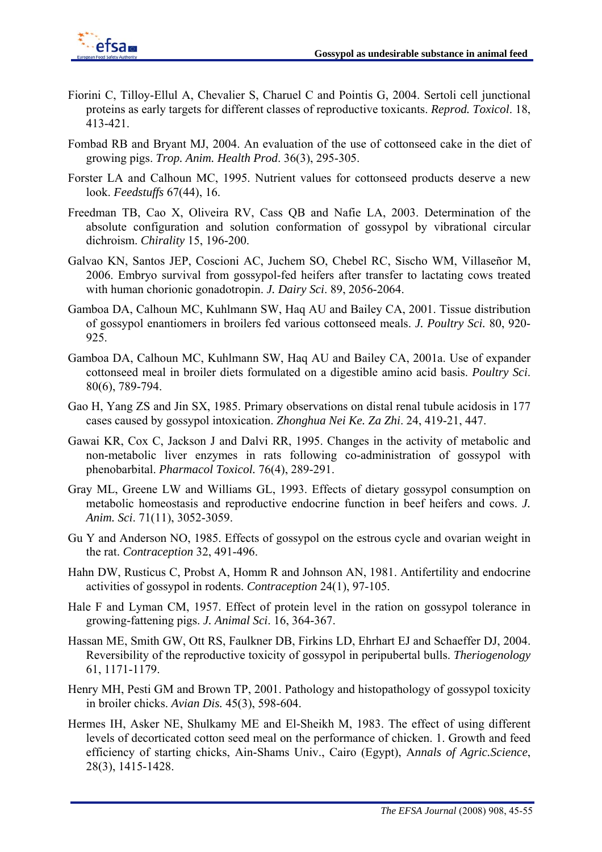

- Fiorini C, Tilloy-Ellul A, Chevalier S, Charuel C and Pointis G, 2004. Sertoli cell junctional proteins as early targets for different classes of reproductive toxicants. *Reprod. Toxicol*. 18, 413-421.
- Fombad RB and Bryant MJ, 2004. An evaluation of the use of cottonseed cake in the diet of growing pigs. *Trop. Anim. Health Prod*. 36(3), 295-305.
- Forster LA and Calhoun MC, 1995. Nutrient values for cottonseed products deserve a new look. *Feedstuffs* 67(44), 16.
- Freedman TB, Cao X, Oliveira RV, Cass QB and Nafie LA, 2003. Determination of the absolute configuration and solution conformation of gossypol by vibrational circular dichroism. *Chirality* 15, 196-200.
- Galvao KN, Santos JEP, Coscioni AC, Juchem SO, Chebel RC, Sischo WM, Villaseñor M, 2006. Embryo survival from gossypol-fed heifers after transfer to lactating cows treated with human chorionic gonadotropin. *J. Dairy Sci*. 89, 2056-2064.
- Gamboa DA, Calhoun MC, Kuhlmann SW, Haq AU and Bailey CA, 2001. Tissue distribution of gossypol enantiomers in broilers fed various cottonseed meals. *J. Poultry Sci.* 80, 920- 925.
- Gamboa DA, Calhoun MC, Kuhlmann SW, Haq AU and Bailey CA, 2001a. Use of expander cottonseed meal in broiler diets formulated on a digestible amino acid basis. *Poultry Sci*. 80(6), 789-794.
- Gao H, Yang ZS and Jin SX, 1985. Primary observations on distal renal tubule acidosis in 177 cases caused by gossypol intoxication. *Zhonghua Nei Ke. Za Zhi*. 24, 419-21, 447.
- Gawai KR, Cox C, Jackson J and Dalvi RR, 1995. Changes in the activity of metabolic and non-metabolic liver enzymes in rats following co-administration of gossypol with phenobarbital. *Pharmacol Toxicol.* 76(4), 289-291.
- Gray ML, Greene LW and Williams GL, 1993. Effects of dietary gossypol consumption on metabolic homeostasis and reproductive endocrine function in beef heifers and cows. *J. Anim. Sci*. 71(11), 3052-3059.
- Gu Y and Anderson NO, 1985. Effects of gossypol on the estrous cycle and ovarian weight in the rat. *Contraception* 32, 491-496.
- Hahn DW, Rusticus C, Probst A, Homm R and Johnson AN, 1981. Antifertility and endocrine activities of gossypol in rodents. *Contraception* 24(1), 97-105.
- Hale F and Lyman CM, 1957. Effect of protein level in the ration on gossypol tolerance in growing-fattening pigs. *J. Animal Sci*. 16, 364-367.
- Hassan ME, Smith GW, Ott RS, Faulkner DB, Firkins LD, Ehrhart EJ and Schaeffer DJ, 2004. Reversibility of the reproductive toxicity of gossypol in peripubertal bulls. *Theriogenology* 61, 1171-1179.
- Henry MH, Pesti GM and Brown TP, 2001. Pathology and histopathology of gossypol toxicity in broiler chicks. *Avian Dis.* 45(3), 598-604.
- Hermes IH, Asker NE, Shulkamy ME and El-Sheikh M, 1983. The effect of using different levels of decorticated cotton seed meal on the performance of chicken. 1. Growth and feed efficiency of starting chicks, Ain-Shams Univ., Cairo (Egypt), A*nnals of Agric.Science*, 28(3), 1415-1428.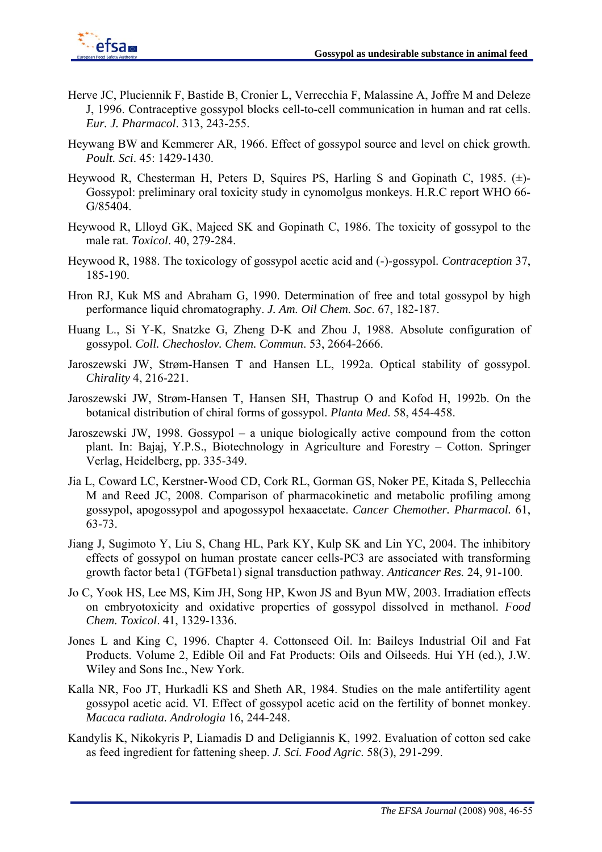

- Herve JC, Pluciennik F, Bastide B, Cronier L, Verrecchia F, Malassine A, Joffre M and Deleze J, 1996. Contraceptive gossypol blocks cell-to-cell communication in human and rat cells. *Eur. J. Pharmacol*. 313, 243-255.
- Heywang BW and Kemmerer AR, 1966. Effect of gossypol source and level on chick growth. *Poult. Sci*. 45: 1429-1430.
- Heywood R, Chesterman H, Peters D, Squires PS, Harling S and Gopinath C, 1985.  $(\pm)$ -Gossypol: preliminary oral toxicity study in cynomolgus monkeys. H.R.C report WHO 66- G/85404.
- Heywood R, Llloyd GK, Majeed SK and Gopinath C, 1986. The toxicity of gossypol to the male rat. *Toxicol*. 40, 279-284.
- Heywood R, 1988. The toxicology of gossypol acetic acid and (-)-gossypol. *Contraception* 37, 185-190.
- Hron RJ, Kuk MS and Abraham G, 1990. Determination of free and total gossypol by high performance liquid chromatography. *J. Am. Oil Chem. Soc*. 67, 182-187.
- Huang L., Si Y-K, Snatzke G, Zheng D-K and Zhou J, 1988. Absolute configuration of gossypol. *Coll. Chechoslov. Chem. Commun*. 53, 2664-2666.
- Jaroszewski JW, Strøm-Hansen T and Hansen LL, 1992a. Optical stability of gossypol. *Chirality* 4, 216-221.
- Jaroszewski JW, Strøm-Hansen T, Hansen SH, Thastrup O and Kofod H, 1992b. On the botanical distribution of chiral forms of gossypol. *Planta Med*. 58, 454-458.
- Jaroszewski JW, 1998. Gossypol a unique biologically active compound from the cotton plant. In: Bajaj, Y.P.S., Biotechnology in Agriculture and Forestry – Cotton. Springer Verlag, Heidelberg, pp. 335-349.
- Jia L, Coward LC, Kerstner-Wood CD, Cork RL, Gorman GS, Noker PE, Kitada S, Pellecchia M and Reed JC, 2008. Comparison of pharmacokinetic and metabolic profiling among gossypol, apogossypol and apogossypol hexaacetate. *Cancer Chemother. Pharmacol.* 61, 63-73.
- Jiang J, Sugimoto Y, Liu S, Chang HL, Park KY, Kulp SK and Lin YC, 2004. The inhibitory effects of gossypol on human prostate cancer cells-PC3 are associated with transforming growth factor beta1 (TGFbeta1) signal transduction pathway. *Anticancer Res.* 24, 91-100.
- Jo C, Yook HS, Lee MS, Kim JH, Song HP, Kwon JS and Byun MW, 2003. Irradiation effects on embryotoxicity and oxidative properties of gossypol dissolved in methanol. *Food Chem. Toxicol*. 41, 1329-1336.
- Jones L and King C, 1996. Chapter 4. Cottonseed Oil. In: Baileys Industrial Oil and Fat Products. Volume 2, Edible Oil and Fat Products: Oils and Oilseeds. Hui YH (ed.), J.W. Wiley and Sons Inc., New York.
- Kalla NR, Foo JT, Hurkadli KS and Sheth AR, 1984. Studies on the male antifertility agent gossypol acetic acid. VI. Effect of gossypol acetic acid on the fertility of bonnet monkey. *Macaca radiata. Andrologia* 16, 244-248.
- Kandylis K, Nikokyris P, Liamadis D and Deligiannis K, 1992. Evaluation of cotton sed cake as feed ingredient for fattening sheep. *J. Sci. Food Agric*. 58(3), 291-299.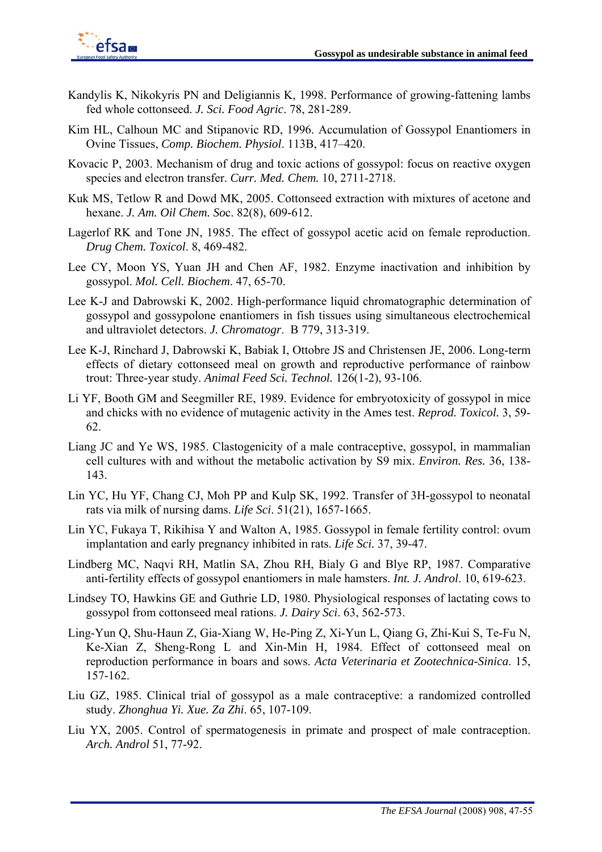

- Kandylis K, Nikokyris PN and Deligiannis K, 1998. Performance of growing-fattening lambs fed whole cottonseed. *J. Sci. Food Agric*. 78, 281-289.
- Kim HL, Calhoun MC and Stipanovic RD, 1996. Accumulation of Gossypol Enantiomers in Ovine Tissues, *Comp. Biochem. Physiol*. 113B, 417–420.
- Kovacic P, 2003. Mechanism of drug and toxic actions of gossypol: focus on reactive oxygen species and electron transfer. *Curr. Med. Chem.* 10, 2711-2718.
- Kuk MS, Tetlow R and Dowd MK, 2005. Cottonseed extraction with mixtures of acetone and hexane. *J. Am. Oil Chem. So*c. 82(8), 609-612.
- Lagerlof RK and Tone JN, 1985. The effect of gossypol acetic acid on female reproduction. *Drug Chem. Toxicol*. 8, 469-482.
- Lee CY, Moon YS, Yuan JH and Chen AF, 1982. Enzyme inactivation and inhibition by gossypol. *Mol. Cell. Biochem*. 47, 65-70.
- Lee K-J and Dabrowski K, 2002. High-performance liquid chromatographic determination of gossypol and gossypolone enantiomers in fish tissues using simultaneous electrochemical and ultraviolet detectors. *J. Chromatogr*. B 779, 313-319.
- Lee K-J, Rinchard J, Dabrowski K, Babiak I, Ottobre JS and Christensen JE, 2006. Long-term effects of dietary cottonseed meal on growth and reproductive performance of rainbow trout: Three-year study. *Animal Feed Sci. Technol.* 126(1-2), 93-106.
- Li YF, Booth GM and Seegmiller RE, 1989. Evidence for embryotoxicity of gossypol in mice and chicks with no evidence of mutagenic activity in the Ames test. *Reprod. Toxicol.* 3, 59- 62.
- Liang JC and Ye WS, 1985. Clastogenicity of a male contraceptive, gossypol, in mammalian cell cultures with and without the metabolic activation by S9 mix. *Environ. Res.* 36, 138- 143.
- Lin YC, Hu YF, Chang CJ, Moh PP and Kulp SK, 1992. Transfer of 3H-gossypol to neonatal rats via milk of nursing dams. *Life Sci*. 51(21), 1657-1665.
- Lin YC, Fukaya T, Rikihisa Y and Walton A, 1985. Gossypol in female fertility control: ovum implantation and early pregnancy inhibited in rats. *Life Sci.* 37, 39-47.
- Lindberg MC, Naqvi RH, Matlin SA, Zhou RH, Bialy G and Blye RP, 1987. Comparative anti-fertility effects of gossypol enantiomers in male hamsters. *Int. J. Androl*. 10, 619-623.
- Lindsey TO, Hawkins GE and Guthrie LD, 1980. Physiological responses of lactating cows to gossypol from cottonseed meal rations. *J. Dairy Sci*. 63, 562-573.
- Ling-Yun Q, Shu-Haun Z, Gia-Xiang W, He-Ping Z, Xi-Yun L, Qiang G, Zhi-Kui S, Te-Fu N, Ke-Xian Z, Sheng-Rong L and Xin-Min H, 1984. Effect of cottonseed meal on reproduction performance in boars and sows. *Acta Veterinaria et Zootechnica-Sinica*. 15, 157-162.
- Liu GZ, 1985. Clinical trial of gossypol as a male contraceptive: a randomized controlled study. *Zhonghua Yi. Xue. Za Zhi*. 65, 107-109.
- Liu YX, 2005. Control of spermatogenesis in primate and prospect of male contraception. *Arch. Androl* 51, 77-92.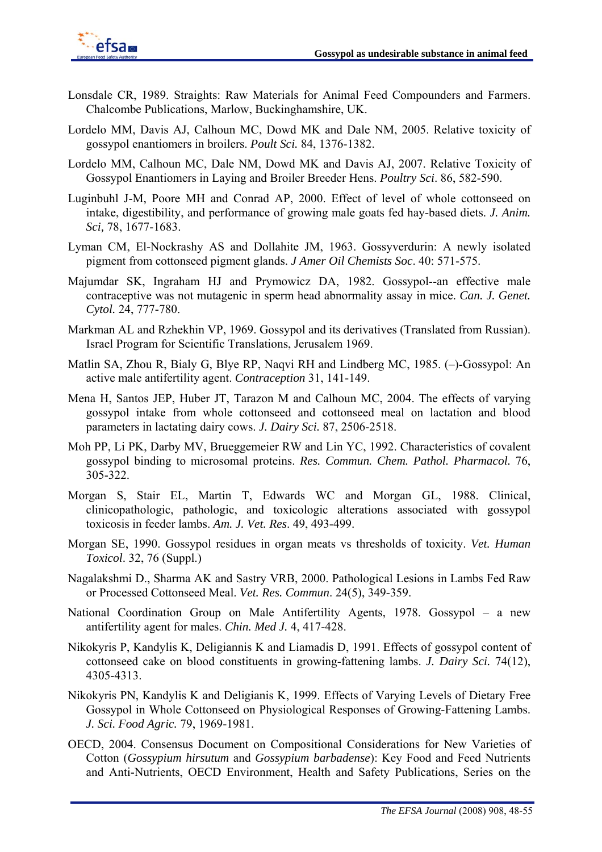

- Lonsdale CR, 1989. Straights: Raw Materials for Animal Feed Compounders and Farmers. Chalcombe Publications, Marlow, Buckinghamshire, UK.
- Lordelo MM, Davis AJ, Calhoun MC, Dowd MK and Dale NM, 2005. Relative toxicity of gossypol enantiomers in broilers. *Poult Sci.* 84, 1376-1382.
- Lordelo MM, Calhoun MC, Dale NM, Dowd MK and Davis AJ, 2007. Relative Toxicity of Gossypol Enantiomers in Laying and Broiler Breeder Hens. *Poultry Sci*. 86, 582-590.
- Luginbuhl J-M, Poore MH and Conrad AP, 2000. Effect of level of whole cottonseed on intake, digestibility, and performance of growing male goats fed hay-based diets. *J. Anim. Sci,* 78, 1677-1683.
- Lyman CM, El-Nockrashy AS and Dollahite JM, 1963. Gossyverdurin: A newly isolated pigment from cottonseed pigment glands. *J Amer Oil Chemists Soc*. 40: 571-575.
- Majumdar SK, Ingraham HJ and Prymowicz DA, 1982. Gossypol--an effective male contraceptive was not mutagenic in sperm head abnormality assay in mice. *Can. J. Genet. Cytol.* 24, 777-780.
- Markman AL and Rzhekhin VP, 1969. Gossypol and its derivatives (Translated from Russian). Israel Program for Scientific Translations, Jerusalem 1969.
- Matlin SA, Zhou R, Bialy G, Blye RP, Naqvi RH and Lindberg MC, 1985. (–)-Gossypol: An active male antifertility agent. *Contraception* 31, 141-149.
- Mena H, Santos JEP, Huber JT, Tarazon M and Calhoun MC, 2004. The effects of varying gossypol intake from whole cottonseed and cottonseed meal on lactation and blood parameters in lactating dairy cows. *J. Dairy Sci.* 87, 2506-2518.
- Moh PP, Li PK, Darby MV, Brueggemeier RW and Lin YC, 1992. Characteristics of covalent gossypol binding to microsomal proteins. *Res. Commun. Chem. Pathol. Pharmacol.* 76, 305-322.
- Morgan S, Stair EL, Martin T, Edwards WC and Morgan GL, 1988. Clinical, clinicopathologic, pathologic, and toxicologic alterations associated with gossypol toxicosis in feeder lambs. *Am. J. Vet. Res*. 49, 493-499.
- Morgan SE, 1990. Gossypol residues in organ meats vs thresholds of toxicity. *Vet. Human Toxicol*. 32, 76 (Suppl.)
- Nagalakshmi D., Sharma AK and Sastry VRB, 2000. Pathological Lesions in Lambs Fed Raw or Processed Cottonseed Meal. *Vet. Res. Commun*. 24(5), 349-359.
- National Coordination Group on Male Antifertility Agents, 1978. Gossypol a new antifertility agent for males. *Chin. Med J.* 4, 417-428.
- Nikokyris P, Kandylis K, Deligiannis K and Liamadis D, 1991. Effects of gossypol content of cottonseed cake on blood constituents in growing-fattening lambs. *J. Dairy Sci.* 74(12), 4305-4313.
- Nikokyris PN, Kandylis K and Deligianis K, 1999. Effects of Varying Levels of Dietary Free Gossypol in Whole Cottonseed on Physiological Responses of Growing-Fattening Lambs. *J. Sci. Food Agric.* 79, 1969-1981.
- OECD, 2004. Consensus Document on Compositional Considerations for New Varieties of Cotton (*Gossypium hirsutum* and *Gossypium barbadense*): Key Food and Feed Nutrients and Anti-Nutrients, OECD Environment, Health and Safety Publications, Series on the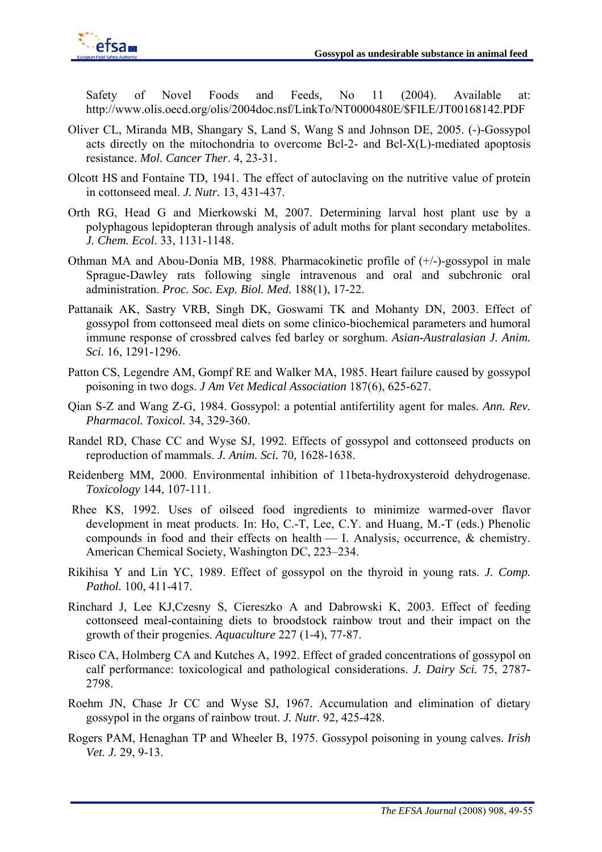

Safety of Novel Foods and Feeds, No 11 (2004). Available at: http://www.olis.oecd.org/olis/2004doc.nsf/LinkTo/NT0000480E/\$FILE/JT00168142.PDF

- Oliver CL, Miranda MB, Shangary S, Land S, Wang S and Johnson DE, 2005. (-)-Gossypol acts directly on the mitochondria to overcome Bcl-2- and Bcl-X(L)-mediated apoptosis resistance. *Mol. Cancer Ther*. 4, 23-31.
- Olcott HS and Fontaine TD, 1941. The effect of autoclaving on the nutritive value of protein in cottonseed meal. *J. Nutr.* 13, 431-437.
- Orth RG, Head G and Mierkowski M, 2007. Determining larval host plant use by a polyphagous lepidopteran through analysis of adult moths for plant secondary metabolites. *J. Chem. Ecol*. 33, 1131-1148.
- Othman MA and Abou-Donia MB, 1988. Pharmacokinetic profile of (+/-)-gossypol in male Sprague-Dawley rats following single intravenous and oral and subchronic oral administration. *Proc. Soc. Exp. Biol. Med.* 188(1), 17-22.
- Pattanaik AK, Sastry VRB, Singh DK, Goswami TK and Mohanty DN, 2003. Effect of gossypol from cottonseed meal diets on some clinico-biochemical parameters and humoral immune response of crossbred calves fed barley or sorghum. *Asian-Australasian J. Anim. Sci.* 16, 1291-1296.
- Patton CS, Legendre AM, Gompf RE and Walker MA, 1985. Heart failure caused by gossypol poisoning in two dogs. *J Am Vet Medical Association* 187(6), 625-627.
- Qian S-Z and Wang Z-G, 1984. Gossypol: a potential antifertility agent for males. *Ann. Rev. Pharmacol. Toxicol.* 34, 329-360.
- Randel RD, Chase CC and Wyse SJ, 1992. Effects of gossypol and cottonseed products on reproduction of mammals. *J. Anim. Sci.* 70, 1628-1638.
- Reidenberg MM, 2000. Environmental inhibition of 11beta-hydroxysteroid dehydrogenase. *Toxicology* 144, 107-111.
- Rhee KS, 1992. Uses of oilseed food ingredients to minimize warmed-over flavor development in meat products. In: Ho, C.-T, Lee, C.Y. and Huang, M.-T (eds.) Phenolic compounds in food and their effects on health — I. Analysis, occurrence, & chemistry. American Chemical Society, Washington DC, 223–234.
- Rikihisa Y and Lin YC, 1989. Effect of gossypol on the thyroid in young rats. *J. Comp. Pathol.* 100, 411-417.
- Rinchard J, Lee KJ,Czesny S, Ciereszko A and Dabrowski K, 2003. Effect of feeding cottonseed meal-containing diets to broodstock rainbow trout and their impact on the growth of their progenies. *Aquaculture* 227 (1-4), 77-87.
- Risco CA, Holmberg CA and Kutches A, 1992. Effect of graded concentrations of gossypol on calf performance: toxicological and pathological considerations. *J. Dairy Sci.* 75, 2787- 2798.
- Roehm JN, Chase Jr CC and Wyse SJ, 1967. Accumulation and elimination of dietary gossypol in the organs of rainbow trout. *J. Nutr.* 92, 425-428.
- Rogers PAM, Henaghan TP and Wheeler B, 1975. Gossypol poisoning in young calves. *Irish Vet. J.* 29, 9-13.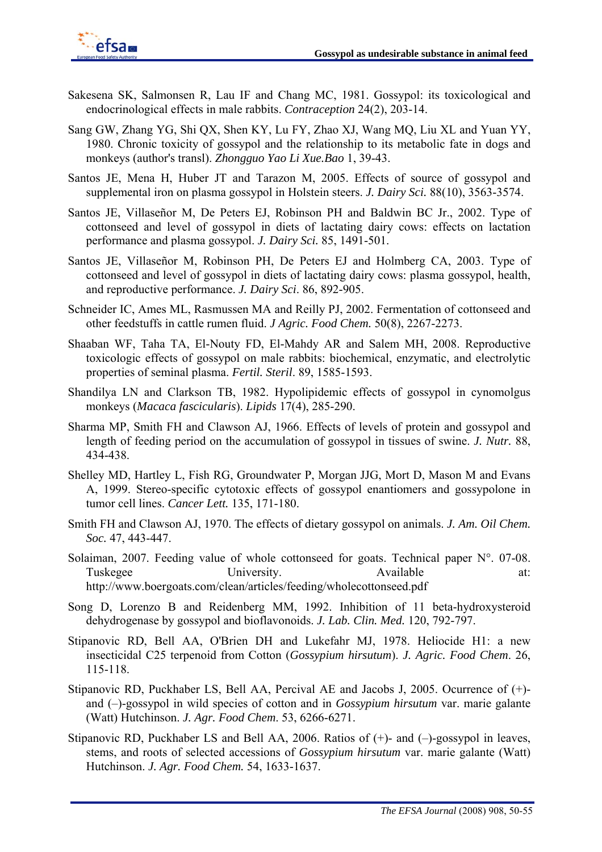

- Sakesena SK, Salmonsen R, Lau IF and Chang MC, 1981. Gossypol: its toxicological and endocrinological effects in male rabbits. *Contraception* 24(2), 203-14.
- Sang GW, Zhang YG, Shi QX, Shen KY, Lu FY, Zhao XJ, Wang MQ, Liu XL and Yuan YY, 1980. Chronic toxicity of gossypol and the relationship to its metabolic fate in dogs and monkeys (author's transl). *Zhongguo Yao Li Xue.Bao* 1, 39-43.
- Santos JE, Mena H, Huber JT and Tarazon M, 2005. Effects of source of gossypol and supplemental iron on plasma gossypol in Holstein steers. *J. Dairy Sci.* 88(10), 3563-3574.
- Santos JE, Villaseñor M, De Peters EJ, Robinson PH and Baldwin BC Jr., 2002. Type of cottonseed and level of gossypol in diets of lactating dairy cows: effects on lactation performance and plasma gossypol. *J. Dairy Sci.* 85, 1491-501.
- Santos JE, Villaseñor M, Robinson PH, De Peters EJ and Holmberg CA, 2003. Type of cottonseed and level of gossypol in diets of lactating dairy cows: plasma gossypol, health, and reproductive performance. *J. Dairy Sci*. 86, 892-905.
- Schneider IC, Ames ML, Rasmussen MA and Reilly PJ, 2002. Fermentation of cottonseed and other feedstuffs in cattle rumen fluid. *J Agric. Food Chem.* 50(8), 2267-2273.
- Shaaban WF, Taha TA, El-Nouty FD, El-Mahdy AR and Salem MH, 2008. Reproductive toxicologic effects of gossypol on male rabbits: biochemical, enzymatic, and electrolytic properties of seminal plasma. *Fertil. Steril*. 89, 1585-1593.
- Shandilya LN and Clarkson TB, 1982. Hypolipidemic effects of gossypol in cynomolgus monkeys (*Macaca fascicularis*). *Lipids* 17(4), 285-290.
- Sharma MP, Smith FH and Clawson AJ, 1966. Effects of levels of protein and gossypol and length of feeding period on the accumulation of gossypol in tissues of swine. *J. Nutr.* 88, 434-438.
- Shelley MD, Hartley L, Fish RG, Groundwater P, Morgan JJG, Mort D, Mason M and Evans A, 1999. Stereo-specific cytotoxic effects of gossypol enantiomers and gossypolone in tumor cell lines. *Cancer Lett.* 135, 171-180.
- Smith FH and Clawson AJ, 1970. The effects of dietary gossypol on animals. *J. Am. Oil Chem. Soc.* 47, 443-447.
- Solaiman, 2007. Feeding value of whole cottonseed for goats. Technical paper N° 07-08. Tuskegee University. Available at: http://www.boergoats.com/clean/articles/feeding/wholecottonseed.pdf
- Song D, Lorenzo B and Reidenberg MM, 1992. Inhibition of 11 beta-hydroxysteroid dehydrogenase by gossypol and bioflavonoids. *J. Lab. Clin. Med.* 120, 792-797.
- Stipanovic RD, Bell AA, O'Brien DH and Lukefahr MJ, 1978. Heliocide H1: a new insecticidal C25 terpenoid from Cotton (*Gossypium hirsutum*). *J. Agric. Food Chem*. 26, 115-118.
- Stipanovic RD, Puckhaber LS, Bell AA, Percival AE and Jacobs J, 2005. Ocurrence of (+) and (–)-gossypol in wild species of cotton and in *Gossypium hirsutum* var. marie galante (Watt) Hutchinson. *J. Agr. Food Chem*. 53, 6266-6271.
- Stipanovic RD, Puckhaber LS and Bell AA, 2006. Ratios of (+)- and (–)-gossypol in leaves, stems, and roots of selected accessions of *Gossypium hirsutum* var. marie galante (Watt) Hutchinson. *J. Agr. Food Chem.* 54, 1633-1637.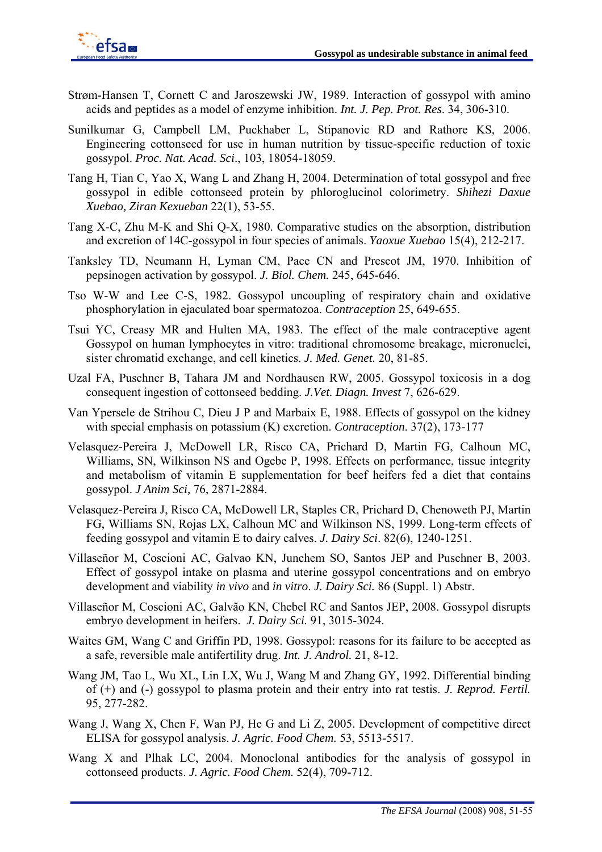

- Strøm-Hansen T, Cornett C and Jaroszewski JW, 1989. Interaction of gossypol with amino acids and peptides as a model of enzyme inhibition. *Int. J. Pep. Prot. Res*. 34, 306-310.
- Sunilkumar G, Campbell LM, Puckhaber L, Stipanovic RD and Rathore KS, 2006. Engineering cottonseed for use in human nutrition by tissue-specific reduction of toxic gossypol. *Proc. Nat. Acad. Sci*., 103, 18054-18059.
- Tang H, Tian C, Yao X, Wang L and Zhang H, 2004. Determination of total gossypol and free gossypol in edible cottonseed protein by phloroglucinol colorimetry. *Shihezi Daxue Xuebao, Ziran Kexueban* 22(1), 53-55.
- Tang X-C, Zhu M-K and Shi Q-X, 1980. Comparative studies on the absorption, distribution and excretion of 14C-gossypol in four species of animals. *Yaoxue Xuebao* 15(4), 212-217.
- Tanksley TD, Neumann H, Lyman CM, Pace CN and Prescot JM, 1970. Inhibition of pepsinogen activation by gossypol. *J. Biol. Chem.* 245, 645-646.
- Tso W-W and Lee C-S, 1982. Gossypol uncoupling of respiratory chain and oxidative phosphorylation in ejaculated boar spermatozoa. *Contraception* 25, 649-655.
- Tsui YC, Creasy MR and Hulten MA, 1983. The effect of the male contraceptive agent Gossypol on human lymphocytes in vitro: traditional chromosome breakage, micronuclei, sister chromatid exchange, and cell kinetics. *J. Med. Genet.* 20, 81-85.
- Uzal FA, Puschner B, Tahara JM and Nordhausen RW, 2005. Gossypol toxicosis in a dog consequent ingestion of cottonseed bedding. *J.Vet. Diagn. Invest* 7, 626-629.
- Van Ypersele de Strihou C, Dieu J P and Marbaix E, 1988. Effects of gossypol on the kidney with special emphasis on potassium (K) excretion. *Contraception*. 37(2), 173-177
- Velasquez-Pereira J, McDowell LR, Risco CA, Prichard D, Martin FG, Calhoun MC, Williams, SN, Wilkinson NS and Ogebe P, 1998. Effects on performance, tissue integrity and metabolism of vitamin E supplementation for beef heifers fed a diet that contains gossypol. *J Anim Sci,* 76, 2871-2884.
- Velasquez-Pereira J, Risco CA, McDowell LR, Staples CR, Prichard D, Chenoweth PJ, Martin FG, Williams SN, Rojas LX, Calhoun MC and Wilkinson NS, 1999. Long-term effects of feeding gossypol and vitamin E to dairy calves. *J. Dairy Sci*. 82(6), 1240-1251.
- Villaseñor M, Coscioni AC, Galvao KN, Junchem SO, Santos JEP and Puschner B, 2003. Effect of gossypol intake on plasma and uterine gossypol concentrations and on embryo development and viability *in vivo* and *in vitro*. *J. Dairy Sci.* 86 (Suppl. 1) Abstr.
- Villaseñor M, Coscioni AC, Galvão KN, Chebel RC and Santos JEP, 2008. Gossypol disrupts embryo development in heifers. *J. Dairy Sci.* 91, 3015-3024.
- Waites GM, Wang C and Griffin PD, 1998. Gossypol: reasons for its failure to be accepted as a safe, reversible male antifertility drug. *Int. J. Androl.* 21, 8-12.
- Wang JM, Tao L, Wu XL, Lin LX, Wu J, Wang M and Zhang GY, 1992. Differential binding of (+) and (-) gossypol to plasma protein and their entry into rat testis. *J. Reprod. Fertil.*  95, 277-282.
- Wang J, Wang X, Chen F, Wan PJ, He G and Li Z, 2005. Development of competitive direct ELISA for gossypol analysis. *J. Agric. Food Chem.* 53, 5513-5517.
- Wang X and Plhak LC, 2004. Monoclonal antibodies for the analysis of gossypol in cottonseed products. *J. Agric. Food Chem.* 52(4), 709-712.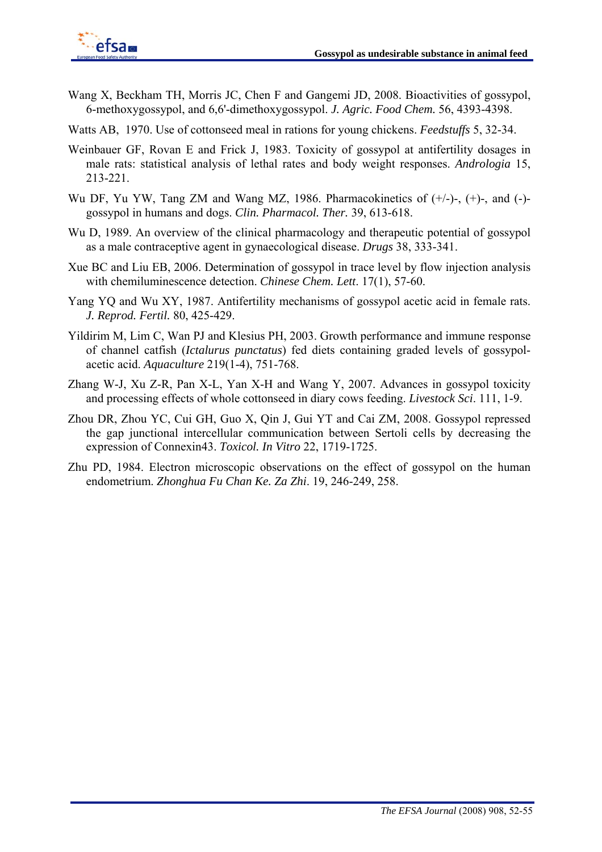

- Wang X, Beckham TH, Morris JC, Chen F and Gangemi JD, 2008. Bioactivities of gossypol, 6-methoxygossypol, and 6,6'-dimethoxygossypol. *J. Agric. Food Chem.* 56, 4393-4398.
- Watts AB, 1970. Use of cottonseed meal in rations for young chickens. *Feedstuffs* 5, 32-34.
- Weinbauer GF, Rovan E and Frick J, 1983. Toxicity of gossypol at antifertility dosages in male rats: statistical analysis of lethal rates and body weight responses. *Andrologia* 15, 213-221.
- Wu DF, Yu YW, Tang ZM and Wang MZ, 1986. Pharmacokinetics of (+/-)-, (+)-, and (-) gossypol in humans and dogs. *Clin. Pharmacol. Ther.* 39, 613-618.
- Wu D, 1989. An overview of the clinical pharmacology and therapeutic potential of gossypol as a male contraceptive agent in gynaecological disease. *Drugs* 38, 333-341.
- Xue BC and Liu EB, 2006. Determination of gossypol in trace level by flow injection analysis with chemiluminescence detection. *Chinese Chem. Lett*. 17(1), 57-60.
- Yang YQ and Wu XY, 1987. Antifertility mechanisms of gossypol acetic acid in female rats. *J. Reprod. Fertil.* 80, 425-429.
- Yildirim M, Lim C, Wan PJ and Klesius PH, 2003. Growth performance and immune response of channel catfish (*Ictalurus punctatus*) fed diets containing graded levels of gossypolacetic acid. *Aquaculture* 219(1-4), 751-768.
- Zhang W-J, Xu Z-R, Pan X-L, Yan X-H and Wang Y, 2007. Advances in gossypol toxicity and processing effects of whole cottonseed in diary cows feeding. *Livestock Sci*. 111, 1-9.
- Zhou DR, Zhou YC, Cui GH, Guo X, Qin J, Gui YT and Cai ZM, 2008. Gossypol repressed the gap junctional intercellular communication between Sertoli cells by decreasing the expression of Connexin43. *Toxicol. In Vitro* 22, 1719-1725.
- Zhu PD, 1984. Electron microscopic observations on the effect of gossypol on the human endometrium. *Zhonghua Fu Chan Ke. Za Zhi*. 19, 246-249, 258.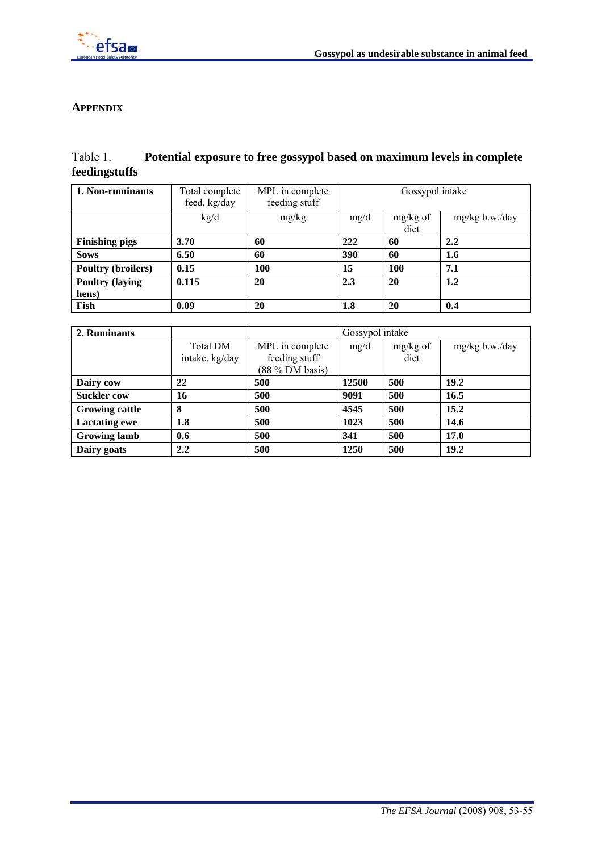

### **APPENDIX**

#### Table 1. **Potential exposure to free gossypol based on maximum levels in complete feedingstuffs**

| 1. Non-ruminants          | Total complete<br>feed, kg/day | MPL in complete<br>feeding stuff |      | Gossypol intake    |                |
|---------------------------|--------------------------------|----------------------------------|------|--------------------|----------------|
|                           | kg/d                           | mg/kg                            | mg/d | $mg/kg$ of<br>diet | mg/kg b.w./day |
| <b>Finishing pigs</b>     | 3.70                           | 60                               | 222  | 60                 | 2.2            |
| <b>Sows</b>               | 6.50                           | 60                               | 390  | 60                 | 1.6            |
| <b>Poultry (broilers)</b> | 0.15                           | 100                              | 15   | <b>100</b>         | 7.1            |
| <b>Poultry (laying</b>    | 0.115                          | 20                               | 2.3  | 20                 | 1.2            |
| hens)                     |                                |                                  |      |                    |                |
| Fish                      | 0.09                           | 20                               | 1.8  | 20                 | 0.4            |

| 2. Ruminants          |                |                                    | Gossypol intake |            |                |
|-----------------------|----------------|------------------------------------|-----------------|------------|----------------|
|                       | Total DM       | MPL in complete                    | mg/d            | $mg/kg$ of | mg/kg b.w./day |
|                       | intake, kg/day | feeding stuff<br>$(88\%$ DM basis) |                 | diet       |                |
| Dairy cow             | 22             | 500                                | 12500           | 500        | 19.2           |
| <b>Suckler cow</b>    | 16             | 500                                | 9091            | 500        | 16.5           |
| <b>Growing cattle</b> | 8              | 500                                | 4545            | 500        | 15.2           |
| <b>Lactating ewe</b>  | 1.8            | 500                                | 1023            | 500        | 14.6           |
| <b>Growing lamb</b>   | 0.6            | 500                                | 341             | 500        | 17.0           |
| Dairy goats           | 2.2            | 500                                | 1250            | 500        | 19.2           |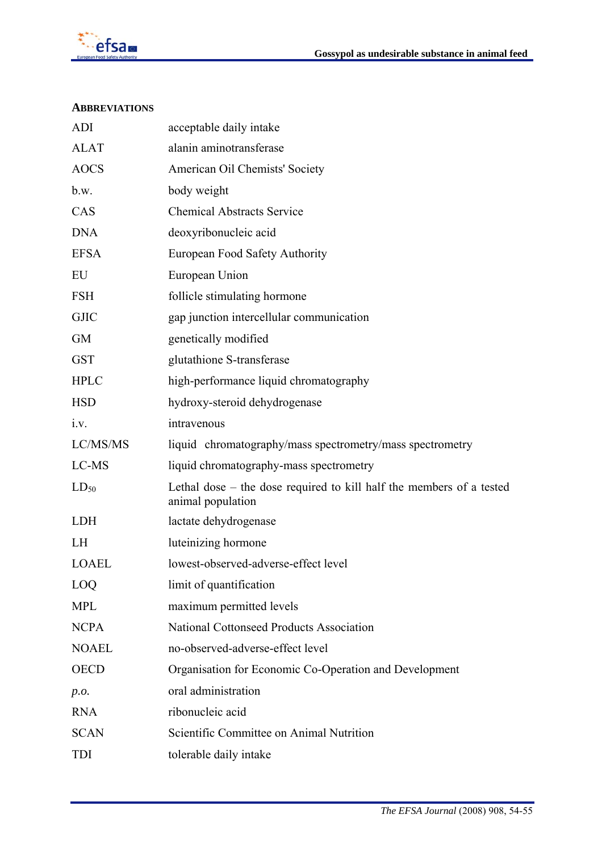

### **ABBREVIATIONS**

| <b>ADI</b>   | acceptable daily intake                                                                   |
|--------------|-------------------------------------------------------------------------------------------|
| <b>ALAT</b>  | alanin aminotransferase                                                                   |
| <b>AOCS</b>  | American Oil Chemists' Society                                                            |
| b.w.         | body weight                                                                               |
| CAS          | <b>Chemical Abstracts Service</b>                                                         |
| <b>DNA</b>   | deoxyribonucleic acid                                                                     |
| <b>EFSA</b>  | European Food Safety Authority                                                            |
| EU           | European Union                                                                            |
| <b>FSH</b>   | follicle stimulating hormone                                                              |
| <b>GJIC</b>  | gap junction intercellular communication                                                  |
| <b>GM</b>    | genetically modified                                                                      |
| <b>GST</b>   | glutathione S-transferase                                                                 |
| <b>HPLC</b>  | high-performance liquid chromatography                                                    |
| <b>HSD</b>   | hydroxy-steroid dehydrogenase                                                             |
| i.v.         | intravenous                                                                               |
| LC/MS/MS     | liquid chromatography/mass spectrometry/mass spectrometry                                 |
| LC-MS        | liquid chromatography-mass spectrometry                                                   |
| $LD_{50}$    | Lethal dose – the dose required to kill half the members of a tested<br>animal population |
| <b>LDH</b>   | lactate dehydrogenase                                                                     |
| <b>LH</b>    | luteinizing hormone                                                                       |
| <b>LOAEL</b> | lowest-observed-adverse-effect level                                                      |
| LOQ          | limit of quantification                                                                   |
| <b>MPL</b>   | maximum permitted levels                                                                  |
| <b>NCPA</b>  | <b>National Cottonseed Products Association</b>                                           |
| <b>NOAEL</b> | no-observed-adverse-effect level                                                          |
| <b>OECD</b>  | Organisation for Economic Co-Operation and Development                                    |
| p.o.         | oral administration                                                                       |
| <b>RNA</b>   | ribonucleic acid                                                                          |
| <b>SCAN</b>  | Scientific Committee on Animal Nutrition                                                  |
| <b>TDI</b>   | tolerable daily intake                                                                    |
|              |                                                                                           |